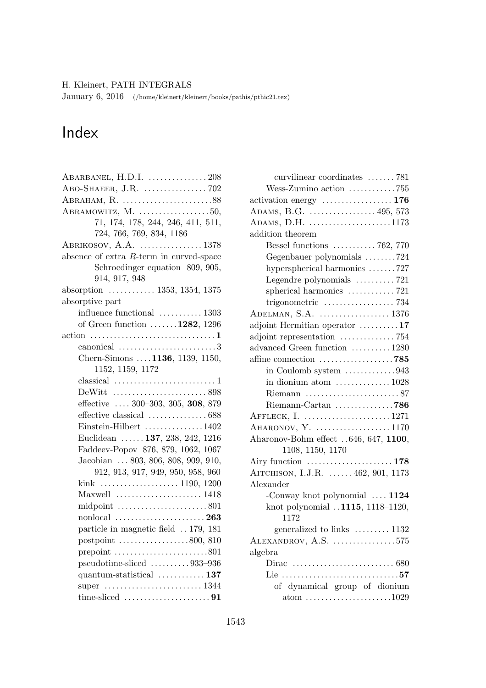January 6, 2016 (/home/kleinert/kleinert/books/pathis/pthic21.tex)

## Index

| ABARBANEL, H.D.I.  208                                                  |
|-------------------------------------------------------------------------|
|                                                                         |
|                                                                         |
| ABRAMOWITZ, $M.$ 50,                                                    |
| 71, 174, 178, 244, 246, 411, 511,                                       |
| 724, 766, 769, 834, 1186                                                |
| $ABRIKOSOV, A.A.$ 1378                                                  |
| absence of extra $R$ -term in curved-space                              |
| Schroedinger equation 809, 905,                                         |
| 914, 917, 948                                                           |
| absorption $\ldots \ldots \ldots \ldots 1353, 1354, 1375$               |
| absorptive part                                                         |
| influence functional  1303                                              |
| of Green function $\dots \dots 1282$ , 1296                             |
|                                                                         |
| canonical $\ldots \ldots \ldots \ldots \ldots \ldots \ldots \ldots 3$   |
| Chern-Simons  . 1136, 1139, 1150,                                       |
| 1152, 1159, 1172                                                        |
|                                                                         |
|                                                                         |
| effective $\ldots$ 300-303, 305, 308, 879                               |
|                                                                         |
| Einstein-Hilbert 1402                                                   |
| Euclidean  137, 238, 242, 1216                                          |
| Faddeev-Popov 876, 879, 1062, 1067                                      |
| Jacobian  803, 806, 808, 909, 910,                                      |
| 912, 913, 917, 949, 950, 958, 960                                       |
|                                                                         |
| Maxwell  1418                                                           |
|                                                                         |
| $\quad$ nonlocal $\ldots \ldots \ldots \ldots \ldots \ldots \ldots 263$ |
| particle in magnetic field  179, 181                                    |
| postpoint $\ldots \ldots \ldots \ldots \ldots \ldots 800, 810$          |
| prepoint $\ldots \ldots \ldots \ldots \ldots \ldots \ldots 801$         |
| $pseudotime-sliced$ 933-936                                             |
| quantum-statistical $\ldots \ldots \ldots \ldots 137$                   |
|                                                                         |
|                                                                         |

| curvilinear coordinates 781                                       |
|-------------------------------------------------------------------|
| Wess-Zumino action 755                                            |
|                                                                   |
|                                                                   |
| ADAMS, D.H. 1173                                                  |
| addition theorem                                                  |
| Bessel functions $\ldots \ldots \ldots \ldots 762, 770$           |
| Gegenbauer polynomials 724                                        |
| hyperspherical harmonics 727                                      |
| Legendre polynomials 721                                          |
| spherical harmonics 721                                           |
|                                                                   |
|                                                                   |
| adjoint Hermitian operator 17                                     |
| adjoint representation $\ldots \ldots \ldots \ldots$ 754          |
| advanced Green function  1280                                     |
| affine connection $\ldots \ldots \ldots \ldots \ldots \ldots$ 785 |
| in Coulomb system 943                                             |
| in dionium atom $\dots \dots \dots \dots \dots 1028$              |
|                                                                   |
|                                                                   |
| AFFLECK, I.  1271                                                 |
| AHARONOV, Y. 1170                                                 |
| Aharonov-Bohm effect 646, 647, 1100,                              |
| 1108, 1150, 1170                                                  |
|                                                                   |
| AITCHISON, I.J.R.  462, 901, 1173                                 |
| Alexander                                                         |
| -Conway knot polynomial  1124                                     |
| knot polynomial 1115, 1118-1120,                                  |
| 1172                                                              |
| generalized to links  1132                                        |
| $ALEXANDROV, A.S.$ 575                                            |
| algebra                                                           |
|                                                                   |
|                                                                   |
| of dynamical group of dionium                                     |
| $atom \ldots \ldots \ldots \ldots \ldots \ldots \ldots 1029$      |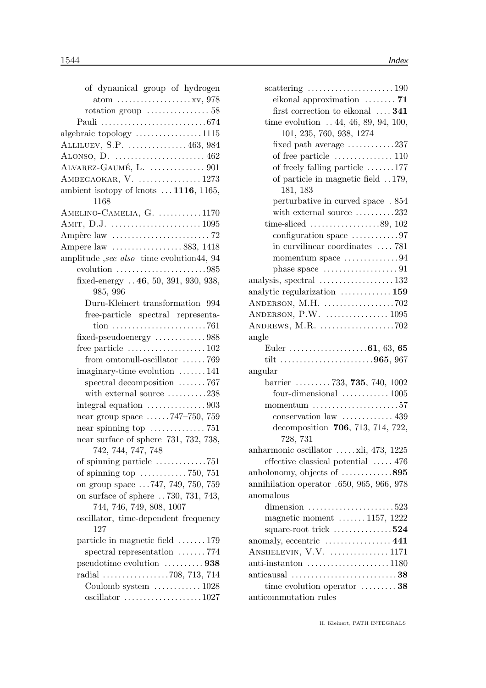| of dynamical group of hydrogen                                          |
|-------------------------------------------------------------------------|
| $atom \ldots \ldots \ldots \ldots \ldots \ldots xy, 978$                |
| rotation group $\ldots \ldots \ldots \ldots 58$                         |
|                                                                         |
| algebraic topology 1115                                                 |
| ALLILUEV, S.P.  463, 984                                                |
| ALONSO, D. $\dots\dots\dots\dots\dots\dots\dots462$                     |
|                                                                         |
| $AMBEGAOKAR, V.$ 1273                                                   |
| ambient isotopy of knots $\dots$ 1116, 1165,                            |
| 1168                                                                    |
| AMELINO-CAMELIA, $G.$ 1170                                              |
|                                                                         |
|                                                                         |
| Ampere law 883, 1418                                                    |
| amplitude, see also time evolution 44, 94                               |
| evolution $\ldots \ldots \ldots \ldots \ldots \ldots \ldots \ldots 985$ |
| fixed-energy  46, 50, 391, 930, 938,                                    |
| 985, 996                                                                |
| Duru-Kleinert transformation 994                                        |
| free-particle spectral representa-                                      |
|                                                                         |
| $fixed$ -pseudoenergy $\dots\dots\dots\dots988$                         |
| free particle $\dots \dots \dots \dots \dots \dots 102$                 |
| from omtonull-oscillator 769                                            |
| $\text{imaginary-time evolution} \dots \dots \dots 141$                 |
| spectral decomposition 767                                              |
| with external source 238                                                |
| integral equation $\dots\dots\dots\dots903$                             |
| near group space $\dots 747-750$ , 759                                  |
|                                                                         |
| near surface of sphere 731, 732, 738,                                   |
| 742, 744, 747, 748                                                      |
| of spinning particle 751                                                |
| of spinning top $\dots \dots \dots \dots 750$ , 751                     |
| on group space 747, 749, 750, 759                                       |
| on surface of sphere 730, 731, 743,                                     |
| 744, 746, 749, 808, 1007                                                |
| oscillator, time-dependent frequency                                    |
| 127                                                                     |
| particle in magnetic field $\dots \dots 179$                            |
| spectral representation $\ldots \ldots$ 774                             |
| pseudotime evolution  938                                               |
| radial 708, 713, 714                                                    |
| Coulomb system $\ldots \ldots \ldots \ldots 1028$                       |
|                                                                         |

| scattering $\ldots \ldots \ldots \ldots \ldots \ldots \ldots 190$       |
|-------------------------------------------------------------------------|
| eikonal approximation $\ldots \ldots$ 71                                |
| first correction to eikonal  341                                        |
| time evolution $\ldots$ 44, 46, 89, 94, 100,                            |
| 101, 235, 760, 938, 1274                                                |
| fixed path average $\dots \dots \dots \dots 237$                        |
| of free particle $\dots \dots \dots \dots \dots 110$                    |
| of freely falling particle $\dots \dots 177$                            |
| of particle in magnetic field 179,<br>181, 183                          |
| perturbative in curved space . 854                                      |
| with external source $\dots \dots \dots 232$                            |
| time-sliced $\ldots \ldots \ldots \ldots \ldots \ldots 89, 102$         |
| configuration space $\dots \dots \dots \dots 97$                        |
| in curvilinear coordinates  781                                         |
| momentum space $\dots\dots\dots\dots94$                                 |
| phase space $\dots\dots\dots\dots\dots\dots91$                          |
|                                                                         |
| analytic regularization  159                                            |
| ANDERSON, M.H. 702                                                      |
|                                                                         |
| ANDREWS, M.R. $\dots\dots\dots\dots\dots\dots.702$                      |
| angle                                                                   |
|                                                                         |
|                                                                         |
| tilt 965, 967                                                           |
| angular                                                                 |
| barrier  733, 735, 740, 1002                                            |
| four-dimensional $\ldots \ldots \ldots \ldots 1005$                     |
| $momentum$ 57                                                           |
| conservation law  439                                                   |
| decomposition 706, 713, 714, 722,<br>728, 731                           |
| anharmonic oscillator $\dots$ xli, 473, 1225                            |
| effective classical potential $\ldots$ . 476                            |
| anholonomy, objects of 895                                              |
| annihilation operator .650, 965, 966, 978                               |
| anomalous                                                               |
| dimension $\ldots \ldots \ldots \ldots \ldots \ldots 523$               |
| magnetic moment  1157, 1222                                             |
| square-root trick $\dots\dots\dots\dots 524$                            |
| anomaly, eccentric  441                                                 |
| ANSHELEVIN, V.V.  1171                                                  |
| anti-instanton $\dots \dots \dots \dots \dots \dots 1180$               |
| anticausal $\ldots \ldots \ldots \ldots \ldots \ldots \ldots \ldots 38$ |
| time evolution operator $\dots \dots \dots 38$<br>anticommutation rules |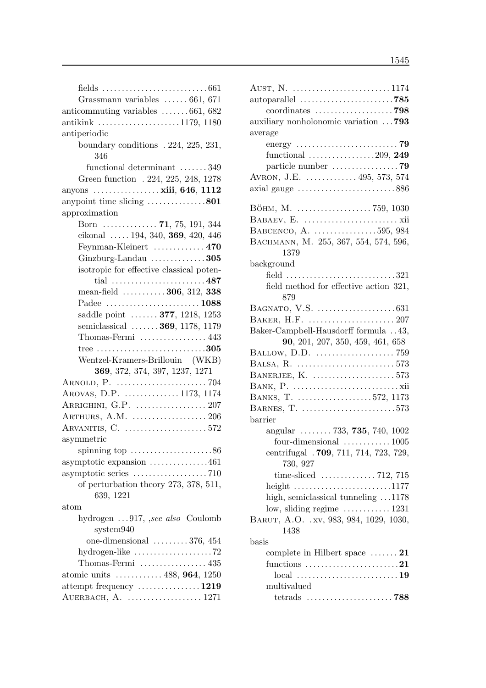| Grassmann variables  661, 671                                   |
|-----------------------------------------------------------------|
| anticommuting variables $\dots \dots 661,682$                   |
| antikink $\ldots \ldots \ldots \ldots \ldots \ldots 1179, 1180$ |
| antiperiodic                                                    |
| boundary conditions . 224, 225, 231,                            |
| 346                                                             |
| functional determinant 349                                      |
| Green function . 224, 225, 248, 1278                            |
| anyons  xiii, 646, 1112                                         |
| anypoint time slicing 801                                       |
| approximation                                                   |
| Born <b>71</b> , 75, 191, 344                                   |
| eikonal  194, 340, 369, 420, 446                                |
| Feynman-Kleinert  470                                           |
| Ginzburg-Landau $\dots\dots\dots\dots 305$                      |
|                                                                 |
| isotropic for effective classical poten-<br>tial 487            |
|                                                                 |
| mean-field $\ldots \ldots \ldots 306, 312, 338$                 |
| Padee 1088                                                      |
| saddle point  377, 1218, 1253                                   |
| semiclassical  369, 1178, 1179                                  |
| Thomas-Fermi  443                                               |
|                                                                 |
| Wentzel-Kramers-Brillouin (WKB)                                 |
| 369, 372, 374, 397, 1237, 1271                                  |
|                                                                 |
| AROVAS, D.P. 1173, 1174                                         |
| ARRIGHINI, G.P.  207                                            |
| ARTHURS, A.M.  206                                              |
|                                                                 |
| asymmetric                                                      |
| spinning top $\dots\dots\dots\dots\dots\dots 86$                |
| asymptotic expansion 461                                        |
|                                                                 |
| of perturbation theory 273, 378, 511,                           |
| 639, 1221                                                       |
| atom                                                            |
| hydrogen 917, <i>see also</i> Coulomb                           |
| system940                                                       |
| one-dimensional $\ldots \ldots \ldots 376, 454$                 |
| hydrogen-like $\ldots \ldots \ldots \ldots \ldots \ldots$ . 72  |
| Thomas-Fermi $\dots\dots\dots\dots\dots 435$                    |
| atomic units  488, 964, 1250                                    |
| attempt frequency $\dots \dots \dots \dots \dots 1219$          |
| AUERBACH, A.  1271                                              |
|                                                                 |

| auxiliary nonholonomic variation  793                                          |
|--------------------------------------------------------------------------------|
| average                                                                        |
|                                                                                |
| functional $\ldots \ldots \ldots \ldots \ldots 209$ , 249                      |
|                                                                                |
| AVRON, J.E.  495, 573, 574                                                     |
| axial gauge $\dots \dots \dots \dots \dots \dots \dots \dots \dots \dots \886$ |
|                                                                                |
| Вöнм, М.  759, 1030                                                            |
|                                                                                |
| BABCENCO, A. 595, 984                                                          |
| BACHMANN, M. 255, 367, 554, 574, 596,                                          |
| 1379                                                                           |
| background                                                                     |
| field 321                                                                      |
| field method for effective action 321,<br>879                                  |
|                                                                                |
|                                                                                |
| Baker-Campbell-Hausdorff formula 43,                                           |
| 90, 201, 207, 350, 459, 461, 658                                               |
|                                                                                |
|                                                                                |
| BANERJEE, K. 573                                                               |
|                                                                                |
| BANKS, T. 572, 1173                                                            |
| BARNES, T. 573                                                                 |
| barrier                                                                        |
| angular $\ldots \ldots \ldots 733, 735, 740, 1002$                             |
| four-dimensional $\ldots \ldots \ldots \ldots 1005$                            |
| centrifugal . 709, 711, 714, 723, 729,                                         |
| 730, 927                                                                       |
|                                                                                |
| height $\ldots \ldots \ldots \ldots \ldots \ldots \ldots 1177$                 |
| high, semiclassical tunneling $\dots$ 1178                                     |
| low, sliding regime $\dots \dots \dots \dots 1231$                             |
| BARUT, A.O. . xv, 983, 984, 1029, 1030,                                        |
| 1438                                                                           |
| basis                                                                          |
| complete in Hilbert space $\dots \dots 21$                                     |
| functions 21                                                                   |
|                                                                                |
| multivalued                                                                    |
|                                                                                |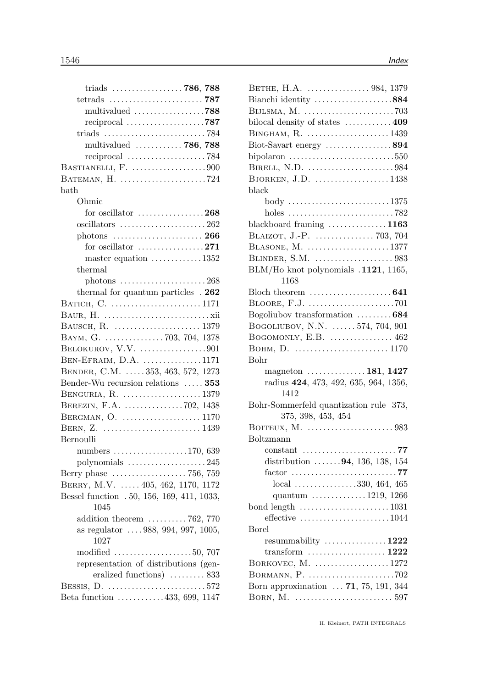| triads  786, 788                                             |  |
|--------------------------------------------------------------|--|
|                                                              |  |
| multivalued 788                                              |  |
| reciprocal 787                                               |  |
|                                                              |  |
| multivalued  786, 788                                        |  |
|                                                              |  |
| BASTIANELLI, F. 900                                          |  |
| BATEMAN, H. 724                                              |  |
| bath                                                         |  |
| Ohmic                                                        |  |
| for oscillator $\dots\dots\dots\dots\dots268$                |  |
| oscillators 262                                              |  |
|                                                              |  |
| for oscillator $\dots\dots\dots\dots\dots271$                |  |
| master equation $\dots \dots \dots \dots 1352$               |  |
| thermal                                                      |  |
|                                                              |  |
| thermal for quantum particles . 262                          |  |
| BATICH, C. 1171                                              |  |
|                                                              |  |
|                                                              |  |
| BAYM, G. 703, 704, 1378                                      |  |
| BELOKUROV, V.V. 901                                          |  |
| BEN-EFRAIM, D.A. 1171                                        |  |
| BENDER, C.M.  353, 463, 572, 1273                            |  |
| Bender-Wu recursion relations  353                           |  |
| BENGURIA, R. 1379                                            |  |
| BEREZIN, F.A. 702, 1438                                      |  |
| BERGMAN, O.  1170                                            |  |
|                                                              |  |
| Bernoulli                                                    |  |
| numbers $\ldots \ldots \ldots \ldots \ldots 170,639$         |  |
| polynomials 245                                              |  |
| Berry phase  756, 759                                        |  |
| BERRY, M.V.  405, 462, 1170, 1172                            |  |
| Bessel function . 50, 156, 169, 411, 1033,                   |  |
| 1045                                                         |  |
| addition theorem $\ldots \ldots \ldots 762$ , 770            |  |
| as regulator  988, 994, 997, 1005,                           |  |
| 1027                                                         |  |
| modified $\ldots \ldots \ldots \ldots \ldots \ldots 50, 707$ |  |
| representation of distributions (gen-                        |  |
| eralized functions)  833                                     |  |
|                                                              |  |
| Beta function 433, 699, 1147                                 |  |

| BETHE, H.A.  984, 1379                                                     |
|----------------------------------------------------------------------------|
| Bianchi identity 884                                                       |
|                                                                            |
| bilocal density of states  409                                             |
| BINGHAM, R.  1439                                                          |
| Biot-Savart energy 894                                                     |
| bipolaron $\ldots \ldots \ldots \ldots \ldots \ldots \ldots \ldots 550$    |
| BIRELL, N.D. 984                                                           |
| BJORKEN, J.D. 1438                                                         |
| black                                                                      |
| body 1375                                                                  |
| holes $\ldots \ldots \ldots \ldots \ldots \ldots \ldots \ldots \ldots$ 782 |
| blackboard framing 1163                                                    |
|                                                                            |
| BLASONE, M. 1377                                                           |
|                                                                            |
| BLM/Ho knot polynomials .1121, 1165,                                       |
| 1168                                                                       |
|                                                                            |
|                                                                            |
| Bogoliubov transformation 684                                              |
| BOGOLIUBOV, N.N.  574, 704, 901                                            |
| BOGOMONLY, E.B.  462                                                       |
|                                                                            |
| Bohr                                                                       |
| magneton $\dots\dots\dots\dots\dots 181, 1427$                             |
| radius 424, 473, 492, 635, 964, 1356,                                      |
| 1412                                                                       |
| Bohr-Sommerfeld quantization rule 373,                                     |
| 375, 398, 453, 454                                                         |
|                                                                            |
| Boltzmann                                                                  |
| 77<br>$constant$<br>المتمعا                                                |
| distribution $\ldots \ldots 94, 136, 138, 154$                             |
|                                                                            |
| $local$ 330, 464, 465                                                      |
| quantum $\ldots \ldots \ldots \ldots 1219, 1266$                           |
|                                                                            |
| effective $\dots\dots\dots\dots\dots\dots\dots1044$                        |
| <b>Borel</b>                                                               |
| resummability $\ldots \ldots \ldots \ldots 1222$                           |
| transform $\ldots \ldots \ldots \ldots \ldots \ldots 1222$                 |
| BORKOVEC, M. 1272                                                          |
|                                                                            |
| Born approximation  71, 75, 191, 344                                       |
|                                                                            |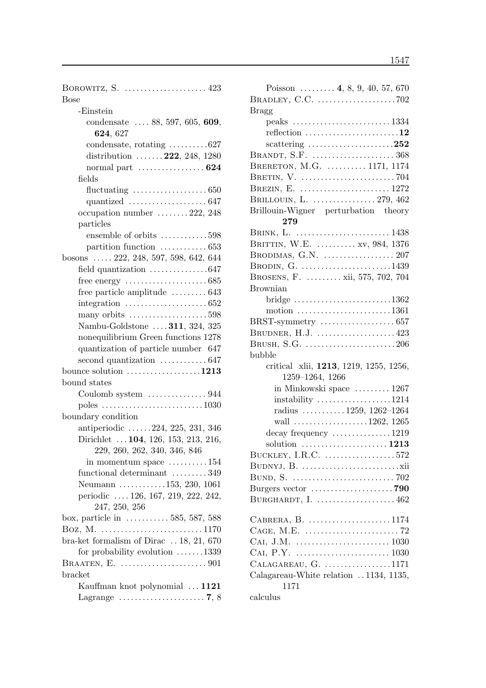| BOROWITZ, S. $\dots\dots\dots\dots\dots\dots423$<br><b>Bose</b>      |
|----------------------------------------------------------------------|
| -Einstein                                                            |
| condensate $\ldots$ 88, 597, 605, 609,                               |
| 624, 627                                                             |
| condensate, rotating $\dots \dots \dots 627$                         |
| distribution $\ldots \ldots 222, 248, 1280$                          |
| normal part $\dots \dots \dots \dots \dots 624$                      |
| fields                                                               |
| fluctuating $\ldots \ldots \ldots \ldots \ldots \ldots 650$          |
| quantized $\ldots \ldots \ldots \ldots \ldots \ldots 647$            |
| occupation number $\dots \dots 222$ , 248                            |
| particles                                                            |
| ensemble of orbits 598                                               |
| partition function $\dots \dots \dots \dots 653$                     |
| bosons $\ldots$ 222, 248, 597, 598, 642, 644                         |
| field quantization $\dots \dots \dots \dots \dots 647$               |
| free energy $\dots\dots\dots\dots\dots\dots 685$                     |
| free particle amplitude  643                                         |
| integration $\ldots \ldots \ldots \ldots \ldots \ldots \ldots 652$   |
| many orbits $\dots\dots\dots\dots\dots\dots 598$                     |
| Nambu-Goldstone  311, 324, 325                                       |
| nonequilibrium Green functions 1278                                  |
| quantization of particle number 647                                  |
| second quantization $\dots \dots \dots \dots 647$                    |
| bounce solution $\dots\dots\dots\dots\dots1213$                      |
| bound states                                                         |
| Coulomb system  944                                                  |
| poles $\ldots \ldots \ldots \ldots \ldots \ldots \ldots \ldots 1030$ |
| boundary condition                                                   |
| antiperiodic 224, 225, 231, 346                                      |
| Dirichlet  104, 126, 153, 213, 216,                                  |
| 229, 260, 262, 340, 346, 846                                         |
| in momentum space $\dots \dots \dots 154$                            |
| functional determinant  349                                          |
| Neumann 153, 230, 1061                                               |
| periodic  126, 167, 219, 222, 242,                                   |
| 247, 250, 256                                                        |
| box, particle in  585, 587, 588                                      |
| Boz, M. 1170                                                         |
| bra-ket formalism of Dirac $\ldots$ 18, 21, 670                      |
| for probability evolution $\ldots \ldots 1339$                       |
| BRAATEN, E. $\dots\dots\dots\dots\dots\dots\dots901$                 |
| bracket                                                              |
| Kauffman knot polynomial  1121                                       |
| Lagrange $\dots\dots\dots\dots\dots\dots\dots$ 7, 8                  |

| Poisson $\dots \dots$ 4, 8, 9, 40, 57, 670                        |
|-------------------------------------------------------------------|
|                                                                   |
| <b>Bragg</b>                                                      |
|                                                                   |
| reflection 12                                                     |
| scattering $\ldots \ldots \ldots \ldots \ldots \ldots \ldots 252$ |
| BRANDT, S.F.  368                                                 |
| BRERETON, M.G.  1171, 1174                                        |
|                                                                   |
| BREZIN, E.  1272                                                  |
| BRILLOUIN, L.  279, 462                                           |
| Brillouin-Wigner perturbation theory                              |
| 279                                                               |
| BRINK, L.  1438                                                   |
| BRITTIN, W.E.  xv, 984, 1376                                      |
| BRODIMAS, G.N.  207                                               |
| BRODIN, G. 1439                                                   |
| BROSENS, F.  xii, 575, 702, 704                                   |
| <b>Brownian</b>                                                   |
| bridge $\ldots \ldots \ldots \ldots \ldots \ldots \ldots 1362$    |
| motion $\ldots \ldots \ldots \ldots \ldots \ldots \ldots 1361$    |
|                                                                   |
| BRUDNER, H.J. 423                                                 |
| BRUSH, S.G. 206                                                   |
| bubble                                                            |
| critical xlii, 1213, 1219, 1255, 1256,                            |
| 1259-1264, 1266                                                   |
| in Minkowski space  1267                                          |
|                                                                   |
| radius $\ldots \ldots \ldots 1259, 1262-1264$                     |
| wall $\ldots \ldots \ldots \ldots \ldots \ldots 1262, 1265$       |
| decay frequency 1219                                              |
|                                                                   |
| BUCKLEY, I.R.C. 572                                               |
|                                                                   |
|                                                                   |
|                                                                   |
| BURGHARDT, I. 462                                                 |
|                                                                   |
| CABRERA, B. $\dots\dots\dots\dots\dots\dots1174$                  |
|                                                                   |
|                                                                   |
|                                                                   |
| CALAGAREAU, G. 1171                                               |
| Calagareau-White relation 1134, 1135,<br>1171                     |
| calculus                                                          |
|                                                                   |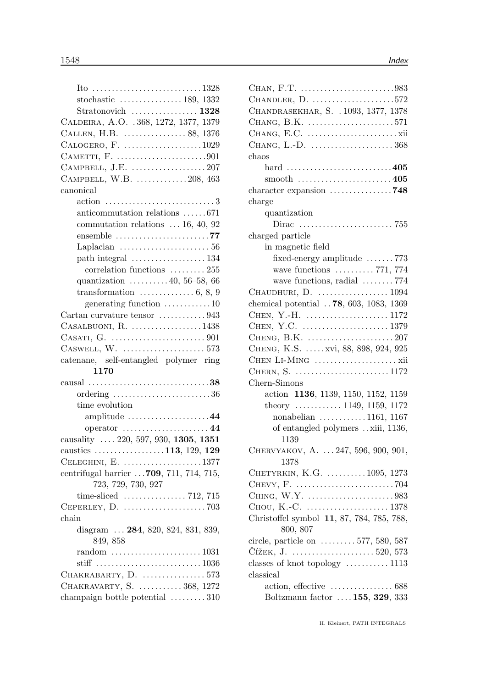| CHANDLER, D. 572                                                     |
|----------------------------------------------------------------------|
| CHANDRASEKHAR, S. . 1093, 1377, 1378                                 |
| CHANG, B.K. 571                                                      |
|                                                                      |
|                                                                      |
| chaos                                                                |
| hard 405                                                             |
|                                                                      |
| character expansion $\dots\dots\dots\dots\dots$ 748                  |
| charge                                                               |
| quantization                                                         |
|                                                                      |
| charged particle                                                     |
| in magnetic field                                                    |
| fixed-energy amplitude 773                                           |
| wave functions $\ldots \ldots \ldots 771, 774$                       |
| wave functions, radial  774                                          |
| CHAUDHURI, D.  1094                                                  |
| chemical potential  78, 603, 1083, 1369                              |
|                                                                      |
|                                                                      |
|                                                                      |
| CHENG, K.S.  xvi, 88, 898, 924, 925                                  |
|                                                                      |
| CHERN, S. 1172                                                       |
| Chern-Simons                                                         |
| action 1136, 1139, 1150, 1152, 1159                                  |
| theory $\ldots \ldots \ldots \ldots 1149, 1159, 1172$                |
| nonabelian $\ldots \ldots \ldots 1161$ , 1167                        |
| of entangled polymers xiii, 1136,                                    |
| 1139                                                                 |
| CHERVYAKOV, A.  247, 596, 900, 901,                                  |
| 1378                                                                 |
| CHETYRKIN, K.G.  1095, 1273                                          |
|                                                                      |
| CHING, W.Y. 983                                                      |
|                                                                      |
| Christoffel symbol 11, 87, 784, 785, 788,                            |
| 800, 807                                                             |
| circle, particle on $\dots \dots \dots 577, 580, 587$                |
|                                                                      |
| classes of knot topology  1113                                       |
| classical                                                            |
| $\alpha$ action, effective $\dots \dots \dots \dots \dots \dots 688$ |
| Boltzmann factor  155, 329, 333                                      |
|                                                                      |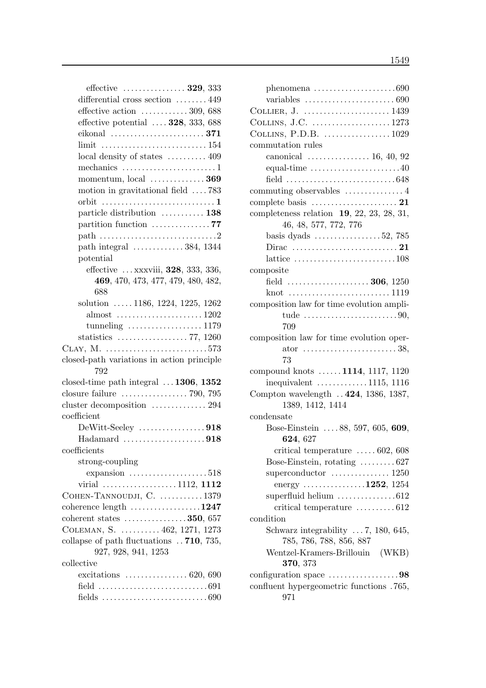| effective $\ldots$ 329, 333                                                 |
|-----------------------------------------------------------------------------|
| differential cross section  449                                             |
| effective action $\dots \dots \dots \dots 309,688$                          |
| effective potential $\ldots$ 328, 333, 688                                  |
| eikonal $\ldots \ldots \ldots \ldots \ldots \ldots \ldots 371$              |
|                                                                             |
| local density of states  409                                                |
| mechanics 1                                                                 |
| momentum, $local$ 369                                                       |
| motion in gravitational field 783                                           |
|                                                                             |
| particle distribution  138                                                  |
| partition function $\dots\dots\dots\dots\dots$ 77                           |
|                                                                             |
| path integral $\ldots \ldots \ldots \ldots 384$ , 1344                      |
| potential                                                                   |
| effective  xxxviii, 328, 333, 336,                                          |
| 469, 470, 473, 477, 479, 480, 482,                                          |
| 688                                                                         |
| solution $\ldots$ 1186, 1224, 1225, 1262                                    |
| almost $\ldots \ldots \ldots \ldots \ldots \ldots 1202$                     |
| tunneling $\ldots \ldots \ldots \ldots \ldots 1179$                         |
|                                                                             |
|                                                                             |
| closed-path variations in action principle                                  |
| 792                                                                         |
| closed-time path integral $\dots$ 1306, 1352                                |
|                                                                             |
| cluster decomposition  294                                                  |
| coefficient                                                                 |
|                                                                             |
| $Hadamard$ 918<br>coefficients                                              |
|                                                                             |
| strong-coupling                                                             |
| expansion $\ldots \ldots \ldots \ldots \ldots 518$<br>virial 1112, 1112     |
| COHEN-TANNOUDJI, C.  1379                                                   |
| coherence length 1247                                                       |
| coherent states 350, 657                                                    |
| COLEMAN, S.  462, 1271, 1273                                                |
| collapse of path fluctuations  710, 735,                                    |
| 927, 928, 941, 1253                                                         |
| collective                                                                  |
| excitations $\ldots \ldots \ldots \ldots \ldots 620, 690$                   |
| field $\dots\dots\dots\dots\dots\dots\dots\dots\dots691$                    |
| fields $\ldots \ldots \ldots \ldots \ldots \ldots \ldots \ldots \ldots 690$ |

| phenomena $\ldots \ldots \ldots \ldots \ldots \ldots \ldots 690$                  |
|-----------------------------------------------------------------------------------|
| variables $\ldots \ldots \ldots \ldots \ldots \ldots \ldots \ldots 690$           |
|                                                                                   |
| COLLINS, J.C. 1273                                                                |
| COLLINS, P.D.B. $\dots\dots\dots\dots\dots 1029$                                  |
| commutation rules                                                                 |
| canonical $\ldots \ldots \ldots \ldots \ldots 16, 40, 92$                         |
| equal-time $\dots\dots\dots\dots\dots\dots\dots40$                                |
| field $\ldots \ldots \ldots \ldots \ldots \ldots \ldots \ldots \ldots \ldots 648$ |
| commuting observables $\dots\dots\dots\dots\dots$                                 |
| complete basis $\dots \dots \dots \dots \dots \dots \dots 21$                     |
| completeness relation $19, 22, 23, 28, 31,$                                       |
| 46, 48, 577, 772, 776                                                             |
| basis dyads $\dots \dots \dots \dots \dots 52$ , 785                              |
|                                                                                   |
| lattice $\dots \dots \dots \dots \dots \dots \dots \dots \dots 108$               |
| composite                                                                         |
| field  306, 1250                                                                  |
|                                                                                   |
| composition law for time evolution ampli-                                         |
| tude $\ldots \ldots \ldots \ldots \ldots \ldots \ldots \ldots 90$                 |
| 709                                                                               |
| composition law for time evolution oper-                                          |
| ator $\ldots \ldots \ldots \ldots \ldots \ldots \ldots 38$                        |
| 73                                                                                |
| compound knots  1114, 1117, 1120                                                  |
| inequivalent $\ldots \ldots \ldots \ldots 1115, 1116$                             |
| Compton wavelength  424, 1386, 1387,                                              |
| 1389, 1412, 1414                                                                  |
| $\rm condensate$                                                                  |
| Bose-Einstein 88, 597, 605, 609,                                                  |
| 624, 627                                                                          |
| critical temperature $\ldots \ldots 602, 608$                                     |
| Bose-Einstein, rotating $\dots \dots \dots 627$                                   |
| superconductor $\dots\dots\dots\dots 1250$                                        |
| energy 1252, 1254                                                                 |
| superfluid helium $\ldots \ldots \ldots \ldots \ldots 612$                        |
| critical temperature  612                                                         |
| condition                                                                         |
| Schwarz integrability $\ldots$ 7, 180, 645,                                       |
| 785, 786, 788, 856, 887                                                           |
| Wentzel-Kramers-Brillouin (WKB)                                                   |
| 370, 373                                                                          |
| configuration space $\dots\dots\dots\dots\dots98$                                 |
| confluent hypergeometric functions .765,                                          |
| 971                                                                               |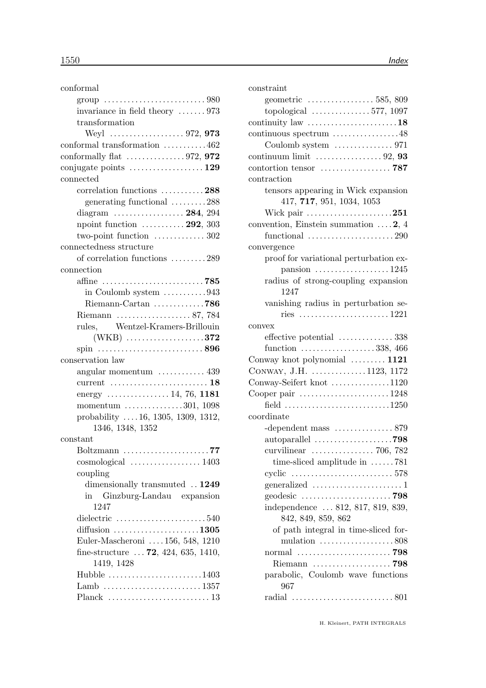| conformal                                                                  |
|----------------------------------------------------------------------------|
| group $\ldots \ldots \ldots \ldots \ldots \ldots \ldots \ldots \ldots 980$ |
| invariance in field theory $\dots \dots 973$                               |
| transformation                                                             |
|                                                                            |
| conformal transformation 462                                               |
| conformally flat $\ldots \ldots \ldots \ldots \ldots 972$ , 972            |
| conjugate points $\dots \dots \dots \dots \dots \dots 129$                 |
| connected                                                                  |
| correlation functions 288                                                  |
| generating functional 288                                                  |
|                                                                            |
| npoint function $\ldots \ldots \ldots 292$ , 303                           |
| two-point function $\dots\dots\dots\dots 302$                              |
| connectedness structure                                                    |
| of correlation functions 289                                               |
| connection                                                                 |
| affine $\dots\dots\dots\dots\dots\dots\dots\dots 785$                      |
| in Coulomb system $\ldots \ldots \ldots \ldots 943$                        |
|                                                                            |
| Riemann  87, 784                                                           |
| rules, Wentzel-Kramers-Brillouin                                           |
| $(WKB)$ 372                                                                |
| spin $\ldots$ 896                                                          |
| conservation law                                                           |
| angular momentum $\dots \dots \dots \dots$ 439                             |
| current $\ldots \ldots \ldots \ldots \ldots \ldots \ldots 18$              |
| energy $\ldots \ldots \ldots \ldots \ldots 14, 76, 1181$                   |
| momentum $\ldots \ldots \ldots \ldots 301, 1098$                           |
| probability  16, 1305, 1309, 1312,                                         |
| 1346, 1348, 1352                                                           |
| constant                                                                   |
|                                                                            |
|                                                                            |
| coupling                                                                   |
| dimensionally transmuted . 1249                                            |
| Ginzburg-Landau expansion<br>in                                            |
| 1247                                                                       |
| dielectric $\ldots \ldots \ldots \ldots \ldots \ldots 540$                 |
| diffusion $\ldots \ldots \ldots \ldots \ldots \ldots \ldots 1305$          |
| Euler-Mascheroni  156, 548, 1210                                           |
| fine-structure $\ldots$ 72, 424, 635, 1410,                                |
| 1419, 1428                                                                 |
| Hubble $\dots\dots\dots\dots\dots\dots\dots1403$                           |
|                                                                            |
|                                                                            |

| constraint                                                    |
|---------------------------------------------------------------|
|                                                               |
| topological $\ldots \ldots \ldots \ldots 577, 1097$           |
| continuity law $\dots\dots\dots\dots\dots\dots\dots 18$       |
| continuous spectrum 48                                        |
| Coulomb system  971                                           |
| continuum limit $\ldots \ldots \ldots \ldots \ldots 92, 93$   |
|                                                               |
| contraction                                                   |
| tensors appearing in Wick expansion                           |
| 417, 717, 951, 1034, 1053                                     |
| Wick pair $\dots \dots \dots \dots \dots \dots 251$           |
| convention, Einstein summation $\dots$ 2, 4                   |
| functional $\ldots \ldots \ldots \ldots \ldots \ldots 290$    |
| convergence                                                   |
| proof for variational perturbation ex-                        |
| pansion $\ldots \ldots \ldots \ldots \ldots 1245$             |
| radius of strong-coupling expansion                           |
| 1247                                                          |
|                                                               |
| vanishing radius in perturbation se-                          |
|                                                               |
| convex                                                        |
| effective potential  338                                      |
| function $\ldots \ldots \ldots \ldots \ldots \ldots 338, 466$ |
| Conway knot polynomial $\ldots \ldots \ldots 1121$            |
| CONWAY, J.H. 1123, 1172                                       |
| Conway-Seifert knot 1120                                      |
| Cooper pair 1248                                              |
| field 1250                                                    |
| coordinate                                                    |
|                                                               |
|                                                               |
| curvilinear $\ldots \ldots \ldots \ldots \ldots$ 706, 782     |
| time-sliced amplitude in $\dots \dots 781$                    |
|                                                               |
|                                                               |
|                                                               |
| independence  812, 817, 819, 839,                             |
| 842, 849, 859, 862                                            |
| of path integral in time-sliced for-                          |
| mulation $\ldots \ldots \ldots \ldots \ldots \ldots 808$      |
|                                                               |
| Riemann  798                                                  |
| parabolic, Coulomb wave functions                             |
| 967                                                           |
|                                                               |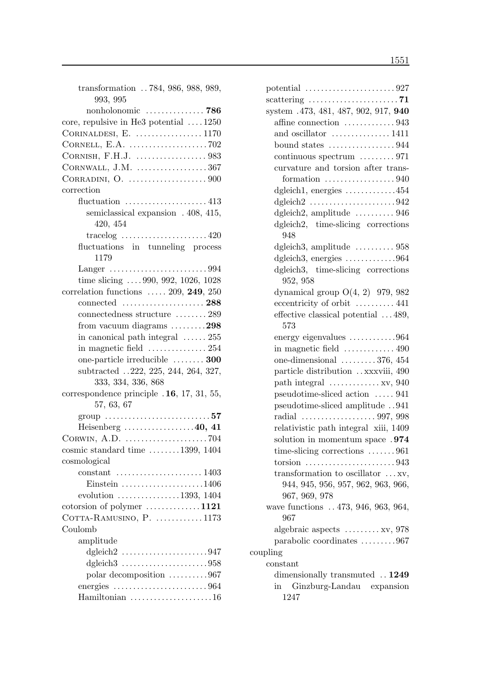| transformation 784, 986, 988, 989,                                      |
|-------------------------------------------------------------------------|
| 993, 995                                                                |
| nonholonomic $\ldots \ldots \ldots \ldots$ 786                          |
| core, repulsive in He3 potential $\dots$ 1250                           |
| CORINALDESI, E. $\ldots$ 1170                                           |
|                                                                         |
|                                                                         |
|                                                                         |
| CORNWALL, J.M. 367                                                      |
|                                                                         |
| correction                                                              |
| fluctuation $\ldots \ldots \ldots \ldots \ldots \ldots 413$             |
| semiclassical expansion . 408, 415,                                     |
| 420, 454                                                                |
|                                                                         |
| fluctuations in tunneling process                                       |
| 1179                                                                    |
| Langer $\dots\dots\dots\dots\dots\dots\dots994$                         |
| time slicing $\ldots$ 990, 992, 1026, 1028                              |
| correlation functions $\ldots$ 209, 249, 250                            |
| connected  288                                                          |
| connectedness structure  289                                            |
| from vacuum diagrams $\dots \dots \dots 298$                            |
| in canonical path integral $\ldots \ldots 255$                          |
|                                                                         |
| one-particle irreducible  300                                           |
| subtracted 222, 225, 244, 264, 327,                                     |
| 333, 334, 336, 868                                                      |
| correspondence principle .16, 17, 31, 55,                               |
| 57, 63, 67                                                              |
|                                                                         |
| Heisenberg $\ldots \ldots \ldots \ldots \ldots 40, 41$                  |
| CORWIN, A.D. $\dots\dots\dots\dots\dots\dots\dots 704$                  |
| cosmic standard time $\ldots \ldots \ldots 1399, 1404$                  |
| cosmological                                                            |
| constant                                                                |
| Einstein 1406                                                           |
| evolution 1393, 1404                                                    |
| cotorsion of polymer 1121                                               |
| COTTA-RAMUSINO, P. $\dots \dots \dots \dots 1173$                       |
| Coulomb                                                                 |
|                                                                         |
| amplitude                                                               |
| dgleich $2 \ldots \ldots \ldots \ldots \ldots \ldots \ldots 947$        |
| dgleich $3 \ldots \ldots \ldots \ldots \ldots \ldots \ldots \ldots 958$ |
| polar decomposition 967                                                 |
| energies $\ldots \ldots \ldots \ldots \ldots \ldots \ldots \ldots 964$  |
| Hamiltonian $\ldots \ldots \ldots \ldots \ldots \ldots 16$              |

| potential $\ldots \ldots \ldots \ldots \ldots \ldots \ldots 927$   |
|--------------------------------------------------------------------|
| scattering $\ldots \ldots \ldots \ldots \ldots \ldots \ldots$ . 71 |
| system .473, 481, 487, 902, 917, 940                               |
| affine connection 943                                              |
| and oscillator  1411                                               |
| bound states $\dots\dots\dots\dots\dots944$                        |
| continuous spectrum $\ldots \ldots \ldots$ 971                     |
| curvature and torsion after trans-                                 |
| formation $\ldots \ldots \ldots \ldots \ldots 940$                 |
| dgleich1, energies 454                                             |
| dgleich $2 \ldots \ldots \ldots \ldots \ldots \ldots \ldots 942$   |
| dgleich2, amplitude  946                                           |
| dgleich2, time-slicing corrections<br>948                          |
| dgleich3, amplitude $\ldots \ldots \ldots 958$                     |
| dgleich3, energies $\dots\dots\dots\dots964$                       |
| dgleich3, time-slicing corrections<br>952, 958                     |
| dynamical group $O(4, 2)$ 979, 982                                 |
| eccentricity of orbit  441                                         |
| effective classical potential $\dots$ 489,<br>573                  |
| energy eigenvalues 964                                             |
| in magnetic field $\dots\dots\dots\dots 490$                       |
| one-dimensional $\ldots \ldots \ldots 376, 454$                    |
| particle distribution xxxviii, 490                                 |
| path integral $\dots \dots \dots \dots xy$ , 940                   |
| pseudotime-sliced action  941                                      |
| pseudotime-sliced amplitude 941                                    |
| radial 997, 998                                                    |
| relativistic path integral xiii, 1409                              |
| solution in momentum space .974                                    |
| time-slicing corrections 961                                       |
|                                                                    |
| transformation to oscillator $\dots$ xv,                           |
| 944, 945, 956, 957, 962, 963, 966,<br>967, 969, 978                |
| wave functions  473, 946, 963, 964,                                |
| 967                                                                |
| algebraic aspects $\dots \dots \dots xy$ , 978                     |
| parabolic coordinates 967                                          |
| coupling                                                           |
| constant                                                           |
| dimensionally transmuted . 1249                                    |
| Ginzburg-Landau expansion<br>in                                    |
| 1247                                                               |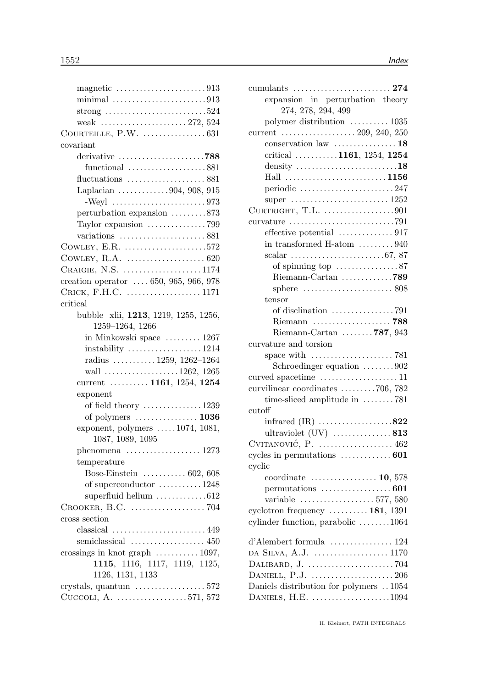| strong $\ldots \ldots \ldots \ldots \ldots \ldots \ldots \ldots 524$ |
|----------------------------------------------------------------------|
|                                                                      |
|                                                                      |
| covariant                                                            |
| derivative 788                                                       |
| functional $\ldots \ldots \ldots \ldots \ldots \ldots$ 881           |
| fluctuations $\dots\dots\dots\dots\dots 881$                         |
| Laplacian 904, 908, 915                                              |
|                                                                      |
| perturbation expansion 873                                           |
| Taylor expansion 799                                                 |
|                                                                      |
| COWLEY, E.R. $\dots\dots\dots\dots\dots\dots\dots572$                |
|                                                                      |
| CRAIGIE, N.S. 1174                                                   |
| creation operator  650, 965, 966, 978                                |
| CRICK, F.H.C. 1171                                                   |
| critical                                                             |
| bubble xlii, 1213, 1219, 1255, 1256,                                 |
| 1259-1264, 1266                                                      |
| in Minkowski space  1267                                             |
| $\text{instability}$ 1214                                            |
| radius $\ldots \ldots \ldots 1259, 1262-1264$                        |
| wall 1262, 1265                                                      |
| current $\ldots \ldots \ldots 1161, 1254, 1254$                      |
| exponent                                                             |
| of field theory $\dots \dots \dots \dots \dots 1239$                 |
| of polymers $\dots\dots\dots\dots\dots$ 1036                         |
| exponent, polymers $\dots$ 1074, 1081,                               |
| 1087, 1089, 1095                                                     |
| phenomena $\ldots$ 1273                                              |
| temperature                                                          |
| Bose-Einstein $\ldots \ldots \ldots 602, 608$                        |
| of superconductor 1248                                               |
| superfluid helium 612                                                |
|                                                                      |
| cross section                                                        |
| $classical$ 449                                                      |
|                                                                      |
| crossings in knot graph $\ldots \ldots \ldots \ldots 1097$ ,         |
| 1115, 1116, 1117, 1119, 1125,                                        |
| 1126, 1131, 1133                                                     |
| crystals, quantum $\ldots \ldots \ldots \ldots \ldots 572$           |
| CUCCOLI, A. 571, 572                                                 |
|                                                                      |

| expansion in perturbation theory                                          |
|---------------------------------------------------------------------------|
| 274, 278, 294, 499                                                        |
| polymer distribution  1035                                                |
| current $\ldots \ldots \ldots \ldots \ldots \ldots 209, 240, 250$         |
| conservation law $\dots\dots\dots\dots\dots 18$                           |
| critical 1161, 1254, 1254                                                 |
| density $\dots \dots \dots \dots \dots \dots \dots \dots 18$              |
| Hall                                                                      |
| periodic 247                                                              |
| super $\ldots \ldots \ldots \ldots \ldots \ldots \ldots 1252$             |
| CURTRIGHT, T.L. $\dots\dots\dots\dots\dots901$                            |
| curvature $\ldots \ldots \ldots \ldots \ldots \ldots \ldots \ldots$ . 791 |
| effective potential 917                                                   |
| in transformed H-atom $\dots \dots \dots 940$                             |
| scalar $\ldots \ldots \ldots \ldots \ldots \ldots \ldots \ldots 67, 87$   |
| of spinning top $\dots \dots \dots \dots \dots 87$                        |
|                                                                           |
| sphere $\ldots \ldots \ldots \ldots \ldots \ldots \ldots 808$             |
| tensor                                                                    |
|                                                                           |
| Riemann 788                                                               |
| Riemann-Cartan $\ldots \ldots \ldots$ 787, 943                            |
| curvature and torsion                                                     |
|                                                                           |
| Schroedinger equation 902                                                 |
|                                                                           |
| curvilinear coordinates $\ldots \ldots \ldots$ . 706, 782                 |
| time-sliced amplitude in 781                                              |
| cutoff                                                                    |
| infrared $(IR)$ 822                                                       |
|                                                                           |
|                                                                           |
| cycles in permutations $\dots \dots \dots \dots 601$                      |
| cyclic                                                                    |
| coordinate $\ldots$ 10, 578                                               |
|                                                                           |
| variable $\ldots \ldots \ldots \ldots \ldots \ldots 577, 580$             |
| cyclotron frequency $\dots \dots \dots 181$ , 1391                        |
| cylinder function, parabolic 1064                                         |
|                                                                           |
| d'Alembert formula  124                                                   |
|                                                                           |
|                                                                           |
|                                                                           |
| Daniels distribution for polymers  1054                                   |
| DANIELS, H.E. 1094                                                        |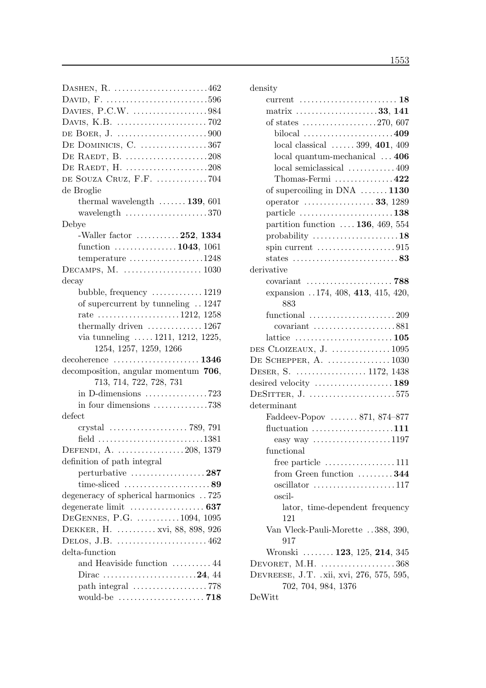| DASHEN, $R.$ 462                                                            |
|-----------------------------------------------------------------------------|
|                                                                             |
|                                                                             |
|                                                                             |
|                                                                             |
| DE DOMINICIS, C. 367                                                        |
| DE RAEDT, B. 208                                                            |
| DE RAEDT, H. 208                                                            |
| DE SOUZA CRUZ, F.F. 704                                                     |
| de Broglie                                                                  |
| thermal wavelength $\ldots \ldots$ 139, 601                                 |
| wavelength $\ldots \ldots \ldots \ldots \ldots \ldots 370$                  |
| Debye                                                                       |
| -Waller factor $\dots \dots \dots 252$ , 1334                               |
| function $\ldots \ldots \ldots \ldots \ldots 1043, 1061$                    |
| temperature $\dots \dots \dots \dots \dots \dots 1248$                      |
|                                                                             |
| decay                                                                       |
| bubble, frequency $\dots \dots \dots \dots 1219$                            |
| of supercurrent by tunneling  1247                                          |
| rate 1212, 1258                                                             |
| thermally driven $\dots\dots\dots\dots 1267$                                |
| via tunneling $\ldots$ 1211, 1212, 1225,                                    |
| 1254, 1257, 1259, 1266                                                      |
|                                                                             |
| decomposition, angular momentum 706,                                        |
| 713, 714, 722, 728, 731                                                     |
| in D-dimensions $\ldots \ldots \ldots \ldots \ldots$ 723                    |
| in four dimensions 738                                                      |
| defect                                                                      |
|                                                                             |
| field $\ldots \ldots \ldots \ldots \ldots \ldots \ldots \ldots \ldots 1381$ |
| DEFENDI, A. 208, 1379                                                       |
| definition of path integral                                                 |
| perturbative $\dots\dots\dots\dots\dots\dots 287$                           |
| time-sliced $\ldots \ldots \ldots \ldots \ldots \ldots$ 89                  |
| degeneracy of spherical harmonics  725                                      |
|                                                                             |
| DEGENNES, P.G.  1094, 1095                                                  |
| DEKKER, H.  xvi, 88, 898, 926                                               |
| DELOS, J.B. $\dots\dots\dots\dots\dots\dots\dots462$                        |
| delta-function                                                              |
| and Heaviside function  44                                                  |
|                                                                             |
|                                                                             |
|                                                                             |

| density                                                             |
|---------------------------------------------------------------------|
| current $\dots\dots\dots\dots\dots\dots\dots\dots$ 18               |
| matrix 33, 141                                                      |
| of states $\dots \dots \dots \dots \dots \dots 270, 607$            |
| bilocal $\ldots \ldots \ldots \ldots \ldots \ldots \ldots 409$      |
| local classical $\ldots \ldots 399, 401, 409$                       |
| local quantum-mechanical  406                                       |
| local semiclassical  409                                            |
| Thomas-Fermi $\dots\dots\dots\dots422$                              |
| of supercoiling in DNA $\ldots \ldots$ 1130                         |
| operator  33, 1289                                                  |
| particle $\dots \dots \dots \dots \dots \dots \dots \dots 138$      |
| partition function  136, 469, 554                                   |
| probability $\dots \dots \dots \dots \dots \dots \dots 18$          |
| spin current $\ldots \ldots \ldots \ldots \ldots \ldots 915$        |
| states $\ldots \ldots \ldots \ldots \ldots \ldots \ldots \ldots 83$ |
| derivative                                                          |
|                                                                     |
| expansion 174, 408, 413, 415, 420,                                  |
| 883                                                                 |
| functional $\ldots \ldots \ldots \ldots \ldots \ldots 209$          |
| covariant 881                                                       |
| lattice $\ldots \ldots \ldots \ldots \ldots \ldots \ldots 105$      |
| DES CLOIZEAUX, J. $\dots \dots \dots \dots \dots \dots 1095$        |
|                                                                     |
| DESER, S.  1172, 1438                                               |
| desired velocity  189                                               |
| DESITTER, $J.$ 575                                                  |
| determinant                                                         |
| Faddeev-Popov  871, 874–877                                         |
| fluctuation $\dots\dots\dots\dots\dots\dots111$                     |
| easy way $\ldots$ 1197                                              |
| functional                                                          |
| free particle $\dots \dots \dots \dots \dots \dots 111$             |
| from Green function $\dots \dots 344$                               |
|                                                                     |
| oscil-                                                              |
| lator, time-dependent frequency                                     |
| 121                                                                 |
| Van Vleck-Pauli-Morette 388, 390,                                   |
| 917                                                                 |
| Wronski  123, 125, 214, 345                                         |
| DEVORET, M.H. $\dots\dots\dots\dots\dots368$                        |
| DEVREESE, J.T. .xii, xvi, 276, 575, 595,                            |
| 702, 704, 984, 1376                                                 |
| DeWitt                                                              |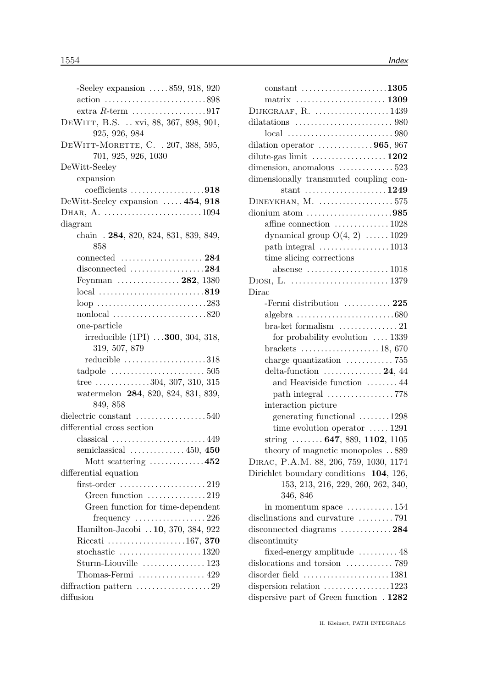| -Seeley expansion $\ldots$ 859, 918, 920                               |
|------------------------------------------------------------------------|
| action 898                                                             |
| extra $R$ -term $\ldots \ldots \ldots \ldots \ldots \ldots \ldots 917$ |
| DEWITT, B.S.  xvi, 88, 367, 898, 901,                                  |
| 925, 926, 984                                                          |
| DEWITT-MORETTE, C. . 207, 388, 595,                                    |
| 701, 925, 926, 1030                                                    |
| DeWitt-Seeley                                                          |
| expansion                                                              |
| coefficients 918                                                       |
| DeWitt-Seeley expansion  454, 918                                      |
| DHAR, A. 1094                                                          |
| diagram                                                                |
| chain . 284, 820, 824, 831, 839, 849,                                  |
| 858                                                                    |
| connected  284                                                         |
| disconnected $\ldots \ldots \ldots \ldots \ldots 284$                  |
| Feynman  282, 1380                                                     |
|                                                                        |
|                                                                        |
|                                                                        |
| one-particle                                                           |
| irreducible (1PI)  300, 304, 318,                                      |
| 319, 507, 879                                                          |
| reducible 318                                                          |
|                                                                        |
| tree $\dots \dots \dots \dots 304$ , 307, 310, 315                     |
| watermelon 284, 820, 824, 831, 839,                                    |
| 849, 858                                                               |
| dielectric constant 540                                                |
| differential cross section                                             |
| $classical$ 449                                                        |
| semiclassical $\ldots$ 450, 450                                        |
| Mott scattering $\ldots \ldots \ldots \ldots 452$                      |
| differential equation                                                  |
|                                                                        |
| Green function $\dots\dots\dots\dots 219$                              |
| Green function for time-dependent                                      |
|                                                                        |
| Hamilton-Jacobi  10, 370, 384, 922                                     |
| Riccati 167, 370                                                       |
|                                                                        |
|                                                                        |
| Thomas-Fermi $\dots\dots\dots\dots\dots$ 429                           |
| diffraction pattern 29                                                 |
| diffusion                                                              |
|                                                                        |

| $constant$ 1305                                                              |
|------------------------------------------------------------------------------|
| matrix  1309                                                                 |
| DIJKGRAAF, $R.$ 1439                                                         |
| dilatations $\ldots \ldots \ldots \ldots \ldots \ldots \ldots \ldots$ 980    |
|                                                                              |
| dilation operator $\dots \dots \dots \dots 965$ , 967                        |
|                                                                              |
| dimension, anomalous $\dots \dots \dots \dots 523$                           |
| dimensionally transmuted coupling con-                                       |
| stant 1249                                                                   |
| $D$ INEYKHAN, M. 575                                                         |
| dionium atom $\dots\dots\dots\dots\dots\dots985$                             |
| affine connection 1028                                                       |
| dynamical group $O(4, 2) \dots \dots 1029$                                   |
| path integral $\dots \dots \dots \dots \dots \dots 1013$                     |
| time slicing corrections                                                     |
|                                                                              |
|                                                                              |
| Dirac                                                                        |
| -Fermi distribution $\dots\dots\dots 225$                                    |
| $algebra \ldots \ldots \ldots \ldots \ldots \ldots \ldots \ldots \ldots 680$ |
| bra-ket formalism $\dots\dots\dots\dots\dots$ 21                             |
| for probability evolution $\ldots$ 1339                                      |
| brackets $\ldots \ldots \ldots \ldots \ldots \ldots 18,670$                  |
| charge quantization $\ldots \ldots \ldots \ldots$ 755                        |
| delta-function $\ldots \ldots \ldots \ldots 24, 44$                          |
| and Heaviside function  44                                                   |
|                                                                              |
| interaction picture                                                          |
| generating functional 1298                                                   |
| time evolution operator $\dots$ 1291                                         |
| string $\ldots \ldots 647, 889, 1102, 1105$                                  |
| theory of magnetic monopoles $\,.\,.\,889$                                   |
| DIRAC, P.A.M. 88, 206, 759, 1030, 1174                                       |
| Dirichlet boundary conditions 104, 126,                                      |
| 153, 213, 216, 229, 260, 262, 340,                                           |
| 346, 846                                                                     |
| in momentum space $\dots \dots \dots \dots 154$                              |
| disclinations and curvature 791                                              |
| disconnected diagrams  284                                                   |
| discontinuity                                                                |
| fixed-energy amplitude $\dots\dots\dots 48$                                  |
| dislocations and torsion  789                                                |
| disorder field  1381                                                         |
| dispersion relation $\ldots \ldots \ldots \ldots 1223$                       |
| dispersive part of Green function . 1282                                     |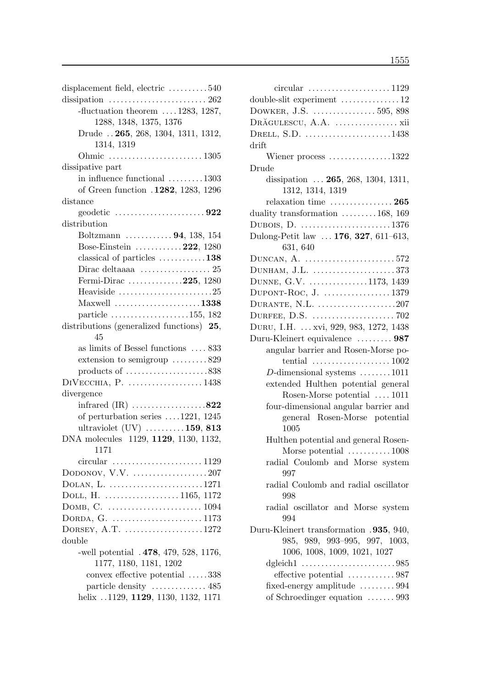| displacement field, electric 540                                   |
|--------------------------------------------------------------------|
| dissipation $\ldots \ldots \ldots \ldots \ldots \ldots \ldots 262$ |
| -fluctuation theorem $\ldots$ 1283, 1287,                          |
| 1288, 1348, 1375, 1376                                             |
| Drude  265, 268, 1304, 1311, 1312,                                 |
| 1314, 1319                                                         |
|                                                                    |
| dissipative part                                                   |
| in influence functional 1303                                       |
| of Green function .1282, 1283, 1296                                |
| distance                                                           |
| geodetic $\ldots \ldots \ldots \ldots \ldots \ldots \ldots 922$    |
| distribution                                                       |
| Boltzmann $\ldots \ldots \ldots \ldots 94, 138, 154$               |
| Bose-Einstein $\ldots \ldots \ldots 222$ , 1280                    |
| classical of particles $\dots \dots \dots \dots 138$               |
|                                                                    |
| Fermi-Dirac 225, 1280                                              |
| Heaviside $\ldots \ldots \ldots \ldots \ldots \ldots \ldots 25$    |
| Maxwell $\ldots$ 1338                                              |
| particle $\ldots \ldots \ldots \ldots \ldots \ldots 155, 182$      |
| distributions (generalized functions) 25,                          |
| 45                                                                 |
| as limits of Bessel functions  833                                 |
| extension to semigroup $\dots \dots \dots 829$                     |
| products of $\dots\dots\dots\dots\dots\dots838$                    |
| $\text{DiVecc}$ HIA, P. 1438                                       |
| divergence                                                         |
| infrared $(IR)$ 822                                                |
| of perturbation series $\ldots$ 1221, 1245                         |
| ultraviolet $(UV)$ 159, 813                                        |
| DNA molecules 1129, 1129, 1130, 1132,                              |
| 1171                                                               |
| circular $\ldots \ldots \ldots \ldots \ldots \ldots \ldots 1129$   |
| DODONOV, V.V. $\dots\dots\dots\dots\dots\dots 207$                 |
| DOLAN, L. 1271                                                     |
|                                                                    |
|                                                                    |
| DORDA, G. 1173                                                     |
| DORSEY, A.T. $\dots\dots\dots\dots\dots\dots 1272$                 |
| double                                                             |
| -well potential $.478, 479, 528, 1176,$                            |
| 1177, 1180, 1181, 1202                                             |
| convex effective potential 338                                     |
|                                                                    |
| helix 1129, 1129, 1130, 1132, 1171                                 |
|                                                                    |

| $circular$ 1129                                                                                          |
|----------------------------------------------------------------------------------------------------------|
| double-slit experiment 12                                                                                |
| DOWKER, J.S.  595, 898                                                                                   |
| DRĂGULESCU, A.A.  xii                                                                                    |
| DRELL, S.D. 1438                                                                                         |
| drift                                                                                                    |
| Wiener process $\dots\dots\dots\dots\dots 1322$                                                          |
| Drude                                                                                                    |
| dissipation  265, 268, 1304, 1311,<br>1312, 1314, 1319                                                   |
| relaxation time $\ldots \ldots \ldots \ldots 265$                                                        |
| duality transformation 168, 169                                                                          |
| DUBOIS, D. 1376                                                                                          |
| Dulong-Petit law  176, 327, 611-613,                                                                     |
| 631, 640                                                                                                 |
| DUNCAN, A. 572                                                                                           |
| DUNHAM, J.L. 373                                                                                         |
| DUNNE, G.V. 1173, 1439                                                                                   |
| DUPONT-ROC, J. 1379                                                                                      |
| DURANTE, N.L. $\dots\dots\dots\dots\dots\dots207$                                                        |
|                                                                                                          |
| DURU, I.H.  xvi, 929, 983, 1272, 1438                                                                    |
| Duru-Kleinert equivalence  987                                                                           |
| angular barrier and Rosen-Morse po-                                                                      |
| tential $\ldots \ldots \ldots \ldots \ldots \ldots 1002$                                                 |
| D-dimensional systems $\dots \dots \dots 1011$                                                           |
| extended Hulthen potential general                                                                       |
| Rosen-Morse potential  1011                                                                              |
| four-dimensional angular barrier and                                                                     |
| general Rosen-Morse potential<br>1005                                                                    |
| Hulthen potential and general Rosen-                                                                     |
| Morse potential $\ldots \ldots \ldots \ldots 1008$                                                       |
| radial Coulomb and Morse system<br>997                                                                   |
| radial Coulomb and radial oscillator<br>998                                                              |
| radial oscillator and Morse system<br>994                                                                |
| Duru-Kleinert transformation .935, 940,<br>985, 989, 993-995, 997, 1003,<br>1006, 1008, 1009, 1021, 1027 |
|                                                                                                          |
| effective potential $\ldots \ldots \ldots \ldots 987$                                                    |
| fixed-energy amplitude $\ldots \ldots \ldots 994$                                                        |
| of Schroedinger equation  993                                                                            |
|                                                                                                          |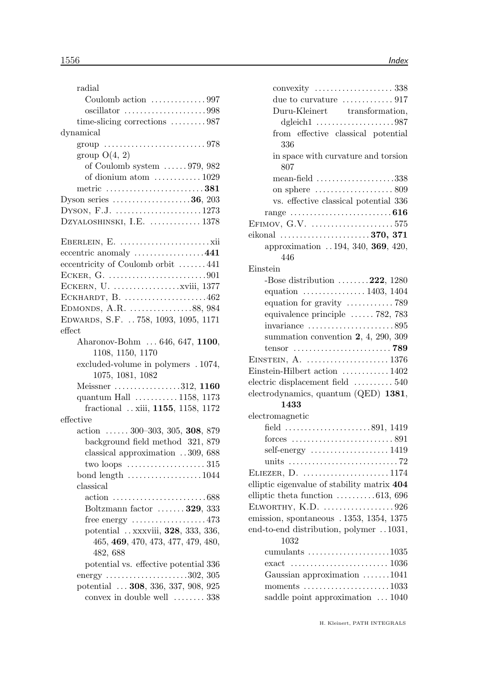| radial                                                      |
|-------------------------------------------------------------|
| Coulomb action 997                                          |
| oscillator 998                                              |
| time-slicing corrections $\dots \dots \dots 987$            |
| dynamical                                                   |
|                                                             |
| group $O(4, 2)$                                             |
| of Coulomb system $\ldots \ldots$ 979, 982                  |
| of dionium atom  1029                                       |
| metric $\ldots$ 381                                         |
| Dyson series $\dots\dots\dots\dots\dots\dots36$ , 203       |
| DYSON, F.J. 1273                                            |
| DZYALOSHINSKI, I.E.  1378                                   |
|                                                             |
|                                                             |
| eccentric anomaly 441                                       |
| eccentricity of Coulomb orbit 441                           |
|                                                             |
|                                                             |
| ECKHARDT, B. $\dots\dots\dots\dots\dots\dots462$            |
| EDMONDS, A.R. 88, 984                                       |
| EDWARDS, S.F. 758, 1093, 1095, 1171                         |
| effect                                                      |
| Aharonov-Bohm  646, 647, 1100,                              |
| 1108, 1150, 1170                                            |
| excluded-volume in polymers . 1074,                         |
| 1075, 1081, 1082                                            |
| Meissner 312, 1160                                          |
| quantum Hall  1158, 1173                                    |
| fractional  xiii, 1155, 1158, 1172                          |
| effective                                                   |
| action $\ldots \ldots 300 - 303, 305, 308, 879$             |
| background field method 321, 879                            |
| classical approximation 309, 688                            |
|                                                             |
| bond length 1044                                            |
| classical                                                   |
|                                                             |
| Boltzmann factor  329, 333                                  |
| free energy 473                                             |
| potential xxxviii, 328, 333, 336,                           |
| 465, 469, 470, 473, 477, 479, 480,                          |
| 482, 688                                                    |
| potential vs. effective potential 336                       |
| energy $\ldots \ldots \ldots \ldots \ldots \ldots 302, 305$ |
| potential  308, 336, 337, 908, 925                          |
| convex in double well  338                                  |
|                                                             |

| due to curvature $\dots\dots\dots\dots917$                      |
|-----------------------------------------------------------------|
| Duru-Kleinert transformation,                                   |
| dgleich $1$ 987                                                 |
| from effective classical potential                              |
| 336                                                             |
| in space with curvature and torsion<br>807                      |
| mean-field $\ldots \ldots \ldots \ldots \ldots \ldots 338$      |
| on sphere $\dots\dots\dots\dots\dots\dots 809$                  |
| vs. effective classical potential 336                           |
|                                                                 |
| EFIMOV, G.V. 575                                                |
| eikonal 370, 371                                                |
| approximation 194, 340, 369, 420,                               |
| 446                                                             |
| Einstein                                                        |
| -Bose distribution $\ldots \ldots \ldots 222$ , 1280            |
| equation $\ldots \ldots \ldots \ldots \ldots 1403, 1404$        |
|                                                                 |
|                                                                 |
| equivalence principle  782, 783                                 |
| $invariance$ 895                                                |
| summation convention $2, 4, 290, 309$                           |
|                                                                 |
|                                                                 |
| Einstein-Hilbert action  1402                                   |
| electric displacement field $\dots \dots \dots 540$             |
| electrodynamics, quantum (QED) 1381,                            |
| 1433                                                            |
| electromagnetic                                                 |
| field 891, 1419                                                 |
|                                                                 |
| self-energy $\dots\dots\dots\dots\dots\dots$ 1419               |
|                                                                 |
| ELIEZER, D. 1174                                                |
| elliptic eigenvalue of stability matrix 404                     |
| elliptic theta function 613, 696                                |
| ELWORTHY, K.D. 926                                              |
| emission, spontaneous . 1353, 1354, 1375                        |
| end-to-end distribution, polymer 1031,                          |
| 1032                                                            |
| cumulants $\ldots \ldots \ldots \ldots \ldots \ldots 1035$      |
|                                                                 |
| Gaussian approximation 1041                                     |
| moments $\ldots \ldots \ldots \ldots \ldots \ldots \ldots 1033$ |
|                                                                 |
| saddle point approximation  1040                                |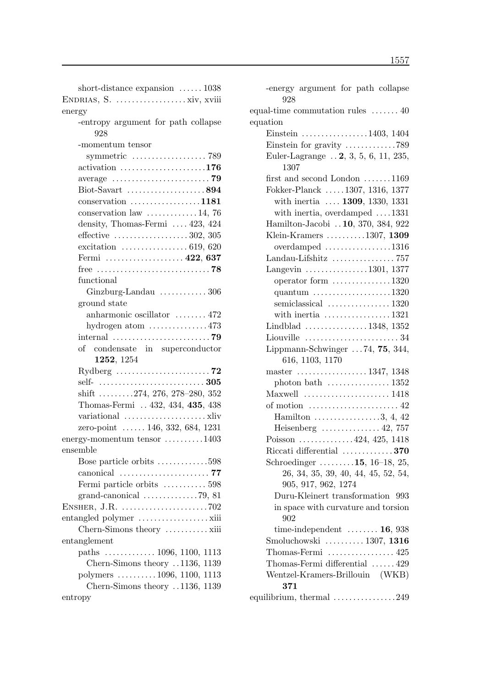| short-distance expansion $\ldots \ldots 1038$                  |
|----------------------------------------------------------------|
|                                                                |
| energy                                                         |
| -entropy argument for path collapse<br>928                     |
| -momentum tensor                                               |
| symmetric $\dots\dots\dots\dots\dots\dots$ 789                 |
| $\text{activation}$ 176                                        |
|                                                                |
| Biot-Savart 894                                                |
| $conservation$ 1181                                            |
| conservation law $\dots \dots \dots \dots 14$ , 76             |
| density, Thomas-Fermi  423, 424                                |
| effective $\ldots \ldots \ldots \ldots \ldots \ldots 302, 305$ |
| excitation $\ldots \ldots \ldots \ldots \ldots 619, 620$       |
| Fermi  422, 637                                                |
|                                                                |
| functional                                                     |
| Ginzburg-Landau  306                                           |
| ground state                                                   |
| anharmonic oscillator  472                                     |
| hydrogen atom $\dots\dots\dots\dots473$                        |
|                                                                |
| of condensate in superconductor                                |
| 1252, 1254                                                     |
|                                                                |
|                                                                |
|                                                                |
| shift 274, 276, 278-280, 352                                   |
| Thomas-Fermi  432, 434, 435, 438                               |
|                                                                |
| zero-point  146, 332, 684, 1231                                |
| energy-momentum tensor 1403                                    |
| ensemble                                                       |
| Bose particle orbits 598                                       |
|                                                                |
| Fermi particle orbits  598                                     |
|                                                                |
|                                                                |
|                                                                |
| Chern-Simons theory  xiii                                      |
| entanglement                                                   |
| paths $\ldots \ldots \ldots \ldots 1096, 1100, 1113$           |
| Chern-Simons theory 1136, 1139                                 |
| polymers 1096, 1100, 1113                                      |
| Chern-Simons theory 1136, 1139                                 |

| -energy argument for path collapse<br>928                       |
|-----------------------------------------------------------------|
| equal-time commutation rules  40                                |
| equation                                                        |
| Einstein $\ldots \ldots \ldots \ldots \ldots 1403, 1404$        |
| Einstein for gravity $\dots \dots \dots \dots 789$              |
| Euler-Lagrange $\ldots$ 2, 3, 5, 6, 11, 235,                    |
| 1307                                                            |
| first and second London $\dots \dots 1169$                      |
| Fokker-Planck 1307, 1316, 1377                                  |
| with inertia $\ldots$ 1309, 1330, 1331                          |
| with inertia, overdamped $\dots$ 1331                           |
| Hamilton-Jacobi 10, 370, 384, 922                               |
| Klein-Kramers $\dots \dots \dots \dots 1307$ , 1309             |
| overdamped $\ldots \ldots \ldots \ldots \ldots 1316$            |
| Landau-Lifshitz $\ldots \ldots \ldots \ldots \ldots$ 757        |
| Langevin $\dots\dots\dots\dots\dots1301, 1377$                  |
| operator form $\dots \dots \dots \dots 1320$                    |
| quantum $\ldots \ldots \ldots \ldots \ldots \ldots 1320$        |
| semiclassical $\ldots \ldots \ldots \ldots \ldots 1320$         |
| with inertia $\ldots \ldots \ldots \ldots \ldots 1321$          |
| Lindblad 1348, 1352                                             |
| Liouville $\ldots \ldots \ldots \ldots \ldots \ldots \ldots 34$ |
| Lippmann-Schwinger  74, 75, 344,                                |
| 616, 1103, 1170                                                 |
| master $\ldots \ldots \ldots \ldots \ldots 1347, 1348$          |
| photon bath $\dots \dots \dots \dots \dots 1352$                |
|                                                                 |
|                                                                 |
| Hamilton $\dots \dots \dots \dots \dots 3, 4, 42$               |
| Heisenberg $\ldots \ldots \ldots \ldots 42, 757$                |
| Poisson 424, 425, 1418                                          |
| Riccati differential $\ldots \ldots \ldots \ldots 370$          |
| Schroedinger $15, 16-18, 25,$                                   |
| 26, 34, 35, 39, 40, 44, 45, 52, 54,                             |
| 905, 917, 962, 1274                                             |
| Duru-Kleinert transformation 993                                |
| in space with curvature and torsion<br>902                      |
| time-independent $\ldots \ldots \ldots 16$ , 938                |
| Smoluchowski  1307, 1316                                        |
| Thomas-Fermi $\dots\dots\dots\dots\dots$ 425                    |
| Thomas-Fermi differential  429                                  |
| Wentzel-Kramers-Brillouin (WKB)<br>371                          |
| equilibrium, thermal $\ldots \ldots \ldots \ldots \ldots 249$   |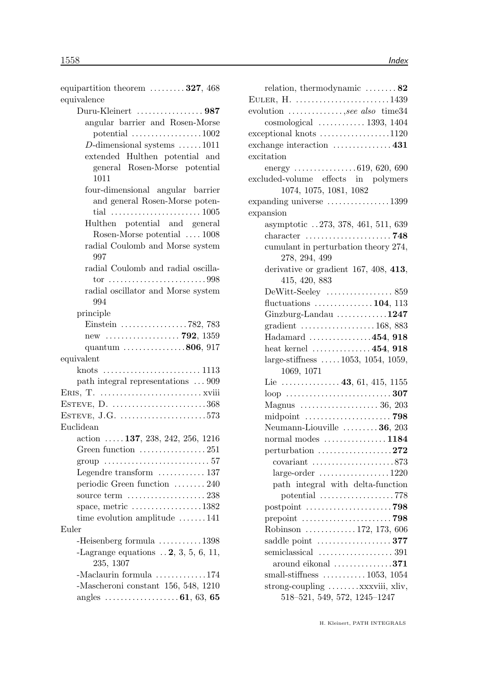| equipartition theorem $\dots \dots 327, 468$<br>equivalence |
|-------------------------------------------------------------|
| Duru-Kleinert 987                                           |
|                                                             |
| angular barrier and Rosen-Morse                             |
| potential $\ldots \ldots \ldots \ldots \ldots 1002$         |
| D-dimensional systems $\dots \dots 1011$                    |
| extended Hulthen potential and                              |
| general Rosen-Morse potential<br>1011                       |
|                                                             |
| four-dimensional angular barrier                            |
| and general Rosen-Morse poten-                              |
|                                                             |
| Hulthen potential and general                               |
| Rosen-Morse potential  1008                                 |
| radial Coulomb and Morse system<br>997                      |
| radial Coulomb and radial oscilla-                          |
|                                                             |
| radial oscillator and Morse system                          |
| 994                                                         |
| principle                                                   |
|                                                             |
| new  792, 1359                                              |
| quantum $\ldots \ldots \ldots \ldots \ldots 806, 917$       |
| equivalent                                                  |
| knots                                                       |
| path integral representations  909                          |
|                                                             |
| ESTEVE, D. 368                                              |
| ESTEVE, J.G. $\dots\dots\dots\dots\dots\dots\dots\dots573$  |
| Euclidean                                                   |
| action $\ldots$ 137, 238, 242, 256, 1216                    |
| Green function $\dots\dots\dots\dots\dots 251$              |
| group $\ldots \ldots \ldots \ldots \ldots \ldots \ldots 57$ |
| Legendre transform  137                                     |
| periodic Green function  240                                |
|                                                             |
|                                                             |
| space, metric $\dots\dots\dots\dots\dots 1382$              |
| time evolution amplitude 141                                |
| Euler                                                       |
| -Heisenberg formula $\ldots \ldots \ldots 1398$             |
| -Lagrange equations $\ldots$ 2, 3, 5, 6, 11,<br>235, 1307   |
| -Maclaurin formula $\ldots \ldots \ldots \ldots 174$        |
| -Mascheroni constant 156, 548, 1210                         |
|                                                             |

| relation, thermodynamic $\dots \dots 82$                         |
|------------------------------------------------------------------|
| EULER, $H.$ 1439                                                 |
| evolution , see also time 34                                     |
| $cosmological$ 1393, 1404                                        |
| $exceptional knots$ 1120                                         |
| exchange interaction $\dots\dots\dots\dots\dots 431$             |
| excitation                                                       |
| energy $\ldots \ldots \ldots \ldots \ldots 619, 620, 690$        |
| excluded-volume effects in polymers                              |
| 1074, 1075, 1081, 1082                                           |
| expanding universe 1399                                          |
| expansion                                                        |
| asymptotic 273, 378, 461, 511, 639                               |
| character $\ldots \ldots \ldots \ldots \ldots \ldots \ldots$ 748 |
| cumulant in perturbation theory 274,                             |
| 278, 294, 499                                                    |
| derivative or gradient $167, 408, 413,$                          |
| 415, 420, 883                                                    |
| DeWitt-Seeley  859                                               |
| fluctuations $\ldots \ldots \ldots \ldots 104$ , 113             |
| Ginzburg-Landau $\dots\dots\dots\dots1247$                       |
| gradient $\ldots \ldots \ldots \ldots \ldots \ldots 168, 883$    |
| Hadamard 454, 918                                                |
| heat kernel $\dots \dots \dots \dots 454$ , 918                  |
| large-stiffness $1053$ , $1054$ , $1059$ ,                       |
| 1069, 1071                                                       |
|                                                                  |
|                                                                  |
|                                                                  |
|                                                                  |
| Neumann-Liouville $\ldots \ldots \ldots 36, 203$                 |
| normal modes $\dots\dots\dots\dots\dots 1184$                    |
| perturbation $\ldots \ldots \ldots \ldots \ldots \ldots 272$     |
|                                                                  |
|                                                                  |
| path integral with delta-function                                |
| potential $\ldots \ldots \ldots \ldots \ldots \ldots$ . 778      |
|                                                                  |
|                                                                  |
| Robinson  172, 173, 606                                          |
| saddle point $\dots\dots\dots\dots\dots377$                      |
|                                                                  |
| around eikonal $\dots\dots\dots\dots371$                         |
| small-stiffness $\ldots \ldots \ldots \ldots 1053, 1054$         |
| strong-coupling  xxxviii, xliv,                                  |
| 518-521, 549, 572, 1245-1247                                     |
|                                                                  |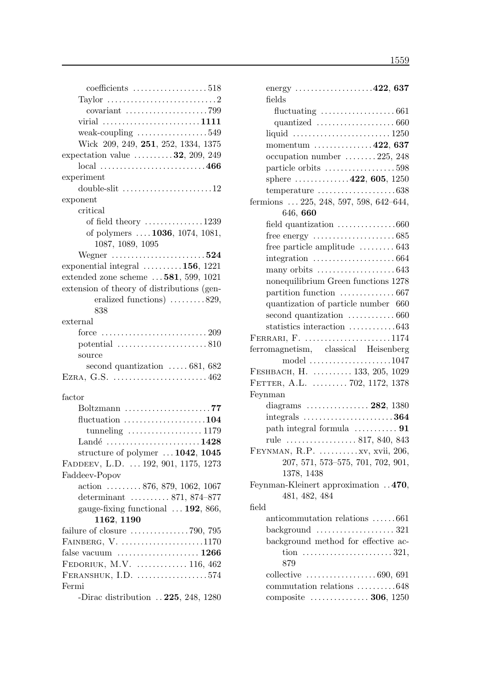| coefficients $\ldots \ldots \ldots \ldots \ldots 518$            |
|------------------------------------------------------------------|
| Taylor $\dots \dots \dots \dots \dots \dots \dots \dots \dots 2$ |
|                                                                  |
| virial 1111                                                      |
| weak-coupling $\dots\dots\dots\dots\dots\dots549$                |
| Wick 209, 249, 251, 252, 1334, 1375                              |
| expectation value $\dots \dots \dots 32$ , 209, 249              |
| $\rm local$ 466                                                  |
| experiment                                                       |
| double-slit 12                                                   |
| exponent                                                         |
| critical                                                         |
| of field theory $\dots \dots \dots \dots \dots 1239$             |
| of polymers  1036, 1074, 1081,<br>1087, 1089, 1095               |
| Wegner $\ldots$ 524                                              |
| exponential integral $\dots \dots \dots 156$ , 1221              |
| extended zone scheme $\ldots$ 581, 599, 1021                     |
| extension of theory of distributions (gen-                       |
| eralized functions) 829,                                         |
| 838                                                              |
| external                                                         |
| force                                                            |
| potential $\ldots \ldots \ldots \ldots \ldots \ldots \ldots 810$ |
| source                                                           |
| second quantization $\ldots$ 681, 682                            |
| EZRA, G.S. $\dots\dots\dots\dots\dots\dots\dots\dots462$         |
|                                                                  |
| factor                                                           |
| Boltzmann 77                                                     |
| fluctuation $\ldots \ldots \ldots \ldots \ldots \ldots 104$      |
| tunneling $\ldots \ldots \ldots \ldots \ldots \ldots 1179$       |
| Landé 1428                                                       |
| structure of polymer $\dots$ 1042, 1045                          |
| FADDEEV, L.D.  192, 901, 1175, 1273                              |
| Faddeev-Popov                                                    |
| action $\ldots \ldots \ldots 876, 879, 1062, 1067$               |
| determinant  871, 874–877                                        |
| gauge-fixing functional $\ldots$ 192, 866,                       |
| 1162, 1190                                                       |
| failure of closure $\dots \dots \dots \dots \dots$ 790, 795      |
| FAINBERG, $V$ . 1170                                             |
|                                                                  |
| FEDORIUK, M.V.  116, 462                                         |
| $FERANSHUK, I.D.$ 574                                            |
| Fermi                                                            |
| -Dirac distribution $\ldots$ 225, 248, 1280                      |

| energy $\dots\dots\dots\dots\dots\dots422,637$                                               |
|----------------------------------------------------------------------------------------------|
| fields                                                                                       |
| fluctuating $\ldots \ldots \ldots \ldots \ldots \ldots 661$                                  |
|                                                                                              |
| liquid $\ldots \ldots \ldots \ldots \ldots \ldots \ldots \ldots 1250$                        |
| momentum $\ldots \ldots \ldots \ldots 422, 637$                                              |
| occupation number  225, 248                                                                  |
| particle orbits 598                                                                          |
| sphere $\ldots \ldots \ldots \ldots 422, 605, 1250$                                          |
|                                                                                              |
| fermions  225, 248, 597, 598, 642-644,<br>646, 660                                           |
| field quantization 660                                                                       |
|                                                                                              |
| free particle amplitude $\dots \dots \dots 643$                                              |
| integration $\ldots \ldots \ldots \ldots \ldots \ldots \ldots 664$                           |
|                                                                                              |
| nonequilibrium Green functions 1278                                                          |
|                                                                                              |
| quantization of particle number 660                                                          |
| second quantization $\ldots \ldots \ldots \ldots 660$                                        |
| statistics interaction 643                                                                   |
| FERRARI, F. 1174                                                                             |
| ferromagnetism, classical Heisenberg                                                         |
| model $\ldots \ldots \ldots \ldots \ldots \ldots 1047$                                       |
| FESHBACH, H.  133, 205, 1029                                                                 |
| FETTER, A.L.  702, 1172, 1378                                                                |
| Feynman                                                                                      |
|                                                                                              |
|                                                                                              |
| path integral formula $\dots \dots \dots$ 91                                                 |
| rule  817, 840, 843                                                                          |
| FEYNMAN, R.P.  xv, xvii, 206,                                                                |
| 207, 571, 573-575, 701, 702, 901,                                                            |
| 1378, 1438                                                                                   |
| Feynman-Kleinert approximation 470,                                                          |
| 481, 482, 484                                                                                |
| field                                                                                        |
| anticommutation relations 661                                                                |
| $background \dots \dots \dots \dots \dots \dots 321$                                         |
| background method for effective ac-                                                          |
| tion $\ldots \ldots \ldots \ldots \ldots \ldots \ldots 321$ ,<br>879                         |
|                                                                                              |
| collective $\ldots \ldots \ldots \ldots \ldots \ldots 690, 691$<br>commutation relations 648 |
| composite  306, 1250                                                                         |
|                                                                                              |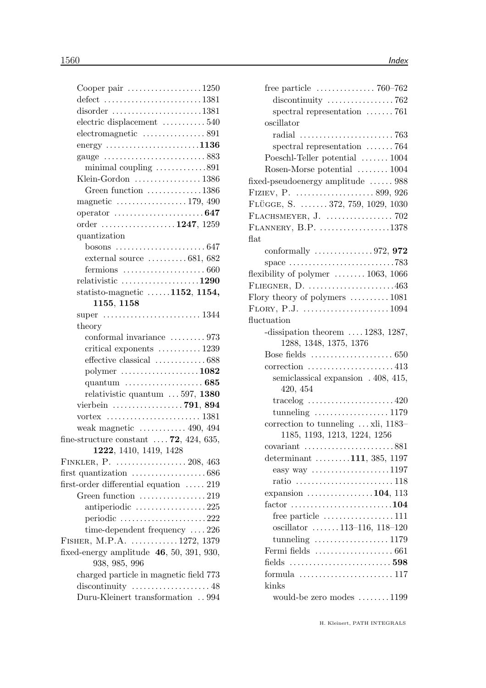| Cooper pair 1250                                                   |  |
|--------------------------------------------------------------------|--|
| $defect$ 1381                                                      |  |
| $disorder$ 1381                                                    |  |
| electric displacement 540                                          |  |
|                                                                    |  |
| energy $\ldots \ldots \ldots \ldots \ldots \ldots \ldots 1136$     |  |
|                                                                    |  |
| minimal coupling 891                                               |  |
| Klein-Gordon  1386                                                 |  |
| Green function 1386                                                |  |
| magnetic $\ldots \ldots \ldots \ldots \ldots 179, 490$             |  |
|                                                                    |  |
| order 1247, 1259                                                   |  |
| quantization                                                       |  |
|                                                                    |  |
| external source $\dots \dots \dots 681,682$                        |  |
| fermions $\ldots \ldots \ldots \ldots \ldots \ldots \ldots 660$    |  |
| relativistic $\ldots \ldots \ldots \ldots \ldots \ldots 1290$      |  |
| statisto-magnetic $\ldots \ldots 1152$ , 1154,                     |  |
| 1155, 1158                                                         |  |
|                                                                    |  |
| theory                                                             |  |
| conformal invariance  973                                          |  |
| critical exponents  1239                                           |  |
| effective classical 688                                            |  |
| polymer 1082                                                       |  |
|                                                                    |  |
| relativistic quantum $\ldots$ 597, 1380                            |  |
| vierbein  791, 894                                                 |  |
| vortex $\dots\dots\dots\dots\dots\dots\dots\dots 1381$             |  |
| weak magnetic $\dots \dots \dots \dots 490, 494$                   |  |
| fine-structure constant $\ldots$ . 72, 424, 635,                   |  |
| 1222, 1410, 1419, 1428                                             |  |
| FINKLER, P.  208, 463                                              |  |
| first quantization $\ldots \ldots \ldots \ldots \ldots \ldots 686$ |  |
| first-order differential equation  219                             |  |
| Green function $\ldots \ldots \ldots \ldots \ldots 219$            |  |
| antiperiodic 225                                                   |  |
| periodic 222                                                       |  |
| time-dependent frequency $\dots$ 226                               |  |
| FISHER, M.P.A. $\ldots \ldots \ldots \ldots 1272, 1379$            |  |
| fixed-energy amplitude $46, 50, 391, 930,$<br>938, 985, 996        |  |
| charged particle in magnetic field 773                             |  |
| discontinuity $\dots\dots\dots\dots\dots\dots48$                   |  |
| Duru-Kleinert transformation  994                                  |  |
|                                                                    |  |

| free particle $\ldots \ldots \ldots \ldots \ldots$ 760–762                 |
|----------------------------------------------------------------------------|
| discontinuity $\ldots \ldots \ldots \ldots \ldots$ 762                     |
| spectral representation $\ldots \ldots$ 761                                |
| oscillator                                                                 |
| radial $\ldots \ldots \ldots \ldots \ldots \ldots \ldots \ldots$ 763       |
| spectral representation $\ldots \ldots$ 764                                |
| Poeschl-Teller potential  1004                                             |
| Rosen-Morse potential  1004                                                |
| fixed-pseudoenergy amplitude  988                                          |
|                                                                            |
| FLÜGGE, S.  372, 759, 1029, 1030                                           |
|                                                                            |
| FLANNERY, B.P. 1378                                                        |
| flat                                                                       |
| conformally $\ldots \ldots \ldots \ldots \ldots 972, 972$                  |
| space $\ldots \ldots \ldots \ldots \ldots \ldots \ldots \ldots \ldots$ 783 |
| flexibility of polymer $\dots \dots \dots 1063$ , 1066                     |
| FLIEGNER, D. $\dots\dots\dots\dots\dots\dots463$                           |
| Flory theory of polymers  1081                                             |
|                                                                            |
| fluctuation                                                                |
| -dissipation theorem $\ldots$ 1283, 1287,                                  |
| 1288, 1348, 1375, 1376                                                     |
| Bose fields $\ldots \ldots \ldots \ldots \ldots \ldots \ldots 650$         |
|                                                                            |
| semiclassical expansion . 408, 415,                                        |
| 420, 454                                                                   |
| tracelog $\ldots \ldots \ldots \ldots \ldots \ldots 420$                   |
| tunneling $\ldots \ldots \ldots \ldots \ldots 1179$                        |
| correction to tunneling $\dots$ xli, 1183-                                 |
| 1185, 1193, 1213, 1224, 1256                                               |
| covariant $\ldots \ldots \ldots \ldots \ldots \ldots \ldots 881$           |
| determinant $\ldots \ldots \ldots 111, 385, 1197$                          |
| easy way $\ldots \ldots \ldots \ldots \ldots 1197$                         |
| ratio 118                                                                  |
| expansion $\dots \dots \dots \dots \dots 104$ , 113                        |
| $factor$ 104                                                               |
| free particle $\dots \dots \dots \dots \dots \dots 111$                    |
| oscillator 113-116, 118-120                                                |
| tunneling $\ldots \ldots \ldots \ldots \ldots 1179$                        |
| Fermi fields $\dots\dots\dots\dots\dots\dots \dots$ 661                    |
|                                                                            |
| formula $\ldots \ldots \ldots \ldots \ldots \ldots \ldots 117$             |
| kinks                                                                      |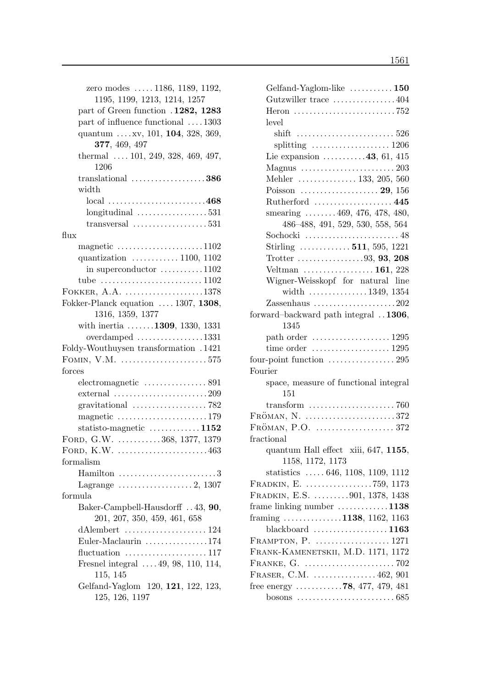| zero modes  1186, 1189, 1192,<br>1195, 1199, 1213, 1214, 1257       |
|---------------------------------------------------------------------|
| part of Green function . 1282, 1283                                 |
| part of influence functional  1303                                  |
|                                                                     |
| quantum  xv, 101, 104, 328, 369,<br>377, 469, 497                   |
| thermal $\ldots$ 101, 249, 328, 469, 497,<br>1206                   |
| translational $\ldots \ldots \ldots \ldots \ldots \ldots 386$       |
| width                                                               |
| $local$ 468                                                         |
| $longitudinal$ 531                                                  |
| transversal $\ldots \ldots \ldots \ldots \ldots \ldots 531$         |
| flux                                                                |
| magnetic $\ldots \ldots \ldots \ldots \ldots \ldots 1102$           |
| quantization $\ldots \ldots \ldots \ldots 1100, 1102$               |
| in superconductor 1102                                              |
| tube $\ldots \ldots \ldots \ldots \ldots \ldots \ldots \ldots 1102$ |
| FOKKER, $A.A.$ 1378                                                 |
|                                                                     |
| Fokker-Planck equation  1307, 1308,                                 |
| 1316, 1359, 1377                                                    |
| with inertia $\ldots \ldots 1309$ , 1330, 1331                      |
| overdamped 1331                                                     |
| Foldy-Wouthuysen transformation .1421                               |
| FOMIN, V.M. $\dots\dots\dots\dots\dots\dots\dots.575$               |
| forces                                                              |
|                                                                     |
| external $\ldots \ldots \ldots \ldots \ldots \ldots \ldots 209$     |
| gravitational $\ldots \ldots \ldots \ldots \ldots \ldots$ 782       |
| magnetic 179                                                        |
| statisto-magnetic $\ldots \ldots \ldots \ldots 1152$                |
| FORD, G.W. 368, 1377, 1379                                          |
| FORD, K.W. $\dots\dots\dots\dots\dots\dots\dots463$                 |
| formalism                                                           |
| Hamilton<br>$\ldots 3$                                              |
| Lagrange $\dots \dots \dots \dots \dots 2, 1307$                    |
| formula                                                             |
| Baker-Campbell-Hausdorff  43, 90,<br>201, 207, 350, 459, 461, 658   |
|                                                                     |
| Euler-Maclaurin $\ldots \ldots \ldots \ldots 174$                   |
| fluctuation $\dots\dots\dots\dots\dots\dots 117$                    |
| Fresnel integral $\dots$ 49, 98, 110, 114,                          |
| 115, 145                                                            |
| Gelfand-Yaglom 120, 121, 122, 123,                                  |
| 125, 126, 1197                                                      |
|                                                                     |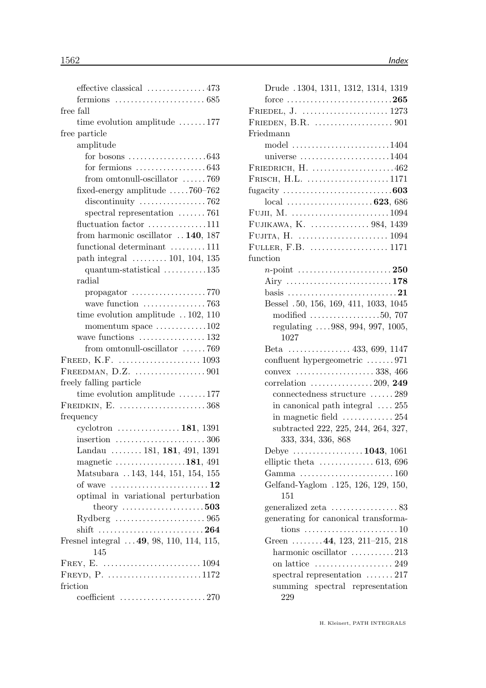|           | effective classical  473                                               |
|-----------|------------------------------------------------------------------------|
|           | fermions $\ldots \ldots \ldots \ldots \ldots \ldots \ldots \ldots 685$ |
| free fall |                                                                        |
|           | time evolution amplitude 177                                           |
|           | free particle                                                          |
|           | amplitude                                                              |
|           | for bosons $\ldots \ldots \ldots \ldots \ldots \ldots \ldots 643$      |
|           | for fermions $\ldots \ldots \ldots \ldots \ldots 643$                  |
|           | from omtonull-oscillator 769                                           |
|           | fixed-energy amplitude 760-762                                         |
|           | discontinuity $\ldots \ldots \ldots \ldots \ldots$ 762                 |
|           | spectral representation $\ldots \ldots$ 761                            |
|           | fluctuation factor 111                                                 |
|           | from harmonic oscillator $\ldots$ 140, 187                             |
|           | functional determinant 111                                             |
|           | path integral $\ldots \ldots \ldots 101, 104, 135$                     |
|           | $quantum-statistical$ 135                                              |
|           | radial                                                                 |
|           |                                                                        |
|           |                                                                        |
|           | time evolution amplitude $\ldots$ 102, 110                             |
|           | momentum space $\dots \dots \dots \dots 102$                           |
|           | wave functions  132                                                    |
|           | from omtonull-oscillator 769                                           |
|           | FREED, K.F. $\dots\dots\dots\dots\dots\dots\dots \dots 1093$           |
|           | FREEDMAN, D.Z. $\dots\dots\dots\dots\dots901$                          |
|           | freely falling particle                                                |
|           | time evolution amplitude 177                                           |
|           | FREIDKIN, E. $\dots\dots\dots\dots\dots\dots368$                       |
|           | frequency                                                              |
|           | cyclotron $\ldots \ldots \ldots \ldots \ldots 181, 1391$               |
|           | insertion $\ldots \ldots \ldots \ldots \ldots \ldots \ldots 306$       |
|           | Landau  181, 181, 491, 1391                                            |
|           | magnetic $\dots \dots \dots \dots \dots \dots 181, 491$                |
|           | Matsubara  143, 144, 151, 154, 155                                     |
|           | of wave $\dots \dots \dots \dots \dots \dots \dots \dots 12$           |
|           | optimal in variational perturbation                                    |
|           | theory $\ldots \ldots \ldots \ldots \ldots 503$                        |
|           |                                                                        |
|           | shift 264                                                              |
|           | Fresnel integral $\dots$ 49, 98, 110, 114, 115,                        |
|           | 145                                                                    |
|           |                                                                        |
|           | FREYD, $P.$ 1172                                                       |
| friction  |                                                                        |
|           | coefficient 270                                                        |

| Drude .1304, 1311, 1312, 1314, 1319                                           |
|-------------------------------------------------------------------------------|
| force $\ldots$ 265                                                            |
|                                                                               |
| FRIEDEN, B.R. $\dots\dots\dots\dots\dots\dots901$                             |
| Friedmann                                                                     |
| model $\ldots \ldots \ldots \ldots \ldots \ldots \ldots 1404$                 |
| universe $\ldots \ldots \ldots \ldots \ldots \ldots 1404$                     |
|                                                                               |
| FRISCH, H.L. $\dots\dots\dots\dots\dots\dots\dots 1171$                       |
| fugacity $\ldots \ldots \ldots \ldots \ldots \ldots \ldots \ldots \ldots 603$ |
|                                                                               |
| FUJII, M. $\dots\dots\dots\dots\dots\dots\dots\dots\dots1094$                 |
| FUJIKAWA, K.  984, 1439                                                       |
|                                                                               |
| FULLER, F.B.  1171                                                            |
| function                                                                      |
|                                                                               |
|                                                                               |
|                                                                               |
| Bessel .50, 156, 169, 411, 1033, 1045                                         |
| modified $\ldots \ldots \ldots \ldots \ldots 50, 707$                         |
| regulating 988, 994, 997, 1005,                                               |
| 1027                                                                          |
| Beta  433, 699, 1147                                                          |
| confluent hypergeometric 971                                                  |
| convex $\ldots \ldots \ldots \ldots \ldots \ldots 338, 466$                   |
| correlation $\ldots \ldots \ldots \ldots 209$ , 249                           |
| connectedness structure $\ldots \ldots 289$                                   |
| in canonical path integral $\ldots$ 255                                       |
| in magnetic field $\ldots \ldots \ldots \ldots 254$                           |
| subtracted 222, 225, 244, 264, 327,                                           |
| 333, 334, 336, 868                                                            |
| Debye $\ldots \ldots \ldots \ldots \ldots 1043, 1061$                         |
| elliptic theta $\ldots \ldots \ldots \ldots 613, 696$                         |
| Gamma $\ldots \ldots \ldots \ldots \ldots \ldots \ldots 160$                  |
| Gelfand-Yaglom .125, 126, 129, 150,                                           |
| 151                                                                           |
|                                                                               |
| generating for canonical transforma-                                          |
|                                                                               |
| Green  44, 123, 211-215, 218                                                  |
| harmonic oscillator 213                                                       |
|                                                                               |
| spectral representation $\ldots \ldots 217$                                   |
| summing spectral representation<br>229                                        |
|                                                                               |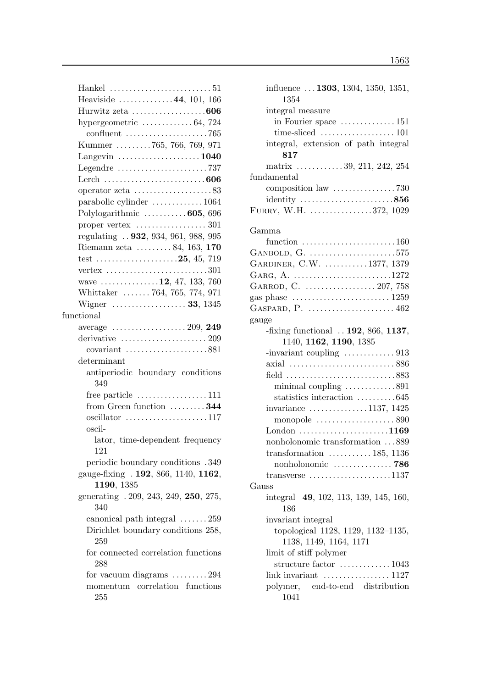| Hankel $\dots\dots\dots\dots\dots\dots\dots\dots 51$                 |
|----------------------------------------------------------------------|
| Heaviside 44, 101, 166                                               |
| Hurwitz zeta 606                                                     |
| hypergeometric $\ldots \ldots \ldots \ldots 64$ , 724                |
| confluent $\ldots \ldots \ldots \ldots \ldots \ldots \ldots$ 765     |
| Kummer 765, 766, 769, 971                                            |
| Langevin $\dots \dots \dots \dots \dots \dots \dots 1040$            |
| Legendre $\dots\dots\dots\dots\dots\dots\dots 737$                   |
|                                                                      |
| operator zeta $\dots\dots\dots\dots\dots\dots 83$                    |
| parabolic cylinder 1064                                              |
| Polylogarithmic  605, 696                                            |
| proper vertex $\dots\dots\dots\dots\dots 301$                        |
| regulating  932, 934, 961, 988, 995                                  |
| Riemann zeta  84, 163, 170                                           |
|                                                                      |
| vertex $\ldots \ldots \ldots \ldots \ldots \ldots \ldots \ldots 301$ |
| wave $\ldots \ldots \ldots \ldots 12, 47, 133, 760$                  |
| Whittaker  764, 765, 774, 971                                        |
| Wigner <b>33</b> , 1345                                              |
| functional                                                           |
|                                                                      |
| derivative $\ldots \ldots \ldots \ldots \ldots \ldots 209$           |
|                                                                      |
| determinant                                                          |
| antiperiodic boundary conditions<br>349                              |
|                                                                      |
| free particle $\dots \dots \dots \dots \dots \dots 111$              |
| from Green function $\dots \dots 344$                                |
| oscil-                                                               |
| lator, time-dependent frequency<br>121                               |
| periodic boundary conditions .349                                    |
| gauge-fixing . 192, 866, 1140, 1162,<br>1190, 1385                   |
| generating . 209, 243, 249, 250, 275,<br>340                         |
| canonical path integral $\dots \dots 259$                            |
| Dirichlet boundary conditions 258,<br>259                            |
| for connected correlation functions                                  |
| 288                                                                  |
| for vacuum diagrams 294                                              |
| momentum correlation functions<br>255                                |

| influence $\dots$ 1303, 1304, 1350, 1351,<br>1354                                   |
|-------------------------------------------------------------------------------------|
| integral measure                                                                    |
| in Fourier space $\dots \dots \dots \dots 151$                                      |
| time-sliced $\ldots \ldots \ldots \ldots \ldots 101$                                |
| integral, extension of path integral                                                |
| 817                                                                                 |
| matrix $\dots \dots \dots \dots 39, 211, 242, 254$                                  |
| fundamental                                                                         |
|                                                                                     |
| identity $\ldots \ldots \ldots \ldots \ldots \ldots \ldots 856$                     |
| FURRY, W.H. 372, 1029                                                               |
| Gamma                                                                               |
| function $\ldots \ldots \ldots \ldots \ldots \ldots \ldots 160$                     |
| GANBOLD, G. $\dots\dots\dots\dots\dots\dots\dots.575$                               |
| GARDINER, C.W. 1377, 1379                                                           |
| GARG, A. 1272                                                                       |
| GARROD, C.  207, 758                                                                |
| gas phase $\dots \dots \dots \dots \dots \dots \dots \dots 1259$                    |
|                                                                                     |
| gauge                                                                               |
| -fixing functional $\ldots$ 192, 866, 1137,<br>1140, 1162, 1190, 1385               |
|                                                                                     |
|                                                                                     |
|                                                                                     |
| axial 886                                                                           |
| field 883                                                                           |
| minimal coupling 891                                                                |
| statistics interaction $\dots \dots \dots 645$                                      |
| invariance $\dots \dots \dots \dots \dots 1137, 1425$                               |
| monopole $\ldots \ldots \ldots \ldots \ldots \ldots$ 890                            |
| London $\dots\dots\dots\dots\dots\dots\dots1169$                                    |
| nonholonomic transformation 889                                                     |
| transformation $\ldots \ldots \ldots 185, 1136$                                     |
| nonholonomic  786                                                                   |
| transverse $\dots \dots \dots \dots \dots \dots \dots 1137$                         |
| Gauss                                                                               |
| integral 49, 102, 113, 139, 145, 160,                                               |
| 186                                                                                 |
| invariant integral                                                                  |
|                                                                                     |
| topological 1128, 1129, 1132-1135,                                                  |
| 1138, 1149, 1164, 1171                                                              |
| limit of stiff polymer                                                              |
| structure factor  1043                                                              |
| link invariant $\dots\dots\dots\dots\dots 1127$<br>polymer, end-to-end distribution |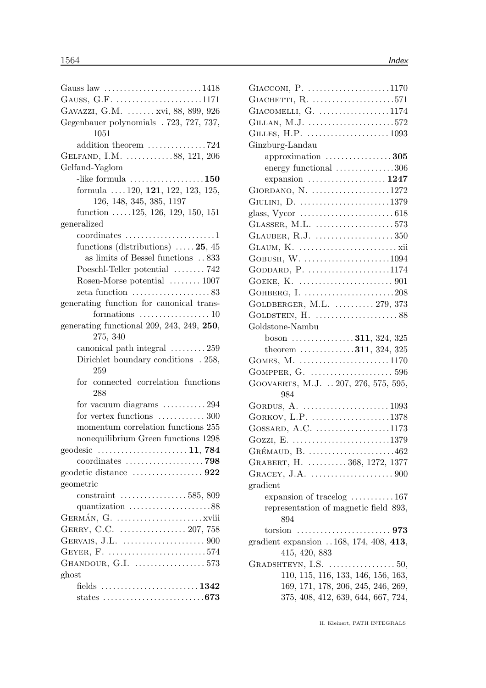| Gauss law 1418                                                      |
|---------------------------------------------------------------------|
| GAUSS, G.F. 1171                                                    |
| GAVAZZI, G.M.  xvi, 88, 899, 926                                    |
| Gegenbauer polynomials . 723, 727, 737,                             |
| 1051                                                                |
| addition theorem 724                                                |
| GELFAND, I.M. 88, 121, 206                                          |
| Gelfand-Yaglom                                                      |
| -like formula $\dots\dots\dots\dots\dots\dots150$                   |
| formula $\ldots$ 120, 121, 122, 123, 125,                           |
| 126, 148, 345, 385, 1197                                            |
| function $.125, 126, 129, 150, 151$                                 |
| generalized                                                         |
| $coordinates \dots \dots \dots \dots \dots \dots 1$                 |
| functions (distributions) $\ldots$ 25, 45                           |
| as limits of Bessel functions $\ldots$ 833                          |
| Poeschl-Teller potential  742                                       |
| Rosen-Morse potential  1007                                         |
| zeta function $\ldots \ldots \ldots \ldots \ldots 83$               |
| generating function for canonical trans-                            |
| formations $\dots \dots \dots \dots \dots \dots 10$                 |
| generating functional 209, 243, 249, 250,                           |
| 275, 340                                                            |
| canonical path integral  259                                        |
| Dirichlet boundary conditions . 258,                                |
| 259                                                                 |
| for connected correlation functions                                 |
| 288                                                                 |
| for vacuum diagrams $\dots \dots \dots 294$                         |
| for vertex functions  300                                           |
| momentum correlation functions 255                                  |
| nonequilibrium Green functions 1298                                 |
| geodesic $\ldots \ldots \ldots \ldots \ldots \ldots \ldots 11, 784$ |
|                                                                     |
|                                                                     |
| geometric                                                           |
| constraint $\ldots \ldots \ldots \ldots \ldots 585, 809$            |
|                                                                     |
|                                                                     |
|                                                                     |
|                                                                     |
| GEYER, F. 574                                                       |
| GHANDOUR, G.I.  573                                                 |
| ghost                                                               |
|                                                                     |
|                                                                     |
|                                                                     |

| GIACCONI, P. 1170                                           |
|-------------------------------------------------------------|
| GIACHETTI, R. 571                                           |
| GIACOMELLI, G. 1174                                         |
| GILLAN, M.J. 572                                            |
|                                                             |
| Ginzburg-Landau                                             |
| approximation $\ldots \ldots \ldots \ldots \ldots 305$      |
| energy functional 306                                       |
| expansion $\ldots \ldots \ldots \ldots \ldots \ldots 1247$  |
| GIORDANO, N. 1272                                           |
| GIULINI, D. 1379                                            |
| glass, Vycor $\dots\dots\dots\dots\dots\dots\dots\dots$ 618 |
| GLASSER, M.L. 573                                           |
| GLAUBER, R.J. 350                                           |
|                                                             |
| GOBUSH, W. 1094                                             |
| GODDARD, P. 1174                                            |
|                                                             |
| GOHBERG, I. 208                                             |
| GOLDBERGER, M.L.  279, 373                                  |
|                                                             |
| Goldstone-Nambu                                             |
| boson 311, 324, 325                                         |
| theorem $\ldots \ldots \ldots \ldots 311, 324, 325$         |
| GOMES, M. 1170                                              |
| GOMPPER, G. $\dots\dots\dots\dots\dots\dots\dots 596$       |
| GOOVAERTS, M.J.  207, 276, 575, 595,                        |
| 984                                                         |
|                                                             |
| GORKOV, L.P. 1378                                           |
| GOSSARD, A.C. 1173                                          |
| GOZZI, E. 1379                                              |
| GRÉMAUD, B. 462                                             |
| GRABERT, H.  368, 1272, 1377                                |
|                                                             |
| gradient                                                    |
| expansion of tracelog  167                                  |
| representation of magnetic field 893,                       |
| 894                                                         |
|                                                             |
| gradient expansion $168, 174, 408, 413,$                    |
| 415, 420, 883                                               |
| GRADSHTEYN, I.S.<br>$\ldots \ldots \ldots \ldots 50,$       |
| 110, 115, 116, 133, 146, 156, 163,                          |
| 169, 171, 178, 206, 245, 246, 269,                          |
| 375, 408, 412, 639, 644, 667, 724,                          |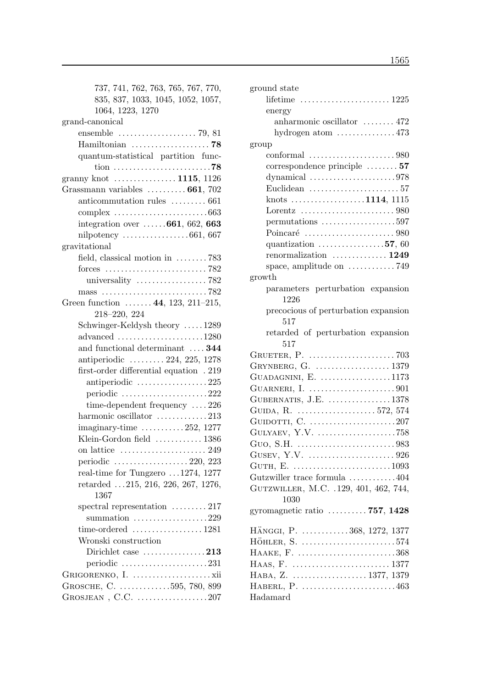| 737, 741, 762, 763, 765, 767, 770,<br>835, 837, 1033, 1045, 1052, 1057,<br>1064, 1223, 1270<br>grand-canonical<br>Hamiltonian  78<br>quantum-statistical partition func-<br>granny knot  1115, 1126<br>Grassmann variables $\ldots \ldots \ldots 661, 702$<br>anticommutation rules  661<br>complex $\ldots \ldots \ldots \ldots \ldots \ldots \ldots \ldots 663$<br>integration over $\ldots \ldots 661, 662, 663$<br>nilpotency $\ldots \ldots \ldots \ldots \ldots 661, 667$<br>gravitational<br>field, classical motion in $\dots \dots 783$<br>universality $\ldots \ldots \ldots \ldots \ldots \ldots$ 782<br>mass $\ldots \ldots \ldots \ldots \ldots \ldots \ldots \ldots \ldots$ 782<br>Green function $\ldots \ldots$ 44, 123, 211-215,<br>218-220, 224<br>Schwinger-Keldysh theory 1289<br>and functional determinant  344<br>antiperiodic  224, 225, 1278<br>first-order differential equation . 219 |
|------------------------------------------------------------------------------------------------------------------------------------------------------------------------------------------------------------------------------------------------------------------------------------------------------------------------------------------------------------------------------------------------------------------------------------------------------------------------------------------------------------------------------------------------------------------------------------------------------------------------------------------------------------------------------------------------------------------------------------------------------------------------------------------------------------------------------------------------------------------------------------------------------------------|
|                                                                                                                                                                                                                                                                                                                                                                                                                                                                                                                                                                                                                                                                                                                                                                                                                                                                                                                  |
|                                                                                                                                                                                                                                                                                                                                                                                                                                                                                                                                                                                                                                                                                                                                                                                                                                                                                                                  |
|                                                                                                                                                                                                                                                                                                                                                                                                                                                                                                                                                                                                                                                                                                                                                                                                                                                                                                                  |
|                                                                                                                                                                                                                                                                                                                                                                                                                                                                                                                                                                                                                                                                                                                                                                                                                                                                                                                  |
|                                                                                                                                                                                                                                                                                                                                                                                                                                                                                                                                                                                                                                                                                                                                                                                                                                                                                                                  |
|                                                                                                                                                                                                                                                                                                                                                                                                                                                                                                                                                                                                                                                                                                                                                                                                                                                                                                                  |
|                                                                                                                                                                                                                                                                                                                                                                                                                                                                                                                                                                                                                                                                                                                                                                                                                                                                                                                  |
|                                                                                                                                                                                                                                                                                                                                                                                                                                                                                                                                                                                                                                                                                                                                                                                                                                                                                                                  |
|                                                                                                                                                                                                                                                                                                                                                                                                                                                                                                                                                                                                                                                                                                                                                                                                                                                                                                                  |
|                                                                                                                                                                                                                                                                                                                                                                                                                                                                                                                                                                                                                                                                                                                                                                                                                                                                                                                  |
|                                                                                                                                                                                                                                                                                                                                                                                                                                                                                                                                                                                                                                                                                                                                                                                                                                                                                                                  |
|                                                                                                                                                                                                                                                                                                                                                                                                                                                                                                                                                                                                                                                                                                                                                                                                                                                                                                                  |
|                                                                                                                                                                                                                                                                                                                                                                                                                                                                                                                                                                                                                                                                                                                                                                                                                                                                                                                  |
|                                                                                                                                                                                                                                                                                                                                                                                                                                                                                                                                                                                                                                                                                                                                                                                                                                                                                                                  |
|                                                                                                                                                                                                                                                                                                                                                                                                                                                                                                                                                                                                                                                                                                                                                                                                                                                                                                                  |
|                                                                                                                                                                                                                                                                                                                                                                                                                                                                                                                                                                                                                                                                                                                                                                                                                                                                                                                  |
|                                                                                                                                                                                                                                                                                                                                                                                                                                                                                                                                                                                                                                                                                                                                                                                                                                                                                                                  |
|                                                                                                                                                                                                                                                                                                                                                                                                                                                                                                                                                                                                                                                                                                                                                                                                                                                                                                                  |
|                                                                                                                                                                                                                                                                                                                                                                                                                                                                                                                                                                                                                                                                                                                                                                                                                                                                                                                  |
|                                                                                                                                                                                                                                                                                                                                                                                                                                                                                                                                                                                                                                                                                                                                                                                                                                                                                                                  |
|                                                                                                                                                                                                                                                                                                                                                                                                                                                                                                                                                                                                                                                                                                                                                                                                                                                                                                                  |
|                                                                                                                                                                                                                                                                                                                                                                                                                                                                                                                                                                                                                                                                                                                                                                                                                                                                                                                  |
|                                                                                                                                                                                                                                                                                                                                                                                                                                                                                                                                                                                                                                                                                                                                                                                                                                                                                                                  |
|                                                                                                                                                                                                                                                                                                                                                                                                                                                                                                                                                                                                                                                                                                                                                                                                                                                                                                                  |
|                                                                                                                                                                                                                                                                                                                                                                                                                                                                                                                                                                                                                                                                                                                                                                                                                                                                                                                  |
| antiperiodic $\ldots \ldots \ldots \ldots \ldots 225$                                                                                                                                                                                                                                                                                                                                                                                                                                                                                                                                                                                                                                                                                                                                                                                                                                                            |
| periodic 222                                                                                                                                                                                                                                                                                                                                                                                                                                                                                                                                                                                                                                                                                                                                                                                                                                                                                                     |
| time-dependent frequency $\dots$ 226                                                                                                                                                                                                                                                                                                                                                                                                                                                                                                                                                                                                                                                                                                                                                                                                                                                                             |
| harmonic oscillator 213                                                                                                                                                                                                                                                                                                                                                                                                                                                                                                                                                                                                                                                                                                                                                                                                                                                                                          |
| $imaginary-time \ldots \ldots \ldots \ldots 252, 1277$                                                                                                                                                                                                                                                                                                                                                                                                                                                                                                                                                                                                                                                                                                                                                                                                                                                           |
| Klein-Gordon field  1386                                                                                                                                                                                                                                                                                                                                                                                                                                                                                                                                                                                                                                                                                                                                                                                                                                                                                         |
|                                                                                                                                                                                                                                                                                                                                                                                                                                                                                                                                                                                                                                                                                                                                                                                                                                                                                                                  |
| periodic $\ldots \ldots \ldots \ldots \ldots 220, 223$                                                                                                                                                                                                                                                                                                                                                                                                                                                                                                                                                                                                                                                                                                                                                                                                                                                           |
| real-time for Tungzero $\dots$ 1274, 1277                                                                                                                                                                                                                                                                                                                                                                                                                                                                                                                                                                                                                                                                                                                                                                                                                                                                        |
| retarded $\ldots$ 215, 216, 226, 267, 1276,                                                                                                                                                                                                                                                                                                                                                                                                                                                                                                                                                                                                                                                                                                                                                                                                                                                                      |
| 1367                                                                                                                                                                                                                                                                                                                                                                                                                                                                                                                                                                                                                                                                                                                                                                                                                                                                                                             |
| spectral representation  217                                                                                                                                                                                                                                                                                                                                                                                                                                                                                                                                                                                                                                                                                                                                                                                                                                                                                     |
| summation $\ldots \ldots \ldots \ldots \ldots \ldots 229$                                                                                                                                                                                                                                                                                                                                                                                                                                                                                                                                                                                                                                                                                                                                                                                                                                                        |
|                                                                                                                                                                                                                                                                                                                                                                                                                                                                                                                                                                                                                                                                                                                                                                                                                                                                                                                  |
| Wronski construction                                                                                                                                                                                                                                                                                                                                                                                                                                                                                                                                                                                                                                                                                                                                                                                                                                                                                             |
| Dirichlet case 213                                                                                                                                                                                                                                                                                                                                                                                                                                                                                                                                                                                                                                                                                                                                                                                                                                                                                               |
| periodic $\ldots \ldots \ldots \ldots \ldots \ldots \ldots 231$                                                                                                                                                                                                                                                                                                                                                                                                                                                                                                                                                                                                                                                                                                                                                                                                                                                  |
|                                                                                                                                                                                                                                                                                                                                                                                                                                                                                                                                                                                                                                                                                                                                                                                                                                                                                                                  |
| GROSCHE, C. 595, 780, 899                                                                                                                                                                                                                                                                                                                                                                                                                                                                                                                                                                                                                                                                                                                                                                                                                                                                                        |
| GROSJEAN , C.C. $\dots\dots\dots\dots\dots 207$                                                                                                                                                                                                                                                                                                                                                                                                                                                                                                                                                                                                                                                                                                                                                                                                                                                                  |

| ground state                                                            |
|-------------------------------------------------------------------------|
|                                                                         |
| energy                                                                  |
| anharmonic oscillator  472                                              |
| hydrogen atom $\dots\dots\dots\dots473$                                 |
| group                                                                   |
|                                                                         |
| $correspondence principle \ldots \ldots 57$                             |
| dynamical $\ldots \ldots \ldots \ldots \ldots \ldots \ldots \ldots 978$ |
| Euclidean $\ldots \ldots \ldots \ldots \ldots \ldots 57$                |
| knots 1114, 1115                                                        |
| Lorentz $\ldots \ldots \ldots \ldots \ldots \ldots \ldots \ldots 980$   |
| permutations $\dots\dots\dots\dots\dots\dots 597$                       |
|                                                                         |
| quantization $\ldots \ldots \ldots \ldots 57, 60$                       |
| renormalization $\ldots \ldots \ldots \ldots 1249$                      |
| space, amplitude on $\dots \dots \dots \dots$ 749                       |
| growth                                                                  |
| parameters perturbation expansion                                       |
| 1226                                                                    |
| precocious of perturbation expansion                                    |
| 517                                                                     |
| retarded of perturbation expansion                                      |
| 517                                                                     |
|                                                                         |
|                                                                         |
| GUADAGNINI, E. $\dots\dots\dots\dots\dots 1173$                         |
|                                                                         |
| GUBERNATIS, J.E. 1378                                                   |
| GUIDA, R.  572, 574                                                     |
|                                                                         |
| GULYAEV, Y.V. 758                                                       |
|                                                                         |
| GUSEV, Y.V. $\dots\dots\dots\dots\dots\dots926$                         |
|                                                                         |
| Gutzwiller trace formula 404                                            |
| GUTZWILLER, M.C. .129, 401, 462, 744,                                   |
| 1030                                                                    |
| gyromagnetic ratio $\ldots \ldots \ldots \ldots 757, 1428$              |
| HÄNGGI, P. 368, 1272, 1377                                              |
| HÖHLER, S. 574                                                          |
| HAAKE, F. 368                                                           |
|                                                                         |
| HABA, Z. 1377, 1379                                                     |
|                                                                         |
| Hadamard                                                                |
|                                                                         |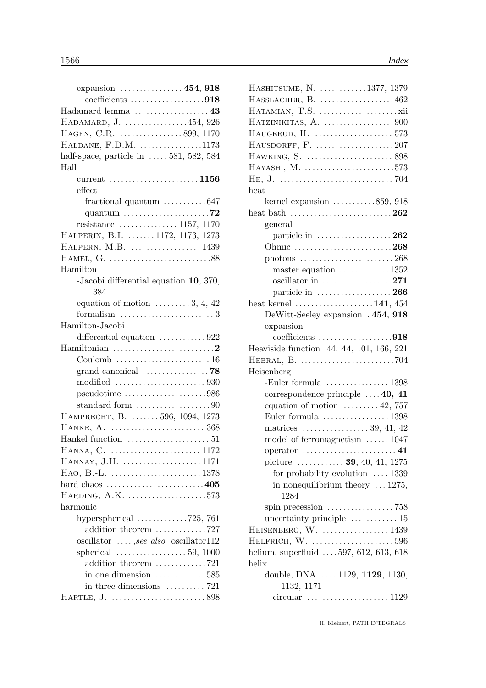| expansion $\dots \dots \dots \dots \dots 454$ , 918                     |
|-------------------------------------------------------------------------|
| coefficients 918                                                        |
| Hadamard lemma $\dots\dots\dots\dots\dots\dots43$                       |
| HADAMARD, J. 454, 926                                                   |
| HAGEN, C.R. 899, 1170                                                   |
| HALDANE, F.D.M. 1173                                                    |
| half-space, particle in $\ldots$ 581, 582, 584                          |
| Hall                                                                    |
|                                                                         |
| $\rm effect$                                                            |
| fractional quantum $\dots \dots \dots \dots 647$                        |
| quantum $\ldots \ldots \ldots \ldots \ldots \ldots \ldots$ . 72         |
| resistance $\ldots \ldots \ldots \ldots 1157, 1170$                     |
| HALPERIN, B.I. 1172, 1173, 1273                                         |
| HALPERN, M.B. 1439                                                      |
|                                                                         |
| Hamilton                                                                |
| -Jacobi differential equation 10, 370,                                  |
| 384                                                                     |
| equation of motion $\dots \dots 3, 4, 42$                               |
| formalism $\ldots \ldots \ldots \ldots \ldots \ldots \ldots 3$          |
| Hamilton-Jacobi                                                         |
| differential equation 922                                               |
| Hamiltonian $\ldots \ldots \ldots \ldots \ldots \ldots \ldots \ldots 2$ |
|                                                                         |
|                                                                         |
|                                                                         |
| $pseudotime \ldots \ldots \ldots \ldots \ldots \ldots \ldots 986$       |
| standard form $\ldots \ldots \ldots \ldots \ldots \ldots 90$            |
| HAMPRECHT, B.  596, 1094, 1273                                          |
| HANKE, A.  368                                                          |
|                                                                         |
| HANNA, C.  1172                                                         |
| HANNAY, J.H. 1171                                                       |
| HAO, B.-L. 1378                                                         |
| hard chaos 405                                                          |
| HARDING, A.K. 573                                                       |
| harmonic                                                                |
| hyperspherical $\ldots \ldots \ldots \ldots$ 725, 761                   |
| addition theorem 727                                                    |
| oscillator $\dots$ , see also oscillator112                             |
| spherical $\ldots \ldots \ldots \ldots \ldots 59, 1000$                 |
| addition theorem 721                                                    |
| in one dimension $\dots \dots \dots \dots 585$                          |
| in three dimensions $\dots \dots \dots 721$                             |
|                                                                         |

| HASHITSUME, N. 1377, 1379                               |  |
|---------------------------------------------------------|--|
| HASSLACHER, B. 462                                      |  |
|                                                         |  |
|                                                         |  |
| HAUGERUD, H.  573                                       |  |
| HAUSDORFF, F. 207                                       |  |
|                                                         |  |
| HAYASHI, M. 573                                         |  |
|                                                         |  |
| heat                                                    |  |
| kernel expansion $\dots \dots \dots \dots 859$ , 918    |  |
| heat bath 262                                           |  |
| general                                                 |  |
| particle in $\dots \dots \dots \dots \dots 262$         |  |
| Ohmic 268                                               |  |
|                                                         |  |
| master equation $\dots \dots \dots \dots 1352$          |  |
| oscillator in 271                                       |  |
| particle in $\dots \dots \dots \dots \dots 266$         |  |
| heat kernel $\dots\dots\dots\dots\dots\dots141, 454$    |  |
| DeWitt-Seeley expansion . 454, 918                      |  |
| expansion                                               |  |
| coefficients $\dots\dots\dots\dots\dots918$             |  |
| Heaviside function 44, 44, 101, 166, 221                |  |
|                                                         |  |
| Heisenberg                                              |  |
|                                                         |  |
| correspondence principle  40, 41                        |  |
| equation of motion $\dots \dots \dots 42$ , 757         |  |
| Euler formula $\ldots \ldots \ldots \ldots \ldots 1398$ |  |
| matrices $\dots \dots \dots \dots \dots 39, 41, 42$     |  |
| model of ferromagnetism 1047                            |  |
| operator $\dots\dots\dots\dots\dots\dots\dots41$        |  |
| picture $\ldots \ldots \ldots 39, 40, 41, 1275$         |  |
| for probability evolution $\ldots$ 1339                 |  |
| in nonequilibrium theory $\dots$ 1275,                  |  |
| 1284                                                    |  |
|                                                         |  |
| uncertainty principle $\dots \dots \dots \dots 15$      |  |
| HEISENBERG, W.  1439                                    |  |
| HELFRICH, W. 596                                        |  |
| helium, superfluid  597, 612, 613, 618                  |  |
| helix                                                   |  |
| double, DNA  1129, 1129, 1130,<br>1132, 1171            |  |
|                                                         |  |
|                                                         |  |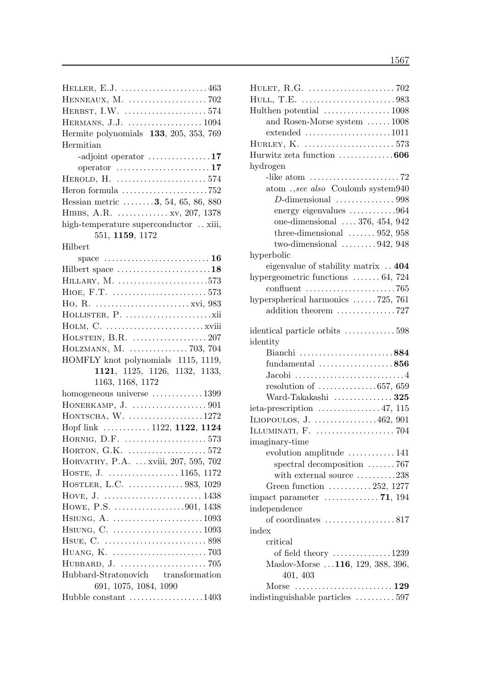| HELLER, E.J. $\dots\dots\dots\dots\dots\dots\dots463$                           |
|---------------------------------------------------------------------------------|
|                                                                                 |
|                                                                                 |
| HERMANS, J.J.  1094                                                             |
| Hermite polynomials 133, 205, 353, 769                                          |
| Hermitian                                                                       |
| -adjoint operator $\dots\dots\dots\dots\dots17$                                 |
| operator $\dots\dots\dots\dots\dots\dots\dots 17$                               |
|                                                                                 |
| Heron formula $\ldots \ldots \ldots \ldots \ldots \ldots \ldots$ 752            |
| Hessian metric  3, 54, 65, 86, 880                                              |
|                                                                                 |
| HIBBS, A.R.  xv, 207, 1378                                                      |
| high-temperature superconductor  xiii,                                          |
| 551, 1159, 1172                                                                 |
| Hilbert                                                                         |
|                                                                                 |
| Hilbert space 18                                                                |
| HILLARY, M. 573                                                                 |
|                                                                                 |
|                                                                                 |
|                                                                                 |
|                                                                                 |
|                                                                                 |
| HOLZMANN, M.  703, 704                                                          |
| HOMFLY knot polynomials 1115, 1119,                                             |
| 1121, 1125, 1126, 1132, 1133,                                                   |
| 1163, 1168, 1172                                                                |
| homogeneous universe 1399                                                       |
|                                                                                 |
| HONTSCHA, W. 1272                                                               |
| Hopf link  1122, 1122, 1124                                                     |
| HORNIG, D.F. 573                                                                |
|                                                                                 |
| HORVATHY, P.A.  xviii, 207, 595, 702                                            |
|                                                                                 |
| HOSTLER, L.C. 983, 1029                                                         |
|                                                                                 |
| HOWE, P.S. 901, 1438                                                            |
| $H\text{SIUNG}, \text{A}. \dots \dots \dots \dots \dots \dots \dots \dots 1093$ |
| HSIUNG, C. 1093                                                                 |
|                                                                                 |
|                                                                                 |
|                                                                                 |
| Hubbard-Stratonovich transformation                                             |
| 691, 1075, 1084, 1090                                                           |
| Hubble constant $\dots\dots\dots\dots\dots\dots 1403$                           |
|                                                                                 |

| HULET, R.G. $\dots\dots\dots\dots\dots\dots\dots$ 702           |  |
|-----------------------------------------------------------------|--|
|                                                                 |  |
|                                                                 |  |
| and Rosen-Morse system  1008                                    |  |
|                                                                 |  |
|                                                                 |  |
| Hurwitz zeta function  606                                      |  |
| hydrogen                                                        |  |
| -like atom $\dots \dots \dots \dots \dots \dots \dots \dots 72$ |  |
| atom.,see also Coulomb system940                                |  |
|                                                                 |  |
| energy eigenvalues 964                                          |  |
| one-dimensional $\ldots$ 376, 454, 942                          |  |
| three-dimensional $\ldots \ldots 952, 958$                      |  |
| two-dimensional $\ldots \ldots \ldots 942, 948$                 |  |
| hyperbolic                                                      |  |
| eigenvalue of stability matrix 404                              |  |
| hypergeometric functions $\ldots \ldots 64$ , 724               |  |
|                                                                 |  |
| hyperspherical harmonics $\ldots \ldots$ 725, 761               |  |
| addition theorem 727                                            |  |
| identical particle orbits 598                                   |  |
| identity                                                        |  |
|                                                                 |  |
|                                                                 |  |
| Bianchi 884                                                     |  |
| fundamental $\ldots \ldots \ldots \ldots \ldots$ . 856          |  |
|                                                                 |  |
| resolution of $\ldots \ldots \ldots \ldots \ldots 657, 659$     |  |
| Ward-Takakashi  325                                             |  |
| ieta-prescription $\ldots \ldots \ldots \ldots \ldots 47, 115$  |  |
| ILIOPOULOS, J. $\dots \dots \dots \dots \dots 462, 901$         |  |
|                                                                 |  |
| imaginary-time                                                  |  |
| evolution amplitude $\dots \dots \dots \dots 141$               |  |
| spectral decomposition 767                                      |  |
| with external source 238                                        |  |
| Green function $\ldots \ldots \ldots 252, 1277$                 |  |
|                                                                 |  |
| independence                                                    |  |
| of coordinates 817<br>index                                     |  |
| critical                                                        |  |
|                                                                 |  |
| of field theory $\dots \dots \dots \dots \dots 1239$            |  |
| Maslov-Morse  116, 129, 388, 396,                               |  |
| 401, 403<br>Morse                                               |  |
| indistinguishable particles 597                                 |  |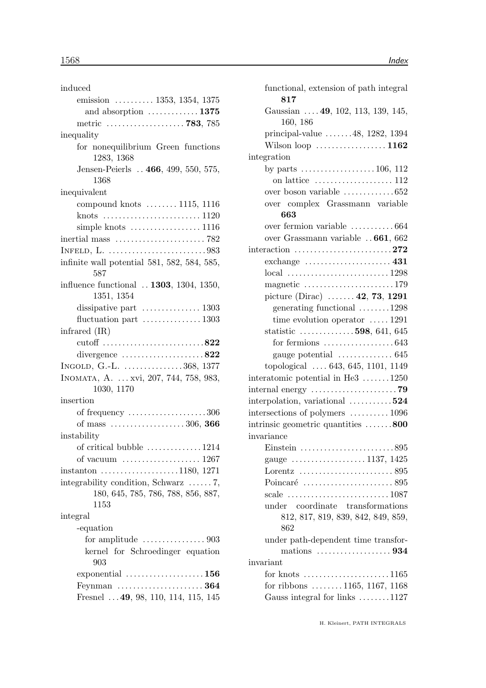| induced                                                             |
|---------------------------------------------------------------------|
| emission  1353, 1354, 1375                                          |
| and absorption  1375                                                |
| metric  783, 785                                                    |
| inequality                                                          |
| for nonequilibrium Green functions                                  |
| 1283, 1368                                                          |
| Jensen-Peierls  466, 499, 550, 575,<br>1368                         |
| inequivalent                                                        |
| compound knots $\dots \dots 1115$ , 1116                            |
|                                                                     |
| simple knots $\dots\dots\dots\dots\dots\dots 1116$                  |
| inertial mass $\dots \dots \dots \dots \dots \dots \dots \dots$ 782 |
|                                                                     |
| infinite wall potential 581, 582, 584, 585,                         |
| 587                                                                 |
| influence functional  1303, 1304, 1350,                             |
| 1351, 1354                                                          |
| dissipative part $\dots \dots \dots \dots \dots 1303$               |
| fluctuation part $\dots \dots \dots \dots 1303$                     |
| infrared $(IR)$                                                     |
| cutoff 822                                                          |
| divergence $\ldots \ldots \ldots \ldots \ldots 822$                 |
| INGOLD, G.-L. $\dots \dots \dots \dots \dots 368$ , 1377            |
| INOMATA, A.  xvi, 207, 744, 758, 983,                               |
| 1030, 1170                                                          |
| insertion                                                           |
| of frequency 306                                                    |
| of mass 306, 366                                                    |
| instability                                                         |
| of critical bubble $\ldots \ldots \ldots \ldots 1214$               |
|                                                                     |
| instanton $\dots \dots \dots \dots \dots \dots 1180$ , 1271         |
| integrability condition, Schwarz $\dots \dots 7$ ,                  |
| 180, 645, 785, 786, 788, 856, 887,                                  |
| 1153                                                                |
| integral                                                            |
| -equation                                                           |
| for amplitude $\dots\dots\dots\dots\dots903$                        |
| kernel for Schroedinger equation                                    |
| 903                                                                 |
| exponential $\ldots \ldots \ldots \ldots \ldots 156$                |
| Feynman $\ldots \ldots \ldots \ldots \ldots \ldots 364$             |
| Fresnel  49, 98, 110, 114, 115, 145                                 |

| functional, extension of path integral<br>817                          |
|------------------------------------------------------------------------|
| Gaussian  49, 102, 113, 139, 145,<br>160, 186                          |
| principal-value $\ldots \ldots 48, 1282, 1394$                         |
| Wilson loop $\dots\dots\dots\dots\dots\dots$ 1162                      |
| integration                                                            |
| by parts $\dots \dots \dots \dots \dots \dots 106$ , 112               |
|                                                                        |
| over boson variable 652                                                |
| over complex Grassmann variable                                        |
| 663                                                                    |
| over fermion variable  664                                             |
| over Grassmann variable  661, 662                                      |
| interaction 272                                                        |
| exchange $\dots\dots\dots\dots\dots\dots\dots$ 431                     |
|                                                                        |
| magnetic 179                                                           |
| picture (Dirac) $\ldots \ldots$ 42, 73, 1291                           |
| generating functional 1298                                             |
| time evolution operator $\dots$ 1291                                   |
| statistic $\ldots \ldots \ldots \ldots 598, 641, 645$                  |
| for fermions $\dots\dots\dots\dots\dots\dots643$                       |
| gauge potential $\ldots \ldots \ldots \ldots 645$                      |
| topological  643, 645, 1101, 1149                                      |
| interatomic potential in He3 $\dots \dots 1250$                        |
|                                                                        |
| interpolation, variational 524                                         |
| intersections of polymers  1096                                        |
|                                                                        |
| intrinsic geometric quantities 800<br>invariance                       |
|                                                                        |
| Einstein $\ldots \ldots \ldots \ldots \ldots \ldots \ldots$ . 895      |
| gauge 1137, 1425                                                       |
| Lorentz $\dots\dots\dots\dots\dots\dots\dots 895$                      |
|                                                                        |
| scale $\ldots \ldots \ldots \ldots \ldots \ldots \ldots \ldots 1087$   |
| under coordinate transformations<br>812, 817, 819, 839, 842, 849, 859, |
| 862                                                                    |
| under path-dependent time transfor-                                    |
| mations $\dots\dots\dots\dots\dots\dots934$                            |
| invariant                                                              |
| for knots $\dots \dots \dots \dots \dots \dots \dots 1165$             |
| for ribbons $\ldots \ldots 1165, 1167, 1168$                           |
| Gauss integral for links 1127                                          |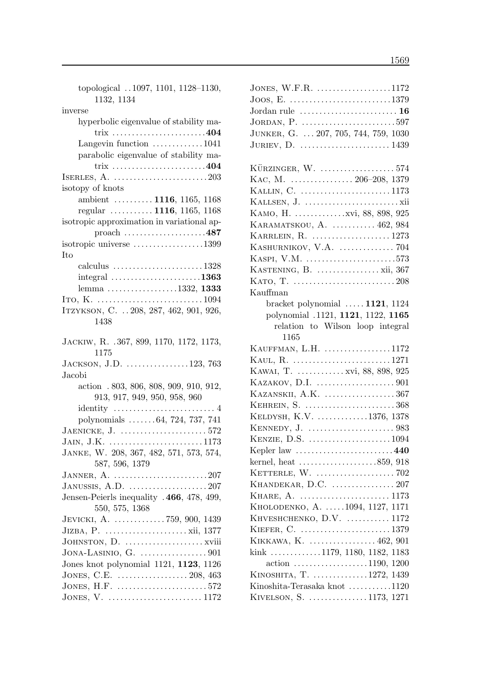| topological 1097, 1101, 1128-1130,<br>1132, 1134                  |
|-------------------------------------------------------------------|
| inverse                                                           |
| hyperbolic eigenvalue of stability ma-                            |
| $trix$ 404                                                        |
| Langevin function $\dots \dots \dots \dots 1041$                  |
| parabolic eigenvalue of stability ma-<br>trix 404                 |
|                                                                   |
| isotopy of knots                                                  |
| ambient  1116, 1165, 1168                                         |
| regular $\ldots \ldots \ldots 1116$ , 1165, 1168                  |
| isotropic approximation in variational ap-                        |
| proach $\dots\dots\dots\dots\dots\dots487$                        |
| isotropic universe 1399                                           |
| Ito                                                               |
| calculus $\ldots \ldots \ldots \ldots \ldots \ldots \ldots 1328$  |
| integral $\ldots \ldots \ldots \ldots \ldots \ldots \ldots 1363$  |
| lemma 1332, 1333                                                  |
|                                                                   |
| ITZYKSON, C.  208, 287, 462, 901, 926,                            |
| 1438                                                              |
| JACKIW, R. . 367, 899, 1170, 1172, 1173,                          |
| 1175                                                              |
| JACKSON, J.D. 123, 763                                            |
| Jacobi                                                            |
| action .803, 806, 808, 909, 910, 912,                             |
| 913, 917, 949, 950, 958, 960                                      |
| identity<br>. 4                                                   |
| polynomials  64, 724, 737, 741                                    |
| JAENICKE, J. $\dots\dots\dots\dots\dots\dots\dots 572$            |
| JAIN, J.K. 1173                                                   |
| JANKE, W. 208, 367, 482, 571, 573, 574,                           |
| 587, 596, 1379                                                    |
| JANNER, A. $\ldots \ldots \ldots \ldots \ldots \ldots \ldots 207$ |
| JANUSSIS, A.D. $\dots\dots\dots\dots\dots\dots 207$               |
| Jensen-Peierls inequality .466, 478, 499,                         |
| 550, 575, 1368                                                    |
| JEVICKI, A.  759, 900, 1439                                       |
|                                                                   |
|                                                                   |
| JONA-LASINIO, G. $\dots\dots\dots\dots\dots901$                   |
| Jones knot polynomial 1121, 1123, 1126                            |
| JONES, C.E.  208, 463                                             |
| JONES, H.F. 572                                                   |
|                                                                   |

| JONES, W.F.R. 1172                                        |
|-----------------------------------------------------------|
|                                                           |
| Jordan rule $\dots\dots\dots\dots\dots\dots\dots\dots$ 16 |
| JORDAN, P. 597                                            |
| JUNKER, G.  207, 705, 744, 759, 1030                      |
| JURIEV, D. $\dots\dots\dots\dots\dots\dots\dots 1439$     |
|                                                           |
| KÜRZINGER, W. 574                                         |
| KAC, M.  206–208, 1379                                    |
| KALLIN, C. 1173                                           |
|                                                           |
|                                                           |
| KARAMATSKOU, A.  462, 984                                 |
| KARRLEIN, R.  1273                                        |
| KASHURNIKOV, V.A.  704                                    |
| KASPI, V.M. 573                                           |
| KASTENING, B. $\dots\dots\dots\dots\dots$ xii, 367        |
|                                                           |
| Kauffman                                                  |
| bracket polynomial $\ldots$ 1121, 1124                    |
| polynomial .1121, 1121, 1122, 1165                        |
| relation to Wilson loop integral                          |
| 1165                                                      |
| KAUFFMAN, L.H. 1172                                       |
| KAUL, R. 1271                                             |
| KAWAI, T.  xvi, 88, 898, 925                              |
|                                                           |
| KAZANSKII, A.K. 367                                       |
| KEHREIN, S. 368                                           |
| KELDYSH, K.V. 1376, 1378                                  |
|                                                           |
| KENZIE, D.S. 1094                                         |
| Kepler law $\dots\dots\dots\dots\dots\dots\dots440$       |
| kernel, heat 859, 918                                     |
|                                                           |
| KHANDEKAR, D.C.  207                                      |
|                                                           |
| KHOLODENKO, A. 1094, 1127, 1171                           |
| KHVESHCHENKO, D.V.  1172                                  |
| KIEFER, C. 1379                                           |
| KIKKAWA, K.  462, 901                                     |
| kink 1179, 1180, 1182, 1183                               |
| $\arctan \ldots \ldots \ldots \ldots \ldots 1190, 1200$   |
| KINOSHITA, T. 1272, 1439                                  |
| Kinoshita-Terasaka knot 1120                              |
| KIVELSON, S. 1173, 1271                                   |
|                                                           |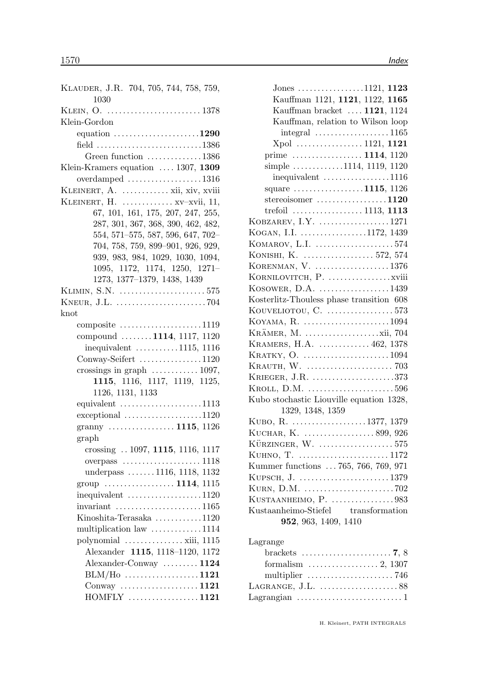| KLAUDER, J.R. 704, 705, 744, 758, 759,<br>1030              |
|-------------------------------------------------------------|
|                                                             |
| Klein-Gordon                                                |
| equation $\ldots \ldots \ldots \ldots \ldots \ldots 1290$   |
| field 1386                                                  |
| Green function 1386                                         |
| Klein-Kramers equation $\ldots$ 1307, 1309                  |
| overdamped $\ldots \ldots \ldots \ldots \ldots \ldots 1316$ |
| KLEINERT, A.  xii, xiv, xviii                               |
| KLEINERT, H.  xv-xvii, 11,                                  |
| 67, 101, 161, 175, 207, 247, 255,                           |
| 287, 301, 367, 368, 390, 462, 482,                          |
| 554, 571-575, 587, 596, 647, 702-                           |
|                                                             |
| 704, 758, 759, 899-901, 926, 929,                           |
| 939, 983, 984, 1029, 1030, 1094,                            |
| 1095, 1172, 1174, 1250, 1271-                               |
| 1273, 1377-1379, 1438, 1439                                 |
| KLIMIN, S.N. 575                                            |
| KNEUR, J.L. $\dots\dots\dots\dots\dots\dots\dots 704$       |
| knot                                                        |
| composite $\dots \dots \dots \dots \dots \dots \dots 1119$  |
| compound 1114, 1117, 1120                                   |
| inequivalent $\ldots \ldots \ldots 1115$ , 1116             |
| Conway-Seifert 1120                                         |
| crossings in graph $\ldots \ldots \ldots \ldots 1097$ ,     |
| 1115, 1116, 1117, 1119, 1125,                               |
| 1126, 1131, 1133                                            |
| equivalent $\ldots \ldots \ldots \ldots \ldots \ldots 1113$ |
| $exceptional$ 1120                                          |
|                                                             |
| granny  1115, 1126                                          |
| graph                                                       |
| crossing  1097, 1115, 1116, 1117                            |
| overpass $\dots \dots \dots \dots \dots \dots 1118$         |
| underpass $\ldots \ldots 1116, 1118, 1132$                  |
| group  1114, 1115                                           |
| $inequivalent$ 1120                                         |
| invariant $\ldots \ldots \ldots \ldots \ldots \ldots 1165$  |
| Kinoshita-Terasaka 1120                                     |
| multiplication law 1114                                     |
|                                                             |
| Alexander 1115, 1118-1120, 1172                             |
| Alexander-Conway  1124                                      |
| $BLM/Ho \ldots \ldots \ldots \ldots \ldots 1121$            |
|                                                             |
|                                                             |
| $HOMFLY$ 1121                                               |

| Jones 1121, 1123                                                  |
|-------------------------------------------------------------------|
| Kauffman 1121, 1121, 1122, 1165                                   |
| Kauffman bracket  1121, 1124                                      |
| Kauffman, relation to Wilson loop                                 |
| $integral \dots \dots \dots \dots \dots \dots 1165$               |
| Xpol  1121, 1121                                                  |
| prime  1114, 1120                                                 |
| simple $\ldots \ldots \ldots \ldots 1114, 1119, 1120$             |
| $inequivalent$ 1116                                               |
| square $\ldots \ldots \ldots \ldots \ldots 1115, 1126$            |
| stereoisomer 1120                                                 |
|                                                                   |
| KOBZAREV, I.Y. 1271                                               |
| KOGAN, I.I. 1172, 1439                                            |
| KOMAROV, L.I. 574                                                 |
| KONISHI, K.  572, 574                                             |
| KORENMAN, V. 1376                                                 |
|                                                                   |
| KOSOWER, D.A. $\dots\dots\dots\dots\dots1439$                     |
| Kosterlitz-Thouless phase transition 608                          |
| KOUVELIOTOU, C. 573                                               |
| KOYAMA, R. 1094                                                   |
|                                                                   |
| KRAMERS, H.A.  462, 1378                                          |
| KRATKY, O. 1094                                                   |
|                                                                   |
| KRIEGER, J.R. 373                                                 |
| KROLL, D.M. 596                                                   |
| Kubo stochastic Liouville equation 1328,                          |
| 1329, 1348, 1359                                                  |
| KUBO, R. 1377, 1379                                               |
| KUCHAR, K. 899, 926                                               |
| KÜRZINGER, W. 575                                                 |
| KUHNO, T. 1172                                                    |
| Kummer functions  765, 766, 769, 971                              |
|                                                                   |
| KURN, D.M. 702                                                    |
| KUSTAANHEIMO, P. 983                                              |
| Kustaanheimo-Stiefel transformation                               |
| 952, 963, 1409, 1410                                              |
| Lagrange                                                          |
|                                                                   |
| formalism $\ldots \ldots \ldots \ldots \ldots 2, 1307$            |
| multiplier $\ldots \ldots \ldots \ldots \ldots \ldots \ldots$ 746 |
|                                                                   |

| multiplier $\ldots \ldots \ldots \ldots \ldots \ldots \ldots$ 746 |
|-------------------------------------------------------------------|
| LAGRANGE, J.L. $\dots\dots\dots\dots\dots\dots 88$                |
| Lagrangian $\dots \dots \dots \dots \dots \dots \dots \dots 1$    |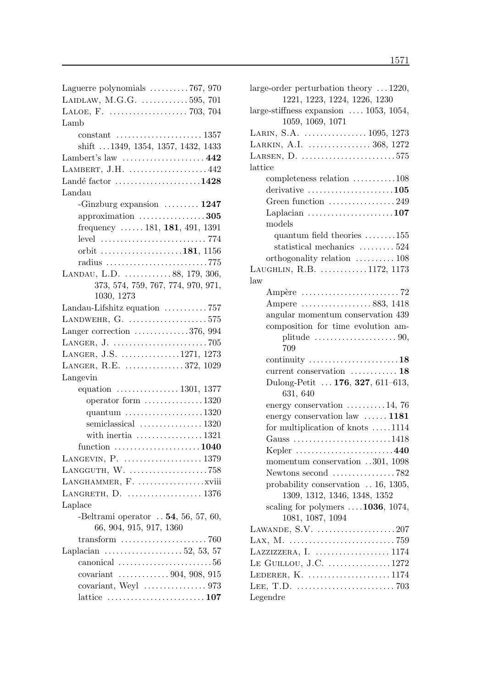| Laguerre polynomials 767, 970                                   |
|-----------------------------------------------------------------|
| LAIDLAW, M.G.G. 595, 701                                        |
|                                                                 |
| Lamb                                                            |
|                                                                 |
| shift 1349, 1354, 1357, 1432, 1433                              |
| Lambert's law $\dots\dots\dots\dots\dots\dots442$               |
| LAMBERT, J.H. $\dots\dots\dots\dots\dots442$                    |
| Landé factor $\dots\dots\dots\dots\dots\dots1428$               |
| Landau                                                          |
| -Ginzburg expansion $\dots \dots \dots 1247$                    |
| approximation $\ldots$ 305                                      |
| frequency  181, 181, 491, 1391                                  |
|                                                                 |
| orbit $\ldots \ldots \ldots \ldots \ldots \ldots 181, 1156$     |
| radius 775                                                      |
| LANDAU, L.D. 88, 179, 306,                                      |
| 373, 574, 759, 767, 774, 970, 971,                              |
| 1030, 1273                                                      |
| Landau-Lifshitz equation 757                                    |
| LANDWEHR, G. $\dots\dots\dots\dots\dots\dots575$                |
|                                                                 |
| Langer correction $\dots \dots \dots \dots 376, 994$            |
|                                                                 |
| LANGER, J.S. 1271, 1273                                         |
| LANGER, R.E.  372, 1029                                         |
| Langevin                                                        |
| equation $\ldots \ldots \ldots \ldots \ldots 1301, 1377$        |
| operator form $\dots \dots \dots \dots \dots 1320$              |
| quantum $\ldots \ldots \ldots \ldots \ldots \ldots 1320$        |
| semiclassical  1320                                             |
| with inertia $\ldots \ldots \ldots \ldots \ldots 1321$          |
| function $\ldots \ldots \ldots \ldots \ldots \ldots 1040$       |
| LANGEVIN, P. $\dots\dots\dots\dots\dots\dots 1379$              |
| LANGGUTH, W. 758                                                |
|                                                                 |
| LANGRETH, D. $\dots\dots\dots\dots\dots\dots 1376$              |
| Laplace                                                         |
| -Beltrami operator $$ 54, 56, 57, 60,                           |
| 66, 904, 915, 917, 1360                                         |
| $transform$<br>$\ldots$ 760                                     |
| Laplacian $\ldots \ldots \ldots \ldots \ldots 52, 53, 57$       |
| canonical $\ldots \ldots \ldots \ldots \ldots \ldots \ldots 56$ |
| covariant  904, 908, 915                                        |
|                                                                 |
| lattice $\ldots \ldots \ldots \ldots \ldots \ldots \ldots 107$  |

| large-order perturbation theory $\dots$ 1220,                   |  |
|-----------------------------------------------------------------|--|
| 1221, 1223, 1224, 1226, 1230                                    |  |
| large-stiffness expansion $\ldots$ 1053, 1054,                  |  |
| 1059, 1069, 1071                                                |  |
| LARIN, S.A.  1095, 1273                                         |  |
| LARKIN, A.I.  368, 1272                                         |  |
| LARSEN, D. $\dots\dots\dots\dots\dots\dots\dots\dots575$        |  |
| lattice                                                         |  |
| completeness relation 108                                       |  |
| derivative $\ldots \ldots \ldots \ldots \ldots \ldots 105$      |  |
| Green function 249                                              |  |
| Laplacian $\dots \dots \dots \dots \dots \dots \dots 107$       |  |
| models                                                          |  |
| quantum field theories $\dots \dots 155$                        |  |
| statistical mechanics $\dots \dots \dots 524$                   |  |
| orthogonality relation  108                                     |  |
| LAUGHLIN, R.B. 1172, 1173                                       |  |
| law                                                             |  |
| Ampère $\dots \dots \dots \dots \dots \dots \dots \dots$ 72     |  |
| Ampere 883, 1418                                                |  |
| angular momentum conservation 439                               |  |
| composition for time evolution am-                              |  |
| plitude $\ldots \ldots \ldots \ldots \ldots \ldots \ldots 90$ , |  |
| 709                                                             |  |
| continuity $\dots \dots \dots \dots \dots \dots \dots 18$       |  |
| current conservation  18                                        |  |
| Dulong-Petit  176, 327, 611-613,                                |  |
| 631, 640                                                        |  |
| energy conservation $\dots \dots \dots 14$ , 76                 |  |
| energy conservation law $\dots \dots 1181$                      |  |
| for multiplication of knots $\dots$ 1114                        |  |
| Gauss 1418                                                      |  |
| Kepler 440                                                      |  |
| momentum conservation 301, 1098                                 |  |
| Newtons second $\ldots \ldots \ldots \ldots \ldots$ 782         |  |
| probability conservation $\ldots$ 16, 1305,                     |  |
| 1309, 1312, 1346, 1348, 1352                                    |  |
| scaling for polymers $\dots$ 1036, 1074,<br>1081, 1087, 1094    |  |
| LAWANDE, $S.V.$ 207                                             |  |
|                                                                 |  |
| LAZZIZZERA, I.  1174                                            |  |
| LE GUILLOU, J.C. 1272                                           |  |
|                                                                 |  |
|                                                                 |  |
| Legendre                                                        |  |
|                                                                 |  |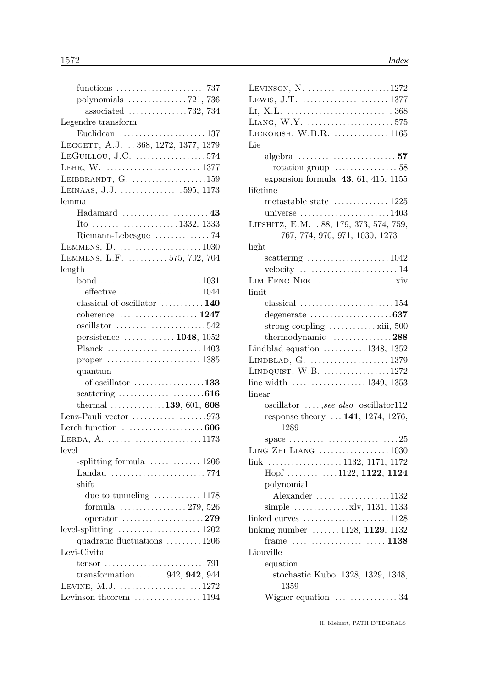| functions 737                                                          |  |
|------------------------------------------------------------------------|--|
| polynomials $\ldots \ldots \ldots \ldots$ 721, 736                     |  |
| associated $\ldots \ldots \ldots \ldots \ldots 732, 734$               |  |
| Legendre transform                                                     |  |
| Euclidean 137                                                          |  |
| LEGGETT, A.J.  368, 1272, 1377, 1379                                   |  |
| $LEGUILIOU, J.C.$ 574                                                  |  |
|                                                                        |  |
| LEIBBRANDT, G. $\dots\dots\dots\dots\dots\dots159$                     |  |
| LEINAAS, J.J. 595, 1173                                                |  |
| lemma                                                                  |  |
|                                                                        |  |
|                                                                        |  |
|                                                                        |  |
| Riemann-Lebesgue 74                                                    |  |
| LEMMENS, D. 1030                                                       |  |
| LEMMENS, L.F.  575, 702, 704                                           |  |
| length                                                                 |  |
| bond 1031                                                              |  |
| effective $\ldots \ldots \ldots \ldots \ldots \ldots 1044$             |  |
| classical of oscillator  140                                           |  |
| coherence $\ldots \ldots \ldots \ldots \ldots 1247$                    |  |
| oscillator 542                                                         |  |
| persistence $\dots \dots \dots \dots 1048$ , 1052                      |  |
| Planck 1403                                                            |  |
| proper $\ldots \ldots \ldots \ldots \ldots \ldots \ldots 1385$         |  |
| quantum                                                                |  |
| of oscillator $\ldots \ldots \ldots \ldots \ldots 133$                 |  |
| scattering $\ldots \ldots \ldots \ldots \ldots \ldots \ldots 616$      |  |
| thermal $\ldots \ldots \ldots \ldots 139, 601, 608$                    |  |
| Lenz-Pauli vector 973                                                  |  |
| Lerch function $\dots\dots\dots\dots\dots\dots 606$                    |  |
| LERDA, A. $\dots\dots\dots\dots\dots\dots\dots\dots1173$               |  |
| level                                                                  |  |
| -splitting formula $\ldots \ldots \ldots \ldots 1206$                  |  |
| Landau 774                                                             |  |
| $\text{shift}$                                                         |  |
| due to tunneling  1178                                                 |  |
| formula $\ldots \ldots \ldots \ldots \ldots 279, 526$                  |  |
| operator $\ldots \ldots \ldots \ldots \ldots \ldots 279$               |  |
|                                                                        |  |
| quadratic fluctuations 1206                                            |  |
| Levi-Civita                                                            |  |
|                                                                        |  |
| tensor $\ldots \ldots \ldots \ldots \ldots \ldots \ldots \ldots$ . 791 |  |
| transformation $\ldots \ldots 942, 942, 944$                           |  |
| LEVINE, $M.J.$ 1272                                                    |  |
| Levinson theorem  1194                                                 |  |

| LEVINSON, N. $\dots\dots\dots\dots\dots\dots1272$                         |
|---------------------------------------------------------------------------|
|                                                                           |
|                                                                           |
|                                                                           |
| LICKORISH, W.B.R. $\dots\dots\dots\dots 1165$                             |
| Lie                                                                       |
|                                                                           |
| rotation group $\ldots \ldots \ldots \ldots 58$                           |
| expansion formula $43, 61, 415, 1155$                                     |
| lifetime                                                                  |
| metastable state  1225                                                    |
| universe $\dots \dots \dots \dots \dots \dots \dots 1403$                 |
| LIFSHITZ, E.M. . 88, 179, 373, 574, 759,                                  |
| 767, 774, 970, 971, 1030, 1273                                            |
| light                                                                     |
| scattering $\ldots \ldots \ldots \ldots \ldots \ldots 1042$               |
| velocity $\dots\dots\dots\dots\dots\dots\dots\dots 14$                    |
|                                                                           |
| limit                                                                     |
| classical $\ldots \ldots \ldots \ldots \ldots \ldots \ldots 154$          |
| degenerate 637                                                            |
| strong-coupling $\dots \dots \dots \dots$ xiii, 500                       |
| thermodynamic $\ldots \ldots \ldots \ldots \ldots 288$                    |
| Lindblad equation $\dots \dots \dots 1348$ , 1352                         |
|                                                                           |
| LINDQUIST, $W.B.$ 1272                                                    |
| line width $\ldots \ldots \ldots \ldots \ldots \ldots 1349, 1353$         |
| linear                                                                    |
| $oscillator$ , see also oscillator112                                     |
| response theory $141, 1274, 1276,$                                        |
| 1289                                                                      |
| space $\ldots \ldots \ldots \ldots \ldots \ldots \ldots \ldots \ldots 25$ |
| LING ZHI LIANG $\ldots$ 1030                                              |
| link  1132, 1171, 1172                                                    |
| Hopf 1122, 1122, 1124                                                     |
| polynomial                                                                |
| Alexander $\dots\dots\dots\dots\dots\dots1132$                            |
| simple $\dots \dots \dots \dots$ xlv, 1131, 1133                          |
| linked curves $\dots\dots\dots\dots\dots\dots 1128$                       |
| linking number  1128, 1129, 1132                                          |
|                                                                           |
| Liouville                                                                 |
| equation                                                                  |
| stochastic Kubo 1328, 1329, 1348,<br>1359                                 |
| Wigner equation  34                                                       |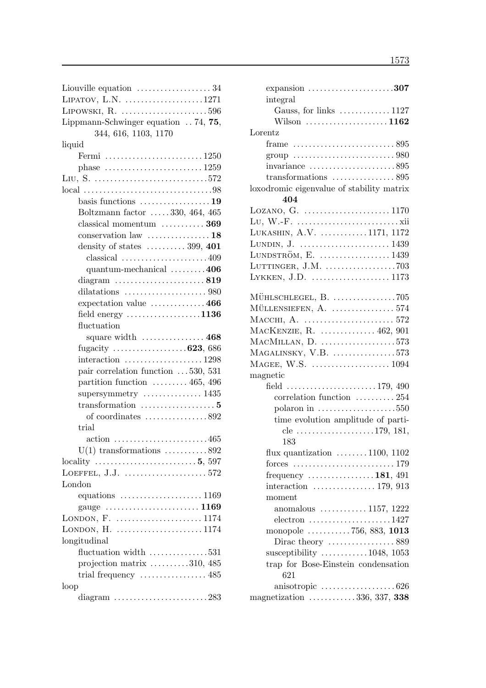| Liouville equation $\dots\dots\dots\dots\dots 34$                  |
|--------------------------------------------------------------------|
| LIPATOV, L.N. 1271                                                 |
| LIPOWSKI, R. 596                                                   |
| Lippmann-Schwinger equation $\ldots$ 74, 75,                       |
| 344, 616, 1103, 1170                                               |
| liquid                                                             |
|                                                                    |
|                                                                    |
| phase $\ldots \ldots \ldots \ldots \ldots \ldots \ldots 1259$      |
|                                                                    |
|                                                                    |
| basis functions $\dots\dots\dots\dots\dots\dots$ 19                |
| Boltzmann factor  330, 464, 465                                    |
| classical momentum $\dots \dots \dots 369$                         |
| conservation law $\dots\dots\dots\dots\dots 18$                    |
| density of states $\dots \dots \dots 399, 401$                     |
| classical $\ldots \ldots \ldots \ldots \ldots \ldots 409$          |
| quantum-mechanical 406                                             |
|                                                                    |
|                                                                    |
| dilatations $\ldots \ldots \ldots \ldots \ldots \ldots \ldots$ 980 |
| expectation value $\dots \dots \dots \dots 466$                    |
| field energy $\ldots \ldots \ldots \ldots \ldots \ldots 1136$      |
| fluctuation                                                        |
|                                                                    |
|                                                                    |
|                                                                    |
|                                                                    |
| interaction $\ldots \ldots \ldots \ldots \ldots 1298$              |
| pair correlation function 530, 531                                 |
| partition function $\ldots \ldots \ldots 465, 496$                 |
| supersymmetry $\dots\dots\dots\dots 1435$                          |
|                                                                    |
| of coordinates $\dots\dots\dots\dots 892$                          |
| trial                                                              |
| $\arctan$ 465                                                      |
| $U(1)$ transformations 892                                         |
|                                                                    |
|                                                                    |
|                                                                    |
| London                                                             |
|                                                                    |
|                                                                    |
|                                                                    |
| LONDON, $H.$ 1174                                                  |
| longitudinal                                                       |
| fluctuation width $\dots\dots\dots\dots\dots 531$                  |
| projection matrix $\dots \dots \dots 310, 485$                     |
| trial frequency $\dots\dots\dots\dots\dots 485$                    |
| loop                                                               |
| diagram $\ldots$ 283                                               |

| expansion $\ldots \ldots \ldots \ldots \ldots \ldots \ldots 307$<br>integral |  |
|------------------------------------------------------------------------------|--|
| Gauss, for links  1127                                                       |  |
| Wilson $\dots\dots\dots\dots\dots\dots1162$                                  |  |
| Lorentz                                                                      |  |
| frame $\ldots \ldots \ldots \ldots \ldots \ldots \ldots \ldots 895$          |  |
|                                                                              |  |
|                                                                              |  |
|                                                                              |  |
| transformations $\dots\dots\dots\dots\dots 895$                              |  |
| loxodromic eigenvalue of stability matrix                                    |  |
| 404                                                                          |  |
| LOZANO, G. 1170                                                              |  |
|                                                                              |  |
| LUKASHIN, A.V. 1171, 1172                                                    |  |
| LUNDIN, J.  1439                                                             |  |
| LUNDSTRÖM, E.  1439                                                          |  |
| LUTTINGER, J.M. $\dots\dots\dots\dots\dots.703$                              |  |
| LYKKEN, J.D.  1173                                                           |  |
|                                                                              |  |
|                                                                              |  |
|                                                                              |  |
| MACKENZIE, R.  462, 901                                                      |  |
| MACMILLAN, D. 573                                                            |  |
| $MAGALINSKY, V.B.$ 573                                                       |  |
|                                                                              |  |
| magnetic                                                                     |  |
| field 179, 490                                                               |  |
| correlation function  254                                                    |  |
| polaron in $\dots \dots \dots \dots \dots \dots 550$                         |  |
| time evolution amplitude of parti-                                           |  |
| cle 179, 181,                                                                |  |
| 183                                                                          |  |
| flux quantization $\dots \dots \dots 1100$ , 1102                            |  |
|                                                                              |  |
| forces $\ldots \ldots \ldots \ldots \ldots \ldots \ldots \ldots 179$         |  |
| frequency $\dots \dots \dots \dots \dots 181, 491$                           |  |
| interaction $\ldots \ldots \ldots \ldots \ldots 179, 913$                    |  |
| moment                                                                       |  |
| anomalous $\ldots \ldots \ldots \ldots 1157, 1222$                           |  |
| $\text{electron}\ \dots\dots\dots\dots\dots\dots\dots1427$                   |  |
| monopole 756, 883, 1013                                                      |  |
| Dirac theory  889                                                            |  |
| susceptibility $\ldots \ldots \ldots \ldots 1048, 1053$                      |  |
| trap for Bose-Einstein condensation<br>621                                   |  |
| anisotropic $\ldots \ldots \ldots \ldots \ldots \ldots 626$                  |  |
| magnetization 336, 337, 338                                                  |  |
|                                                                              |  |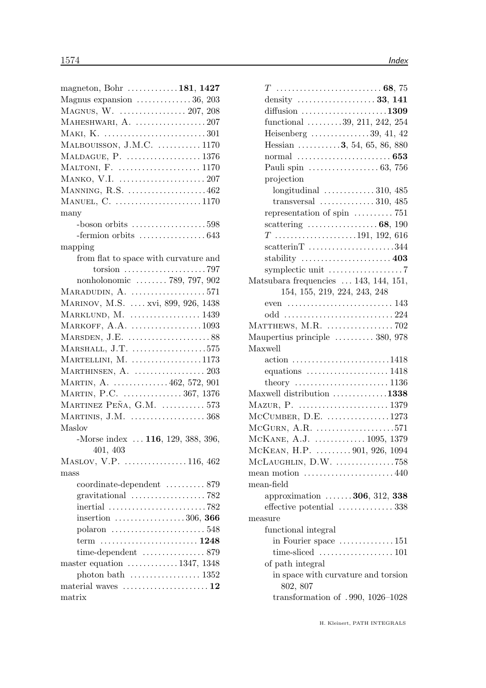| magneton, Bohr $\dots \dots \dots \dots 181$ , 1427                    |  |
|------------------------------------------------------------------------|--|
| Magnus expansion  36, 203                                              |  |
| MAGNUS, W.  207, 208                                                   |  |
| MAHESHWARI, $A.$ 207                                                   |  |
|                                                                        |  |
| MALBOUISSON, J.M.C.  1170                                              |  |
| MALDAGUE, P.  1376                                                     |  |
| MALTONI, F.  1170                                                      |  |
|                                                                        |  |
| MANNING, $R.S.$ 462                                                    |  |
| MANUEL, C. 1170                                                        |  |
| many                                                                   |  |
| $-$ boson orbits 598                                                   |  |
| -fermion orbits $\dots\dots\dots\dots\dots643$                         |  |
| mapping                                                                |  |
| from flat to space with curvature and                                  |  |
|                                                                        |  |
| nonholonomic  789, 797, 902                                            |  |
| MARADUDIN, A. 571                                                      |  |
| MARINOV, M.S.  xvi, 899, 926, 1438                                     |  |
| MARKLUND, M.  1439                                                     |  |
| MARKOFF, $A.A.$ 1093                                                   |  |
|                                                                        |  |
| MARSDEN, J.E. $\dots\dots\dots\dots\dots\dots 88$                      |  |
| $MARSHALL, J.T.$ 575                                                   |  |
| MARTELLINI, M. $\dots\dots\dots\dots\dots1173$                         |  |
|                                                                        |  |
| MARTIN, A.  462, 572, 901                                              |  |
| MARTIN, P.C.  367, 1376                                                |  |
| MARTINEZ PEÑA, G.M.  573                                               |  |
| MARTINIS, $J.M.$ 368                                                   |  |
| Maslov                                                                 |  |
| -Morse index  116, 129, 388, 396,                                      |  |
| 401, 403                                                               |  |
| MASLOV, V.P. $\dots\dots\dots\dots\dots 116, 462$                      |  |
| mass                                                                   |  |
| coordinate-dependent  879                                              |  |
| gravitational $\ldots \ldots \ldots \ldots \ldots \ldots$ 782          |  |
| inertial $\ldots \ldots \ldots \ldots \ldots \ldots \ldots \ldots$ 782 |  |
| insertion $\ldots \ldots \ldots \ldots \ldots 306, 366$                |  |
|                                                                        |  |
|                                                                        |  |
|                                                                        |  |
| master equation 1347, 1348                                             |  |
|                                                                        |  |
| material waves $\dots\dots\dots\dots\dots\dots\dots 12$                |  |
| matrix                                                                 |  |

| diffusion $\ldots$ 1309                                          |
|------------------------------------------------------------------|
| functional $\ldots \ldots \ldots 39, 211, 242, 254$              |
| Heisenberg $\ldots \ldots \ldots \ldots 39, 41, 42$              |
| Hessian $\ldots \ldots \ldots 3, 54, 65, 86, 880$                |
|                                                                  |
|                                                                  |
| projection                                                       |
| longitudinal $\ldots \ldots \ldots \ldots 310, 485$              |
| transversal $\ldots \ldots \ldots \ldots 310, 485$               |
| representation of spin $\dots \dots \dots$ 751                   |
| scattering $\ldots \ldots \ldots \ldots \ldots 68, 190$          |
| $T$ 191, 192, 616                                                |
| $scattering$ 344                                                 |
| stability $\dots\dots\dots\dots\dots\dots\dots$                  |
|                                                                  |
| Matsubara frequencies  143, 144, 151,                            |
| 154, 155, 219, 224, 243, 248                                     |
| even $\dots \dots \dots \dots \dots \dots \dots \dots \dots 143$ |
| odd 224                                                          |
|                                                                  |
| Maupertius principle  380, 978                                   |
| Maxwell                                                          |
| action 1418                                                      |
| equations $\ldots \ldots \ldots \ldots \ldots \ldots 1418$       |
|                                                                  |
| Maxwell distribution 1338                                        |
|                                                                  |
| $MCUMBER, D.E.$ 1273                                             |
| $MCGURN, A.R.$ 571                                               |
| MCKANE, A.J.  1095, 1379                                         |
| MCKEAN, H.P.  901, 926, 1094                                     |
| $McLAUGHLIN, D.W.$ 758                                           |
| mean motion $\dots\dots\dots\dots\dots\dots\dots440$             |
| mean-field                                                       |
| approximation $\dots \dots 306, 312, 338$                        |
| effective potential 338                                          |
| measure                                                          |
| functional integral                                              |
| in Fourier space $\dots \dots \dots \dots 151$                   |
| of path integral                                                 |
|                                                                  |
| in space with curvature and torsion<br>802, 807                  |
| transformation of $.990, 1026 - 1028$                            |
|                                                                  |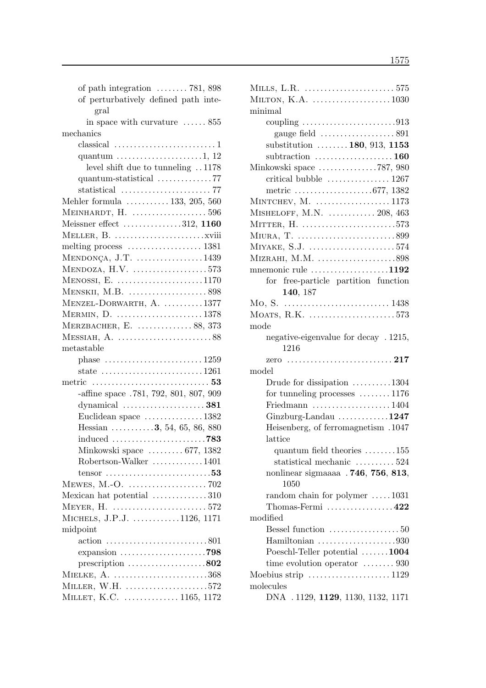| of path integration $\dots \dots 781, 898$                          |
|---------------------------------------------------------------------|
| of perturbatively defined path inte-                                |
| gral                                                                |
| in space with curvature $\dots \dots 855$                           |
| mechanics                                                           |
|                                                                     |
| quantum $\dots \dots \dots \dots \dots \dots 1$ , 12                |
| level shift due to tunneling 1178                                   |
|                                                                     |
|                                                                     |
| Mehler formula  133, 205, 560                                       |
|                                                                     |
|                                                                     |
| Meissner effect $\dots\dots\dots\dots312$ , 1160                    |
|                                                                     |
| melting process $\dots \dots \dots \dots \dots \dots 1381$          |
| $MENDONCA, J.T.$ 1439                                               |
| $MENDOZA, H.V.$ 573                                                 |
| $M \text{ENOSSI}, E.$ 1170                                          |
| MENSKII, M.B. 898                                                   |
| MENZEL-DORWARTH, A. 1377                                            |
| MERMIN, D. 1378                                                     |
| MERZBACHER, E. $\dots\dots\dots\dots 88, 373$                       |
|                                                                     |
| metastable                                                          |
| phase $\dots \dots \dots \dots \dots \dots \dots \dots 1259$        |
| state $\ldots \ldots \ldots \ldots \ldots \ldots \ldots 1261$       |
|                                                                     |
|                                                                     |
| -affine space .781, 792, 801, 807, 909                              |
|                                                                     |
| Euclidean space 1382                                                |
| Hessian $\ldots \ldots \ldots 3, 54, 65, 86, 880$                   |
|                                                                     |
| Minkowski space  677, 1382                                          |
| Robertson-Walker 1401                                               |
| tensor $\ldots \ldots \ldots \ldots \ldots \ldots \ldots \ldots 53$ |
|                                                                     |
| Mexican hat potential $\dots\dots\dots\dots 310$                    |
|                                                                     |
| MICHELS, J.P.J. 1126, 1171                                          |
| midpoint                                                            |
|                                                                     |
|                                                                     |
| prescription $\ldots \ldots \ldots \ldots \ldots \ldots 802$        |
| MIELKE, A. 368                                                      |
| MILLER, W.H. $\dots\dots\dots\dots\dots\dots\dots572$               |
| MILLET, K.C.  1165, 1172                                            |
|                                                                     |

| MILTON, K.A. 1030                                           |
|-------------------------------------------------------------|
| minimal                                                     |
|                                                             |
| gauge field $\ldots \ldots \ldots \ldots \ldots \ldots 891$ |
| substitution $\ldots \ldots \ldots 180, 913, 1153$          |
| subtraction $\ldots \ldots \ldots \ldots \ldots 160$        |
| Minkowski space 787, 980                                    |
|                                                             |
| metric 677, 1382                                            |
| MINTCHEV, M.  1173                                          |
| MISHELOFF, M.N. $\ldots$ 208, 463                           |
| MITTER, H. 573                                              |
|                                                             |
| MIYAKE, S.J. 574                                            |
| MIZRAHI, M.M. 898                                           |
| mnemonic rule $\dots \dots \dots \dots \dots \dots 1192$    |
| free-particle partition function<br>for                     |
| 140, 187                                                    |
|                                                             |
| MOATS, R.K. 573                                             |
| mode                                                        |
| negative-eigenvalue for decay . 1215,                       |
| 1216                                                        |
|                                                             |
|                                                             |
| model                                                       |
| Drude for dissipation 1304                                  |
| for tunneling processes $\dots \dots 1176$                  |
| Friedmann $\ldots \ldots \ldots \ldots \ldots \ldots 1404$  |
| $Ginzburg-Landau$ 1247                                      |
| Heisenberg, of ferromagnetism . 1047                        |
| lattice                                                     |
| quantum field theories $\ldots \ldots \ldots 155$           |
| statistical mechanic $\dots \dots \dots 524$                |
| nonlinear sigmaaaa $.746, 756, 813,$                        |
| 1050                                                        |
| random chain for polymer $\dots$ 1031                       |
| Thomas-Fermi $\dots\dots\dots\dots\dots422$                 |
| modified                                                    |
| Bessel function $\ldots \ldots \ldots \ldots \ldots 50$     |
|                                                             |
| Poeschl-Teller potential 1004                               |
| time evolution operator $\dots \dots 930$                   |
| Moebius strip $\dots\dots\dots\dots\dots\dots 1129$         |
| molecules                                                   |
| DNA . 1129, 1129, 1130, 1132, 1171                          |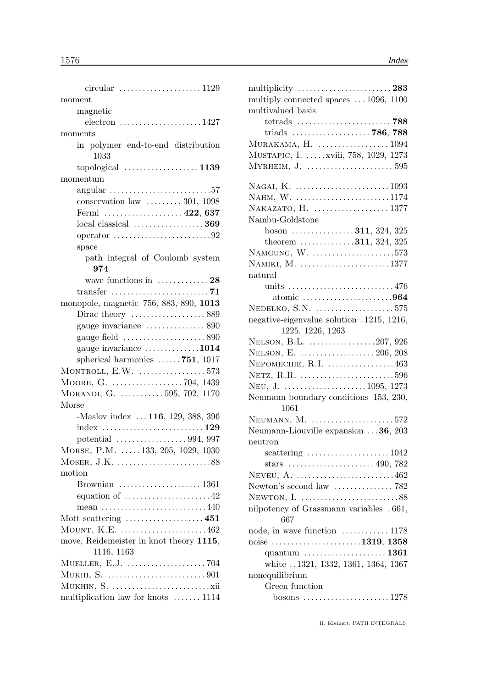| moment                                                             |
|--------------------------------------------------------------------|
| magnetic                                                           |
| $electron \dots \dots \dots \dots \dots \dots \dots 1427$          |
| moments                                                            |
| in polymer end-to-end distribution                                 |
| 1033                                                               |
|                                                                    |
| momentum                                                           |
| $angular$ 57                                                       |
| conservation law $\dots \dots \dots 301$ , 1098                    |
| Fermi  422, 637                                                    |
|                                                                    |
| operator $\dots \dots \dots \dots \dots \dots \dots \dots 92$      |
| space                                                              |
| path integral of Coulomb system                                    |
| 974                                                                |
| wave functions in $\dots \dots \dots \dots 28$                     |
|                                                                    |
| monopole, magnetic 756, 883, 890, 1013                             |
| Dirac theory $\dots\dots\dots\dots\dots 889$                       |
| gauge invariance  890                                              |
| gauge field $\ldots \ldots \ldots \ldots \ldots \ldots$ 890        |
| gauge invariance 1014                                              |
| spherical harmonics $\ldots \ldots$ 751, 1017                      |
| MONTROLL, $E.W.$ 573                                               |
|                                                                    |
| MORANDI, G. 595, 702, 1170                                         |
| Morse                                                              |
| -Maslov index  116, 129, 388, 396                                  |
|                                                                    |
|                                                                    |
| MORSE, P.M.  133, 205, 1029, 1030                                  |
|                                                                    |
| motion                                                             |
| Brownian $\ldots \ldots \ldots \ldots \ldots \ldots 1361$          |
| equation of $\dots \dots \dots \dots \dots \dots 42$               |
| mean $\ldots \ldots \ldots \ldots \ldots \ldots \ldots \ldots 440$ |
| Mott scattering $\dots \dots \dots \dots \dots \dots 451$          |
| MOUNT, K.E. 462                                                    |
| move, Reidemeister in knot theory 1115,                            |
| 1116, 1163                                                         |
|                                                                    |
|                                                                    |
|                                                                    |
| multiplication law for knots  1114                                 |

| multiplicity $\ldots \ldots \ldots \ldots \ldots \ldots \ldots 283$ |
|---------------------------------------------------------------------|
| multiply connected spaces  1096, 1100                               |
| multivalued basis                                                   |
|                                                                     |
|                                                                     |
|                                                                     |
| MUSTAPIC, I.  xviii, 758, 1029, 1273                                |
|                                                                     |
|                                                                     |
| NAHM, W. 1174                                                       |
|                                                                     |
| Nambu-Goldstone                                                     |
| boson 311, 324, 325                                                 |
| theorem $\ldots \ldots \ldots \ldots 311, 324, 325$                 |
| NAMGUNG, $W.$ 573                                                   |
| NAMIKI, M. 1377                                                     |
| natural                                                             |
| units 476                                                           |
| atomic $\ldots \ldots \ldots \ldots \ldots \ldots \ldots 964$       |
| $NEDELKO, S.N.$ 575                                                 |
| negative-eigenvalue solution .1215, 1216,                           |
| 1225, 1226, 1263                                                    |
| NELSON, B.L. 207, 926                                               |
|                                                                     |
| NEPOMECHIE, $R.I.$ 463                                              |
|                                                                     |
|                                                                     |
| Neumann boundary conditions 153, 230,                               |
| 1061                                                                |
| NEUMANN, $M.$ 572                                                   |
| Neumann-Liouville expansion $\ldots$ 36, 203                        |
| neutron                                                             |
| scattering $\ldots \ldots \ldots \ldots \ldots \ldots 1042$         |
|                                                                     |
|                                                                     |
| Newton's second law $\dots\dots\dots\dots\dots$ 782                 |
|                                                                     |
| nilpotency of Grassmann variables . 661,<br>667                     |
| node, in wave function  1178                                        |
| noise 1319, 1358                                                    |
| quantum $\dots\dots\dots\dots\dots\dots 1361$                       |
| white 1321, 1332, 1361, 1364, 1367                                  |
| nonequilibrium                                                      |
| Green function                                                      |
|                                                                     |
|                                                                     |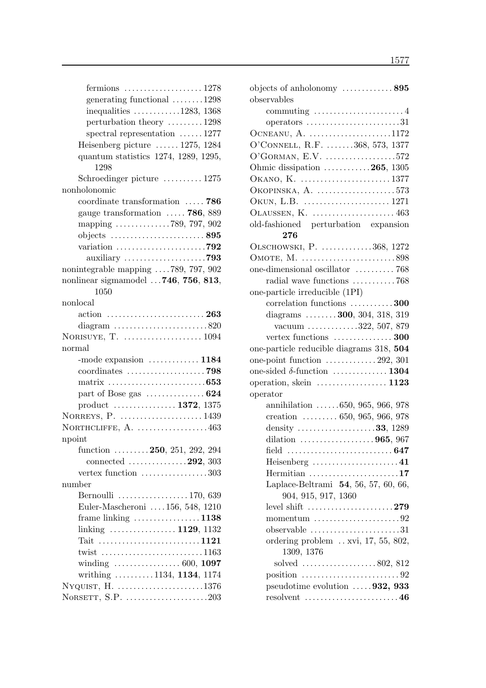| generating functional 1298                                           |
|----------------------------------------------------------------------|
| inequalities $\ldots \ldots \ldots \ldots 1283, 1368$                |
| perturbation theory 1298                                             |
| spectral representation $\dots \dots 1277$                           |
| Heisenberg picture  1275, 1284                                       |
| quantum statistics 1274, 1289, 1295,                                 |
| 1298                                                                 |
| Schroedinger picture  1275                                           |
| nonholonomic                                                         |
| coordinate transformation  786                                       |
| gauge transformation $\ldots$ 786, 889                               |
| mapping $\ldots \ldots \ldots \ldots \ldots$ 789, 797, 902           |
|                                                                      |
|                                                                      |
| auxiliary 793                                                        |
| nonintegrable mapping 789, 797, 902                                  |
| nonlinear sigmamodel  746, 756, 813,                                 |
| 1050                                                                 |
| nonlocal                                                             |
|                                                                      |
| diagram $\ldots \ldots \ldots \ldots \ldots \ldots \ldots 820$       |
|                                                                      |
| normal                                                               |
| -mode expansion  1184                                                |
|                                                                      |
|                                                                      |
| part of Bose gas $\dots \dots \dots \dots 624$                       |
| product  1372, 1375                                                  |
| NORREYS, P.  1439                                                    |
| NORTHCLIFFE, $A.$ 463                                                |
| npoint                                                               |
| function $\ldots \ldots \ldots 250$ , 251, 292, 294                  |
| connected $\ldots \ldots \ldots \ldots 292, 303$                     |
| vertex function 303                                                  |
| number                                                               |
| Bernoulli  170, 639                                                  |
| Euler-Mascheroni  156, 548, 1210                                     |
| frame linking $\dots\dots\dots\dots\dots1138$                        |
| linking  1129, 1132                                                  |
| Tait 1121                                                            |
| twist $\ldots \ldots \ldots \ldots \ldots \ldots \ldots \ldots 1163$ |
| winding $\ldots \ldots \ldots \ldots \ldots 600, 1097$               |
| writhing $\ldots \ldots \ldots 1134, 1134, 1174$                     |
| NYQUIST, H. 1376                                                     |
|                                                                      |
|                                                                      |

| objects of anholonomy $\dots \dots \dots \dots$ 895                   |
|-----------------------------------------------------------------------|
| observables                                                           |
|                                                                       |
| operators $\dots \dots \dots \dots \dots \dots \dots 31$              |
| OCNEANU, A. 1172                                                      |
| O'CONNELL, R.F. 368, 573, 1377                                        |
| $O'G$ ORMAN, E.V. 572                                                 |
| Ohmic dissipation 265, 1305                                           |
| OKANO, K. 1377                                                        |
| OKOPINSKA, A. 573                                                     |
|                                                                       |
| OLAUSSEN, K.  463                                                     |
| old-fashioned perturbation expansion                                  |
| 276                                                                   |
| OLSCHOWSKI, P. 368, 1272                                              |
| OMOTE, M. 898                                                         |
| one-dimensional oscillator  768                                       |
| radial wave functions 768                                             |
| one-particle irreducible (1PI)                                        |
| correlation functions 300                                             |
| diagrams $\ldots \ldots \ldots 300, 304, 318, 319$                    |
| vacuum $\ldots \ldots \ldots \ldots 322, 507, 879$                    |
| vertex functions  300                                                 |
| one-particle reducible diagrams 318, 504                              |
| one-point function $\dots \dots \dots \dots 292$ , 301                |
| one-sided $\delta$ -function  1304                                    |
| operation, skein $\dots \dots \dots \dots \dots 1123$                 |
| operator                                                              |
| annihilation 650, 965, 966, 978                                       |
| creation $\ldots \ldots \ldots 650, 965, 966, 978$                    |
| density $\ldots$ 33, 1289                                             |
| dilation $\ldots \ldots \ldots \ldots \ldots \ldots 965, 967$         |
|                                                                       |
| Heisenberg $\dots\dots\dots\dots\dots\dots41$                         |
| Hermitian 17                                                          |
| Laplace-Beltrami 54, 56, 57, 60, 66,                                  |
| 904, 915, 917, 1360                                                   |
| level shift $\dots\dots\dots\dots\dots\dots\dots279$                  |
| momentum $\ldots \ldots \ldots \ldots \ldots \ldots \ldots 92$        |
| observable $\ldots \ldots \ldots \ldots \ldots \ldots \ldots 31$      |
| ordering problem $\dots$ xvi, 17, 55, 802,                            |
| 1309, 1376                                                            |
| solved $\ldots \ldots \ldots \ldots \ldots \ldots 802, 812$           |
| position $\ldots \ldots \ldots \ldots \ldots \ldots \ldots \ldots 92$ |
| pseudotime evolution 932, 933                                         |
|                                                                       |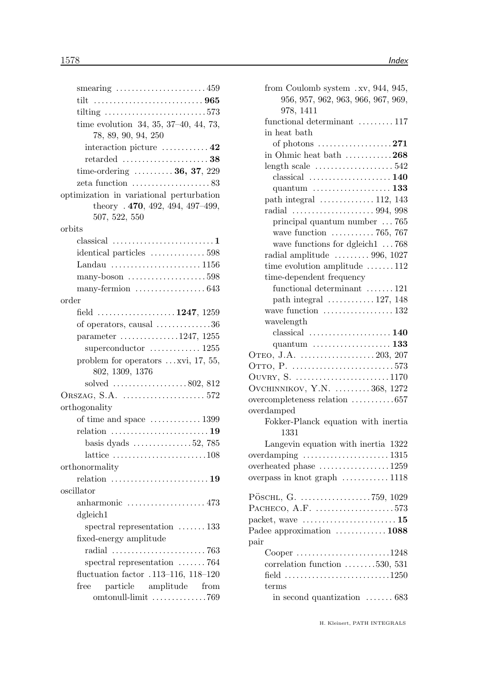| smearing $\ldots \ldots \ldots \ldots \ldots \ldots \ldots 459$                                |
|------------------------------------------------------------------------------------------------|
|                                                                                                |
| tilting $\ldots \ldots \ldots \ldots \ldots \ldots \ldots \ldots 573$                          |
| time evolution 34, 35, 37-40, 44, 73,<br>78, 89, 90, 94, 250                                   |
| interaction picture $\dots\dots\dots\dots 42$                                                  |
|                                                                                                |
| time-ordering $\ldots \ldots \ldots 36, 37, 229$                                               |
| zeta function $\dots\dots\dots\dots\dots\dots 83$                                              |
| optimization in variational perturbation<br>theory $.470, 492, 494, 497-499,$<br>507, 522, 550 |
| orbits                                                                                         |
|                                                                                                |
| identical particles  598                                                                       |
| Landau 1156                                                                                    |
| many-boson $\dots\dots\dots\dots\dots\dots.598$                                                |
|                                                                                                |
| order                                                                                          |
| field 1247, 1259                                                                               |
| of operators, causal $\dots \dots \dots \dots 36$                                              |
| parameter 1247, 1255                                                                           |
| superconductor $\dots\dots\dots\dots 1255$                                                     |
| problem for operators $\dots$ xvi, 17, 55,<br>802, 1309, 1376                                  |
| solved $\ldots \ldots \ldots \ldots \ldots 802, 812$                                           |
|                                                                                                |
| orthogonality                                                                                  |
| of time and space $\dots \dots \dots \dots 1399$                                               |
| relation $\ldots \ldots \ldots \ldots \ldots \ldots \ldots 19$                                 |
| basis dyads $\dots \dots \dots \dots \dots 52$ , 785                                           |
| lattice $\ldots \ldots \ldots \ldots \ldots \ldots \ldots 108$                                 |
| orthonormality                                                                                 |
|                                                                                                |
| oscillator                                                                                     |
| anharmonic $\ldots \ldots \ldots \ldots \ldots \ldots 473$                                     |
| dgleich1                                                                                       |
| spectral representation $\dots \dots 133$                                                      |
| fixed-energy amplitude                                                                         |
| radial $\ldots \ldots \ldots \ldots \ldots \ldots \ldots \ldots$ 763                           |
| spectral representation $\ldots \ldots$ 764                                                    |
| fluctuation factor .113-116, 118-120                                                           |
| particle amplitude from<br>free                                                                |
| omtonull-limit 769                                                                             |

| from Coulomb system .xv, 944, 945,                         |
|------------------------------------------------------------|
| 956, 957, 962, 963, 966, 967, 969,                         |
| 978, 1411                                                  |
| functional determinant  117                                |
| in heat bath                                               |
| of photons $\dots \dots \dots \dots \dots \dots 271$       |
| in Ohmic heat bath $\dots \dots \dots 268$                 |
|                                                            |
| $classical$ 140                                            |
|                                                            |
| path integral  112, 143                                    |
|                                                            |
| principal quantum number  765                              |
| wave function $\ldots \ldots \ldots \ldots 765$ , 767      |
| wave functions for dgleich1  768                           |
| radial amplitude $\ldots \ldots \ldots$ 996, 1027          |
| time evolution amplitude 112<br>time-dependent frequency   |
| functional determinant $\ldots \ldots$ 121                 |
| path integral $\ldots \ldots \ldots 127, 148$              |
| wave function $\dots\dots\dots\dots\dots 132$              |
| wavelength                                                 |
|                                                            |
|                                                            |
|                                                            |
|                                                            |
| OUVRY, S. 1170                                             |
| OVCHINNIKOV, Y.N.  368, 1272                               |
| overcompleteness relation 657                              |
| overdamped                                                 |
| Fokker-Planck equation with inertia                        |
| 1331                                                       |
| Langevin equation with inertia 1322                        |
| overdamping  1315                                          |
| overheated phase 1259                                      |
| overpass in knot graph  1118                               |
|                                                            |
|                                                            |
| PACHECO, A.F. 573                                          |
| packet, wave $\dots\dots\dots\dots\dots\dots\dots\dots 15$ |
| Padee approximation  1088                                  |
| pair                                                       |
| Cooper 1248                                                |
| correlation function $\dots \dots \dots 530, 531$          |
| field 1250                                                 |
| terms                                                      |
| in second quantization $\ldots \ldots 683$                 |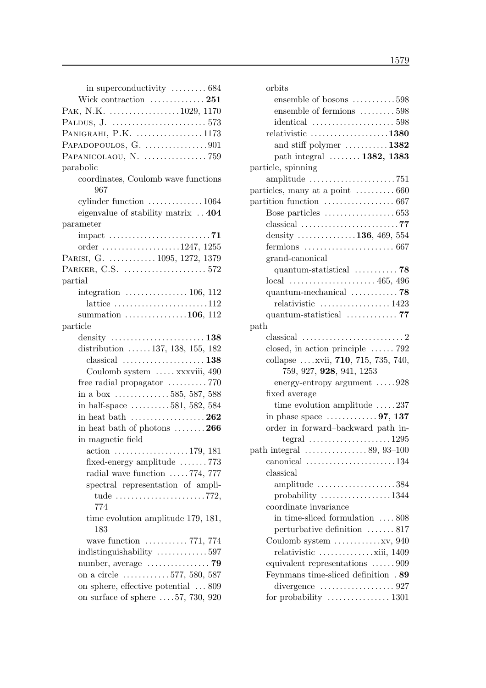| in superconductivity $\dots \dots \dots 684$                          |
|-----------------------------------------------------------------------|
| Wick contraction  251                                                 |
| PAK, N.K. 1029, 1170                                                  |
|                                                                       |
| PANIGRAHI, P.K. 1173                                                  |
| PAPADOPOULOS, G. 901                                                  |
|                                                                       |
| parabolic                                                             |
| coordinates, Coulomb wave functions<br>967                            |
| cylinder function $\dots \dots \dots \dots \dots 1064$                |
| eigenvalue of stability matrix  404                                   |
| parameter                                                             |
| impact $\ldots \ldots \ldots \ldots \ldots \ldots \ldots \ldots$ . 71 |
| order 1247, 1255                                                      |
| PARISI, G.  1095, 1272, 1379                                          |
|                                                                       |
| partial                                                               |
| integration $\ldots \ldots \ldots \ldots \ldots 106, 112$             |
| lattice $\dots \dots \dots \dots \dots \dots \dots \dots 112$         |
| summation $\ldots \ldots \ldots \ldots 106$ , 112                     |
| particle                                                              |
|                                                                       |
| distribution $\ldots \ldots 137, 138, 155, 182$                       |
|                                                                       |
| Coulomb system  xxxviii, 490                                          |
| free radial propagator $\dots \dots \dots 770$                        |
| in a box $\dots \dots \dots \dots 585, 587, 588$                      |
| in half-space $\dots \dots \dots 581, 582, 584$                       |
| in heat bath $\dots\dots\dots\dots\dots\dots262$                      |
| in heat bath of photons $\dots \dots 266$                             |
| in magnetic field                                                     |
| $\arctan$ 179, 181                                                    |
| fixed-energy amplitude $\ldots \ldots$ 773                            |
| radial wave function $\ldots$ . 774, 777                              |
| spectral representation of ampli-                                     |
| tude 772,<br>774                                                      |
| time evolution amplitude 179, 181,<br>183                             |
| wave function $\ldots \ldots \ldots 771, 774$                         |
| indistinguishability 597                                              |
|                                                                       |
| on a circle $\ldots \ldots \ldots \ldots 577, 580, 587$               |
| on sphere, effective potential  809                                   |
| on surface of sphere $\ldots$ 57, 730, 920                            |

| orbits                                                                 |
|------------------------------------------------------------------------|
| ensemble of bosons 598                                                 |
| ensemble of fermions 598                                               |
| identical $\ldots \ldots \ldots \ldots \ldots \ldots 598$              |
| relativistic $\ldots \ldots \ldots \ldots \ldots \ldots 1380$          |
| and stiff polymer $\dots \dots \dots 1382$                             |
| path integral  1382, 1383                                              |
| particle, spinning                                                     |
|                                                                        |
|                                                                        |
|                                                                        |
|                                                                        |
|                                                                        |
| density $\ldots \ldots \ldots \ldots 136, 469, 554$                    |
| fermions $\ldots \ldots \ldots \ldots \ldots \ldots \ldots \ldots 667$ |
| grand-canonical                                                        |
| quantum-statistical $\ldots \ldots \ldots$ 78                          |
|                                                                        |
| quantum-mechanical 78                                                  |
| relativistic  1423                                                     |
| quantum-statistical 77                                                 |
| path                                                                   |
|                                                                        |
| closed, in action principle $\ldots \ldots$ 792                        |
| collapse  xvii, 710, 715, 735, 740,                                    |
| 759, 927, 928, 941, 1253                                               |
| energy-entropy argument 928                                            |
| fixed average                                                          |
| time evolution amplitude $\ldots$ . 237                                |
| in phase space $\dots \dots \dots \dots 97$ , 137                      |
| order in forward-backward path in-                                     |
| tegral $\ldots \ldots \ldots \ldots \ldots \ldots 1295$                |
| path integral $\ldots \ldots \ldots \ldots \ldots 89, 93-100$          |
| canonical $\ldots \ldots \ldots \ldots \ldots \ldots \ldots 134$       |
| classical                                                              |
| amplitude $\ldots \ldots \ldots \ldots \ldots \ldots 384$              |
| probability 1344                                                       |
| coordinate invariance                                                  |
| in time-sliced formulation  808                                        |
| perturbative definition  817                                           |
|                                                                        |
| relativistic $\dots \dots \dots \dots \dots$ xiii, 1409                |
| equivalent representations 909                                         |
| Feynmans time-sliced definition .89                                    |
|                                                                        |
| for probability $\dots \dots \dots \dots \dots 1301$                   |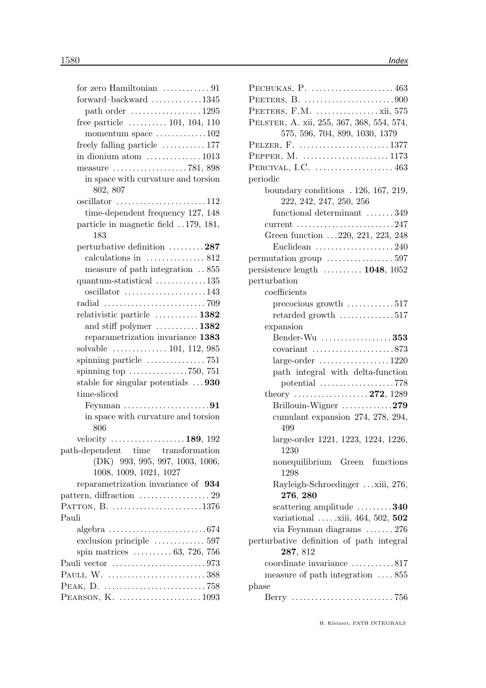| for zero Hamiltonian  91                                                     |
|------------------------------------------------------------------------------|
| forward-backward 1345                                                        |
| path order $\dots\dots\dots\dots\dots\dots 1295$                             |
| free particle $\dots \dots \dots \dots 101, 104, 110$                        |
| momentum space $\dots \dots \dots \dots 102$                                 |
| freely falling particle  177                                                 |
| in dionium atom $\dots\dots\dots\dots\dots$ 1013                             |
|                                                                              |
| in space with curvature and torsion                                          |
| 802, 807                                                                     |
| oscillator 112                                                               |
| time-dependent frequency 127, 148                                            |
| particle in magnetic field 179, 181,                                         |
| 183                                                                          |
| perturbative definition 287                                                  |
| calculations in $\dots\dots\dots\dots 812$                                   |
| measure of path integration  855                                             |
| quantum-statistical $\dots \dots \dots \dots 135$                            |
| oscillator 143                                                               |
| radial $\ldots \ldots \ldots \ldots \ldots \ldots \ldots \ldots \ldots$ 709  |
| relativistic particle  1382                                                  |
| and stiff polymer $\dots \dots \dots \dots 1382$                             |
| reparametrization invariance 1383                                            |
| solvable $\ldots \ldots \ldots \ldots 101, 112, 985$                         |
| spinning particle $\dots \dots \dots \dots \dots$ 751                        |
| spinning top $\ldots \ldots \ldots \ldots \ldots$ 750, 751                   |
| stable for singular potentials $\dots$ 930                                   |
| time-sliced                                                                  |
|                                                                              |
| in space with curvature and torsion                                          |
| 806                                                                          |
| velocity $\dots \dots \dots \dots \dots \dots 189$ , 192                     |
| path-dependent time transformation                                           |
| $(DK)$ 993, 995, 997, 1003, 1006,                                            |
| 1008, 1009, 1021, 1027                                                       |
| reparametrization invariance of 934                                          |
|                                                                              |
| PATTON, B. 1376                                                              |
| Pauli                                                                        |
| $algebra \ldots \ldots \ldots \ldots \ldots \ldots \ldots \ldots \ldots 674$ |
| exclusion principle  597                                                     |
| spin matrices $\ldots \ldots \ldots 63, 726, 756$                            |
|                                                                              |
| PAULI, W. 388                                                                |
|                                                                              |
| PEARSON, K. 1093                                                             |

| PECHUKAS, P. $\dots\dots\dots\dots\dots\dots463$                  |
|-------------------------------------------------------------------|
|                                                                   |
| PEETERS, F.M. $\dots\dots\dots\dots\dots$ xii, 575                |
| PELSTER, A. xii, 255, 367, 368, 554, 574,                         |
| 575, 596, 704, 899, 1030, 1379                                    |
| PELZER, F. $\dots \dots \dots \dots \dots \dots \dots \dots 1377$ |
|                                                                   |
| PERCIVAL, I.C. $\dots\dots\dots\dots\dots\dots463$                |
| periodic                                                          |
| boundary conditions . 126, 167, 219,                              |
| 222, 242, 247, 250, 256                                           |
| functional determinant $\ldots \ldots 349$                        |
| current $\ldots \ldots \ldots \ldots \ldots \ldots \ldots 247$    |
| Green function 220, 221, 223, 248                                 |
| Euclidean $\ldots \ldots \ldots \ldots \ldots \ldots 240$         |
|                                                                   |
| persistence length $\ldots \ldots \ldots 1048$ , 1052             |
| perturbation                                                      |
| coefficients                                                      |
| precocious growth $\ldots \ldots \ldots 517$                      |
| retarded growth $\dots \dots \dots \dots 517$                     |
| expansion                                                         |
| Bender-Wu  353                                                    |
|                                                                   |
|                                                                   |
| path integral with delta-function                                 |
| potential 778                                                     |
| theory  272, 1289                                                 |
| Brillouin-Wigner $\dots\dots\dots279$                             |
| cumulant expansion 274, 278, 294,<br>499                          |
| large-order 1221, 1223, 1224, 1226,                               |
| - 1230                                                            |
| nonequilibrium Green functions<br>1298                            |
| Rayleigh-Schroedinger  xiii, 276,<br>276, 280                     |
| scattering amplitude $\dots \dots \dots 340$                      |
| variational xiii, 464, 502, 502                                   |
| via Feynman diagrams  276                                         |
| perturbative definition of path integral                          |
| 287, 812                                                          |
| coordinate invariance 817                                         |
| measure of path integration $\dots$ 855                           |
| phase                                                             |
|                                                                   |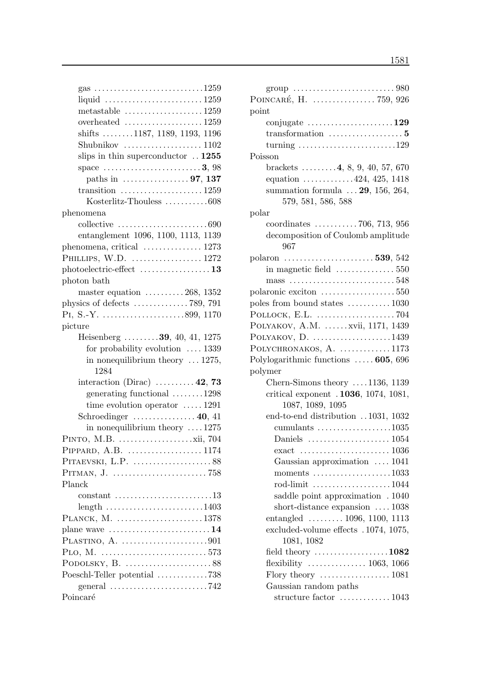| gas 1259                                                              |
|-----------------------------------------------------------------------|
|                                                                       |
| metastable $\ldots \ldots \ldots \ldots \ldots \ldots 1259$           |
| overheated $\ldots \ldots \ldots \ldots \ldots 1259$                  |
| shifts 1187, 1189, 1193, 1196                                         |
|                                                                       |
| slips in thin superconductor $\ldots$ 1255                            |
| space $\dots \dots \dots \dots \dots \dots \dots 3,98$                |
| paths in $\dots \dots \dots \dots \dots 97, 137$                      |
| transition $\ldots \ldots \ldots \ldots \ldots \ldots 1259$           |
| Kosterlitz-Thouless 608                                               |
| phenomena                                                             |
| collective $\ldots \ldots \ldots \ldots \ldots \ldots \ldots 690$     |
| entanglement 1096, 1100, 1113, 1139                                   |
| phenomena, critical  1273                                             |
| PHILLIPS, W.D.  1272                                                  |
| $photoelectric\text{-}effect$ 13                                      |
| photon bath                                                           |
| master equation $\dots \dots \dots 268$ , 1352                        |
| physics of defects $\dots \dots \dots \dots \dots$ 789, 791           |
|                                                                       |
| picture                                                               |
| Heisenberg 39, 40, 41, 1275                                           |
| for probability evolution $\ldots$ 1339                               |
| in nonequilibrium theory $\dots$ 1275,                                |
| 1284                                                                  |
| interaction (Dirac) $\dots \dots \dots 42$ , 73                       |
| generating functional $\ldots \ldots \ldots 1298$                     |
| time evolution operator $\dots$ 1291                                  |
| Schroedinger $\ldots \ldots \ldots \ldots 40, 41$                     |
| in nonequilibrium theory $\dots$ 1275                                 |
|                                                                       |
| PIPPARD, A.B.  1174                                                   |
|                                                                       |
|                                                                       |
| Planck                                                                |
|                                                                       |
| $length$ 1403                                                         |
| PLANCK, M. 1378                                                       |
| plane wave $\dots\dots\dots\dots\dots\dots\dots\dots 14$              |
| PLASTINO, A. 901                                                      |
| PLO, M.                                                               |
|                                                                       |
| Poeschl-Teller potential 738                                          |
| general $\ldots \ldots \ldots \ldots \ldots \ldots \ldots \ldots$ 742 |
| Poincaré                                                              |
|                                                                       |

| POINCARÉ, H.  759, 926                                                |
|-----------------------------------------------------------------------|
| point                                                                 |
| conjugate $\dots \dots \dots \dots \dots \dots \dots 129$             |
|                                                                       |
| turning $\ldots \ldots \ldots \ldots \ldots \ldots \ldots \ldots 129$ |
| Poisson                                                               |
| brackets $\ldots \ldots \ldots 4, 8, 9, 40, 57, 670$                  |
| equation $\ldots \ldots \ldots \ldots 424, 425, 1418$                 |
| summation formula $\ldots$ 29, 156, 264,                              |
| 579, 581, 586, 588                                                    |
| $_{\rm polar}$                                                        |
| coordinates $\ldots \ldots \ldots \ldots 706, 713, 956$               |
| decomposition of Coulomb amplitude                                    |
| 967                                                                   |
| polaron  539, 542                                                     |
| in magnetic field $\dots\dots\dots\dots\dots 550$                     |
|                                                                       |
| $\text{polaronic exciton}$ 550                                        |
| poles from bound states $\ldots \ldots \ldots 1030$                   |
| POLLOCK, E.L. $\dots\dots\dots\dots\dots\dots$ 704                    |
| POLYAKOV, A.M. xvii, 1171, 1439                                       |
| POLYAKOV, $D.$ 1439                                                   |
| POLYCHRONAKOS, $A.$ 1173                                              |
| Polylogarithmic functions  605, 696                                   |
| polymer                                                               |
| Chern-Simons theory $\dots$ 1136, 1139                                |
| critical exponent . 1036, 1074, 1081,                                 |
| 1087, 1089, 1095                                                      |
| end-to-end distribution 1031, 1032                                    |
| cumulants 1035                                                        |
|                                                                       |
|                                                                       |
| Gaussian approximation  1041                                          |
| moments $\ldots \ldots \ldots \ldots \ldots \ldots 1033$              |
| rod-limit 1044                                                        |
| saddle point approximation . 1040                                     |
| short-distance expansion  1038                                        |
| entangled  1096, 1100, 1113                                           |
| excluded-volume effects . 1074, 1075,                                 |
| 1081, 1082                                                            |
| field theory 1082                                                     |
| flexibility $\ldots \ldots \ldots \ldots \ldots 1063, 1066$           |
|                                                                       |
| Gaussian random paths                                                 |
| structure factor  1043                                                |
|                                                                       |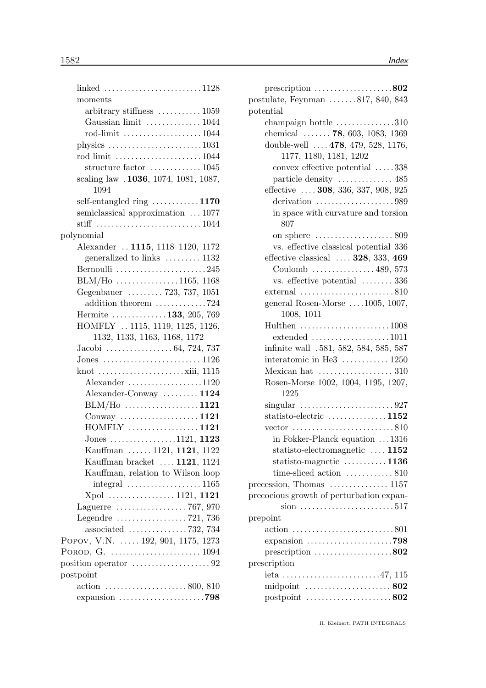| linked 1128                                                     |  |
|-----------------------------------------------------------------|--|
| moments                                                         |  |
| arbitrary stiffness $\dots \dots \dots \dots 1059$              |  |
| Gaussian limit  1044                                            |  |
| rod-limit 1044                                                  |  |
| physics $\ldots \ldots \ldots \ldots \ldots \ldots \ldots 1031$ |  |
| rod limit 1044                                                  |  |
| structure factor $\dots\dots\dots\dots 1045$                    |  |
| scaling law . 1036, 1074, 1081, 1087,                           |  |
| 1094                                                            |  |
| self-entangled ring $\dots \dots \dots \dots 1170$              |  |
| semiclassical approximation  1077                               |  |
|                                                                 |  |
| polynomial                                                      |  |
| Alexander  1115, 1118-1120, 1172                                |  |
| generalized to links  1132                                      |  |
| Bernoulli 245                                                   |  |
| $BLM/Ho \ldots \ldots \ldots \ldots \ldots 1165, 1168$          |  |
| Gegenbauer  723, 737, 1051                                      |  |
| addition theorem 724                                            |  |
| Hermite 133, 205, 769                                           |  |
| HOMFLY  1115, 1119, 1125, 1126,                                 |  |
| 1132, 1133, 1163, 1168, 1172                                    |  |
|                                                                 |  |
|                                                                 |  |
| knot $\dots \dots \dots \dots \dots \dots \dots$ xiii, 1115     |  |
| Alexander 1120                                                  |  |
| Alexander-Conway  1124                                          |  |
| $BLM/Ho$ 1121                                                   |  |
| Conway $\ldots$ 1121                                            |  |
| $HOMFLY$ 1121                                                   |  |
| Jones 1121, 1123                                                |  |
| Kauffman  1121, 1121, 1122                                      |  |
| Kauffman bracket  1121, 1124                                    |  |
| Kauffman, relation to Wilson loop                               |  |
| $integral \dots \dots \dots \dots \dots \dots 1165$             |  |
| Xpol  1121, 1121                                                |  |
| Laguerre $\ldots \ldots \ldots \ldots \ldots \ldots$ 767, 970   |  |
| Legendre $\dots\dots\dots\dots\dots 721$ , 736                  |  |
| associated $\ldots \ldots \ldots \ldots \ldots$ 732, 734        |  |
| POPOV, V.N.  192, 901, 1175, 1273                               |  |
|                                                                 |  |
|                                                                 |  |
| postpoint                                                       |  |
| $\arctan \ldots \arctan \ldots \arctan 800, 810$                |  |
|                                                                 |  |

| prescription $\ldots \ldots \ldots \ldots \ldots \ldots 802$           |
|------------------------------------------------------------------------|
| postulate, Feynman $\ldots \ldots 817, 840, 843$                       |
| potential                                                              |
| champaign bottle $\dots\dots\dots\dots310$                             |
| chemical $\ldots \ldots$ 78, 603, 1083, 1369                           |
| double-well  . 478, 479, 528, 1176,                                    |
| 1177, 1180, 1181, 1202                                                 |
| convex effective potential 338                                         |
| particle density  485                                                  |
| effective  308, 336, 337, 908, 925                                     |
| derivation $\ldots \ldots \ldots \ldots \ldots \ldots 989$             |
| in space with curvature and torsion<br>807                             |
|                                                                        |
| vs. effective classical potential 336                                  |
| effective classical $\ldots$ . 328, 333, 469                           |
| Coulomb  489, 573                                                      |
| vs. effective potential  336                                           |
|                                                                        |
| general Rosen-Morse 1005, 1007,                                        |
| 1008, 1011                                                             |
| Hulthen $\ldots \ldots \ldots \ldots \ldots \ldots \ldots 1008$        |
| $extended \dots \dots \dots \dots \dots \dots \dots 1011$              |
| infinite wall .581, 582, 584, 585, 587                                 |
| interatomic in He3 $\dots \dots \dots \dots 1250$                      |
| Mexican hat $\dots\dots\dots\dots\dots\dots$ 310                       |
| Rosen-Morse 1002, 1004, 1195, 1207,                                    |
| 1225                                                                   |
| singular $\ldots \ldots \ldots \ldots \ldots \ldots \ldots \ldots 927$ |
| statisto-electric $\ldots \ldots \ldots \ldots 1152$                   |
| vector $\ldots \ldots \ldots \ldots \ldots \ldots \ldots \ldots 810$   |
| in Fokker-Planck equation 1316                                         |
| statisto-electromagnetic  1152                                         |
| statisto-magnetic $\dots \dots \dots 1136$                             |
| time-sliced action  810                                                |
| precession, Thomas $\dots \dots \dots \dots 1157$                      |
| precocious growth of perturbation expan-<br>sion 517                   |
| prepoint                                                               |
|                                                                        |
| expansion $\ldots \ldots \ldots \ldots \ldots \ldots \ldots$ 798       |
| prescription $\ldots \ldots \ldots \ldots \ldots \ldots 802$           |
| prescription                                                           |
| ieta 47, 115                                                           |
| midpoint $\ldots \ldots \ldots \ldots \ldots \ldots 802$               |
| postpoint $\ldots \ldots \ldots \ldots \ldots \ldots 802$              |
|                                                                        |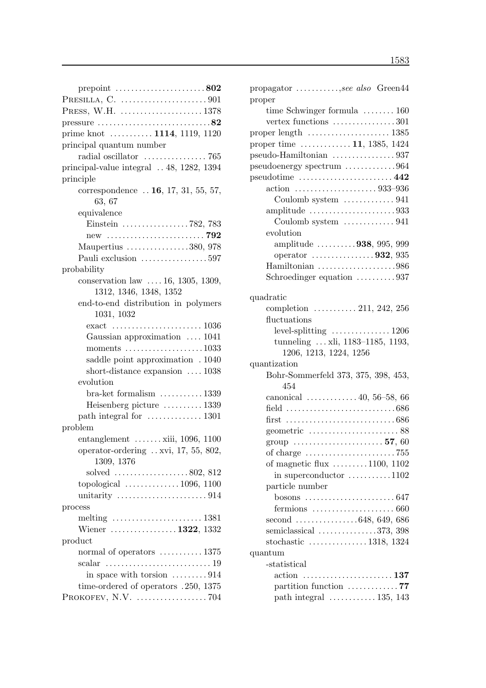| prepoint $\ldots \ldots \ldots \ldots \ldots \ldots 802$                     |
|------------------------------------------------------------------------------|
| PRESILLA, C. $\dots\dots\dots\dots\dots\dots\dots901$                        |
|                                                                              |
| pressure $\ldots \ldots \ldots \ldots \ldots \ldots \ldots \ldots \ldots 82$ |
| prime knot  1114, 1119, 1120                                                 |
| principal quantum number                                                     |
|                                                                              |
| principal-value integral  48, 1282, 1394                                     |
| principle                                                                    |
| correspondence $\ldots$ 16, 17, 31, 55, 57,                                  |
| 63, 67                                                                       |
| equivalence                                                                  |
|                                                                              |
|                                                                              |
| Maupertius 380, 978                                                          |
| Pauli exclusion 597                                                          |
| probability                                                                  |
| conservation law $\ldots$ 16, 1305, 1309,                                    |
| 1312, 1346, 1348, 1352                                                       |
| end-to-end distribution in polymers                                          |
| 1031, 1032                                                                   |
|                                                                              |
| Gaussian approximation  1041                                                 |
| moments $\dots\dots\dots\dots\dots\dots 1033$                                |
| saddle point approximation . 1040                                            |
| short-distance expansion $\dots$ 1038                                        |
| evolution                                                                    |
| $bra-ket$ formalism $\dots\dots\dots 1339$                                   |
| Heisenberg picture  1339                                                     |
| path integral for  1301                                                      |
| problem                                                                      |
| entanglement $\ldots \ldots$ xiii, 1096, 1100                                |
| operator-ordering xvi, 17, 55, 802,                                          |
| 1309, 1376                                                                   |
| solved $\ldots \ldots \ldots \ldots \ldots \ldots 802, 812$                  |
| topological $\ldots \ldots \ldots \ldots 1096, 1100$                         |
| unitarity $\ldots \ldots \ldots \ldots \ldots \ldots \ldots 914$             |
| process                                                                      |
|                                                                              |
| Wiener  1322, 1332                                                           |
| product                                                                      |
| normal of operators $\dots \dots \dots \dots 1375$                           |
| scalar $\ldots \ldots \ldots \ldots \ldots \ldots \ldots \ldots 19$          |
| in space with torsion $\dots \dots \dots 914$                                |
| time-ordered of operators .250, 1375                                         |
| PROKOFEV, N.V. $\dots\dots\dots\dots\dots\dots$ 704                          |

| propagator , see also Green44                                                     |
|-----------------------------------------------------------------------------------|
| proper                                                                            |
| time Schwinger formula  160                                                       |
| vertex functions $\dots \dots \dots \dots \dots 301$                              |
| proper length $\dots\dots\dots\dots\dots\dots 1385$                               |
| proper time $\dots \dots \dots \dots 11$ , 1385, 1424                             |
| pseudo-Hamiltonian 937                                                            |
| pseudoenergy spectrum 964                                                         |
| $pseudotime \ldots \ldots \ldots \ldots \ldots \ldots \ldots 442$                 |
|                                                                                   |
| Coulomb system  941                                                               |
| amplitude $\ldots \ldots \ldots \ldots \ldots \ldots \ldots \ldots 933$           |
| Coulomb system $\ldots \ldots \ldots \ldots 941$                                  |
| evolution                                                                         |
| amplitude 938, 995, 999                                                           |
| operator $\ldots \ldots \ldots \ldots \ldots 932, 935$                            |
| Hamiltonian 986                                                                   |
| Schroedinger equation 937                                                         |
|                                                                                   |
| quadratic                                                                         |
| completion $\ldots \ldots \ldots 211, 242, 256$                                   |
| fluctuations                                                                      |
| $\ldots$ 1206<br>$level-splitting$                                                |
| tunneling  xli, 1183-1185, 1193,                                                  |
| 1206, 1213, 1224, 1256                                                            |
| quantization                                                                      |
| Bohr-Sommerfeld 373, 375, 398, 453,<br>454                                        |
| canonical $\ldots \ldots \ldots 40, 56-58, 66$                                    |
| field $\ldots \ldots \ldots \ldots \ldots \ldots \ldots \ldots \ldots \ldots 686$ |
|                                                                                   |
| geometric $\ldots \ldots \ldots \ldots \ldots \ldots \ldots 88$                   |
| group $\ldots \ldots \ldots \ldots \ldots \ldots 57, 60$                          |
|                                                                                   |
| of magnetic flux 1100, 1102                                                       |
| in superconductor $\dots \dots \dots \dots 1102$                                  |
| particle number                                                                   |
|                                                                                   |
|                                                                                   |
| fermions $\ldots \ldots \ldots \ldots \ldots \ldots \ldots 660$                   |
| second 648, 649, 686                                                              |
| semiclassical 373, 398                                                            |
| stochastic $\ldots \ldots \ldots \ldots 1318, 1324$                               |
| quantum                                                                           |
| -statistical                                                                      |
|                                                                                   |
| partition function 77                                                             |
| path integral $\ldots \ldots \ldots \ldots 135, 143$                              |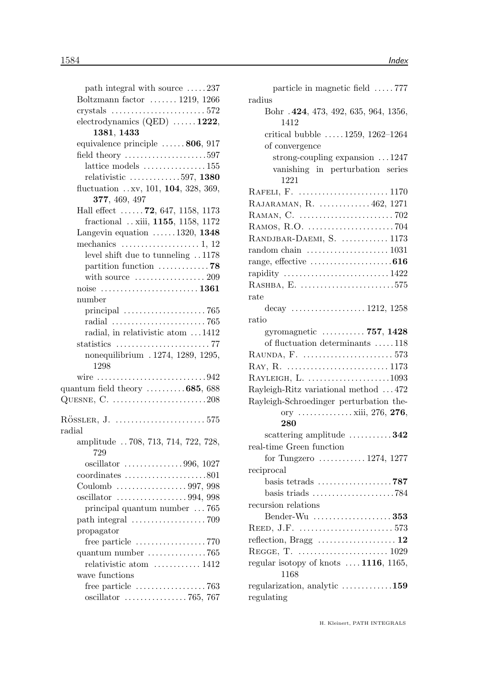| path integral with source 237                                           |
|-------------------------------------------------------------------------|
| Boltzmann factor $\ldots \ldots 1219, 1266$                             |
| crystals $\ldots \ldots \ldots \ldots \ldots \ldots \ldots 572$         |
| electrodynamics $(QED)$ 1222,                                           |
| 1381, 1433                                                              |
| equivalence principle $\dots \dots 806$ , 917                           |
| field theory $\dots\dots\dots\dots\dots\dots\dots597$                   |
| lattice models $\ldots$ 155                                             |
| relativistic $\ldots \ldots \ldots \ldots 597, 1380$                    |
| fluctuation xv, 101, 104, 328, 369,                                     |
| 377, 469, 497                                                           |
| Hall effect $72, 647, 1158, 1173$                                       |
| fractional  xiii, 1155, 1158, 1172                                      |
| Langevin equation $\dots \dots 1320$ , 1348                             |
| mechanics $\dots \dots \dots \dots \dots \dots 1$ , 12                  |
| level shift due to tunneling 1178                                       |
| partition function 78                                                   |
| with source $\dots\dots\dots\dots\dots 209$                             |
|                                                                         |
| number                                                                  |
| principal $\ldots \ldots \ldots \ldots \ldots \ldots \ldots$ 765        |
|                                                                         |
| radial, in relativistic atom 1412                                       |
| statistics $\ldots \ldots \ldots \ldots \ldots \ldots \ldots \ldots$ 77 |
| nonequilibrium . 1274, 1289, 1295,                                      |
| 1298                                                                    |
| wire 942                                                                |
| quantum field theory $\dots \dots \dots 685,688$                        |
|                                                                         |
|                                                                         |
|                                                                         |
| radial                                                                  |
| amplitude  708, 713, 714, 722, 728,<br>729                              |
|                                                                         |
| $coordinates \dots \dots \dots \dots \dots \dots 801$                   |
|                                                                         |
|                                                                         |
| principal quantum number  765                                           |
|                                                                         |
| propagator                                                              |
| free particle $\dots \dots \dots \dots \dots \dots 770$                 |
| quantum number $\ldots \ldots \ldots \ldots \ldots$ 765                 |
| relativistic atom  1412                                                 |
| wave functions                                                          |
| free particle $\dots\dots\dots\dots\dots\dots$ 763                      |
|                                                                         |

| particle in magnetic field  777                                          |
|--------------------------------------------------------------------------|
| radius                                                                   |
| Bohr .424, 473, 492, 635, 964, 1356,<br>1412                             |
| critical bubble $1259, 1262 - 1264$                                      |
| of convergence                                                           |
| strong-coupling expansion $\dots$ 1247                                   |
| vanishing in perturbation series                                         |
| 1221                                                                     |
|                                                                          |
| RAJARAMAN, R.  462, 1271                                                 |
|                                                                          |
|                                                                          |
| RANDJBAR-DAEMI, S.  1173                                                 |
| random chain $\dots \dots \dots \dots \dots \dots \dots 1031$            |
|                                                                          |
| rapidity 1422                                                            |
| RASHBA, E. 575                                                           |
| rate                                                                     |
| decay  1212, 1258                                                        |
| ratio                                                                    |
| gyromagnetic  757, 1428                                                  |
| of fluctuation determinants 118                                          |
|                                                                          |
|                                                                          |
| RAYLEIGH, L. 1093                                                        |
| Rayleigh-Ritz variational method  472                                    |
| Rayleigh-Schroedinger perturbation the-                                  |
| 280                                                                      |
|                                                                          |
| scattering amplitude $\dots \dots \dots 342$<br>real-time Green function |
| for Tungzero $\dots \dots \dots \dots 1274$ , 1277                       |
| reciprocal                                                               |
| basis tetrads 787                                                        |
| basis triads $\ldots \ldots \ldots \ldots \ldots \ldots \ldots$ 784      |
| recursion relations                                                      |
| Bender-Wu  353                                                           |
|                                                                          |
| reflection, Bragg  12                                                    |
|                                                                          |
| regular isotopy of knots $\dots$ 1116, 1165,                             |
| 1168                                                                     |
| regularization, analytic 159                                             |
| regulating                                                               |
|                                                                          |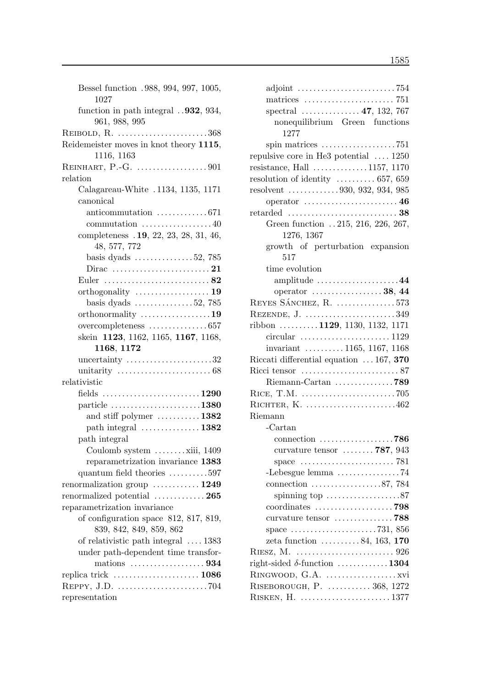| Bessel function .988, 994, 997, 1005,<br>1027                          |
|------------------------------------------------------------------------|
| function in path integral $.932, 934,$<br>961, 988, 995                |
| REIBOLD, R. 368                                                        |
| Reidemeister moves in knot theory 1115,                                |
| 1116, 1163                                                             |
|                                                                        |
| relation                                                               |
| Calagareau-White . 1134, 1135, 1171                                    |
| canonical                                                              |
| anticommutation $\ldots \ldots \ldots \ldots 671$                      |
| commutation $\dots\dots\dots\dots\dots40$                              |
| completeness . 19, 22, 23, 28, 31, 46,                                 |
| 48, 577, 772                                                           |
| basis dyads $\dots \dots \dots \dots 52$ , 785                         |
|                                                                        |
|                                                                        |
|                                                                        |
| basis dyads $\ldots \ldots \ldots \ldots 52, 785$                      |
| orthonormality $\dots\dots\dots\dots\dots 19$                          |
| overcompleteness 657                                                   |
| skein 1123, 1162, 1165, 1167, 1168,                                    |
| 1168, 1172                                                             |
|                                                                        |
| uncertainty $\ldots \ldots \ldots \ldots \ldots \ldots 32$             |
| unitarity $\ldots \ldots \ldots \ldots \ldots \ldots \ldots \ldots 68$ |
| relativistic                                                           |
|                                                                        |
| particle $\ldots \ldots \ldots \ldots \ldots \ldots \ldots 1380$       |
| and stiff polymer $\dots \dots \dots 1382$                             |
| path integral $\dots\dots\dots\dots\dots 1382$                         |
| path integral                                                          |
| Coulomb system xiii, 1409                                              |
| reparametrization invariance 1383                                      |
| quantum field theories $\dots \dots \dots 597$                         |
| renormalization group $\dots \dots \dots 1249$                         |
| renormalized potential  265                                            |
| reparametrization invariance                                           |
| of configuration space 812, 817, 819,                                  |
| 839, 842, 849, 859, 862                                                |
| of relativistic path integral $\dots$ 1383                             |
| under path-dependent time transfor-                                    |
|                                                                        |
|                                                                        |
|                                                                        |

| adjoint $\ldots \ldots \ldots \ldots \ldots \ldots \ldots \ldots$ 754    |  |
|--------------------------------------------------------------------------|--|
| matrices $\ldots \ldots \ldots \ldots \ldots \ldots \ldots$ 751          |  |
| spectral $\ldots \ldots \ldots \ldots 47, 132, 767$                      |  |
| nonequilibrium Green functions                                           |  |
| 1277                                                                     |  |
| spin matrices $\ldots \ldots \ldots \ldots \ldots \ldots$ . 751          |  |
| repulsive core in He3 potential  1250                                    |  |
| resistance, Hall $\ldots \ldots \ldots \ldots 1157, 1170$                |  |
| resolution of identity $\ldots \ldots \ldots \ldots 657, 659$            |  |
| resolvent 930, 932, 934, 985                                             |  |
|                                                                          |  |
|                                                                          |  |
| Green function 215, 216, 226, 267,                                       |  |
| 1276, 1367                                                               |  |
| growth of perturbation expansion                                         |  |
| 517                                                                      |  |
| time evolution                                                           |  |
| amplitude 44                                                             |  |
| operator $\dots\dots\dots\dots\dots 38, 44$                              |  |
| REYES SÁNCHEZ, R. 573                                                    |  |
| REZENDE, J. 349                                                          |  |
| ribbon 1129, 1130, 1132, 1171                                            |  |
|                                                                          |  |
| invariant $\ldots \ldots \ldots 1165, 1167, 1168$                        |  |
| Riccati differential equation  167, 370                                  |  |
|                                                                          |  |
|                                                                          |  |
|                                                                          |  |
| RICHTER, K. 462                                                          |  |
| Riemann                                                                  |  |
| $-Cartan$                                                                |  |
| connection $\ldots \ldots \ldots \ldots \ldots \ldots$ . 786             |  |
| curvature tensor $\ldots \ldots \ldots$ 787, 943                         |  |
|                                                                          |  |
| space<br>-Lebesgue lemma 74                                              |  |
|                                                                          |  |
| connection $\ldots \ldots \ldots \ldots \ldots 87,784$                   |  |
| spinning top $\dots\dots\dots\dots\dots 87$                              |  |
|                                                                          |  |
| curvature tensor 788                                                     |  |
| space $\ldots \ldots \ldots \ldots \ldots \ldots \ldots \ldots$ 731, 856 |  |
| zeta function $\dots \dots \dots 84$ , 163, 170                          |  |
|                                                                          |  |
| right-sided $\delta$ -function 1304                                      |  |
|                                                                          |  |
| RISEBOROUGH, P.  368, 1272                                               |  |
| RISKEN, H.  1377                                                         |  |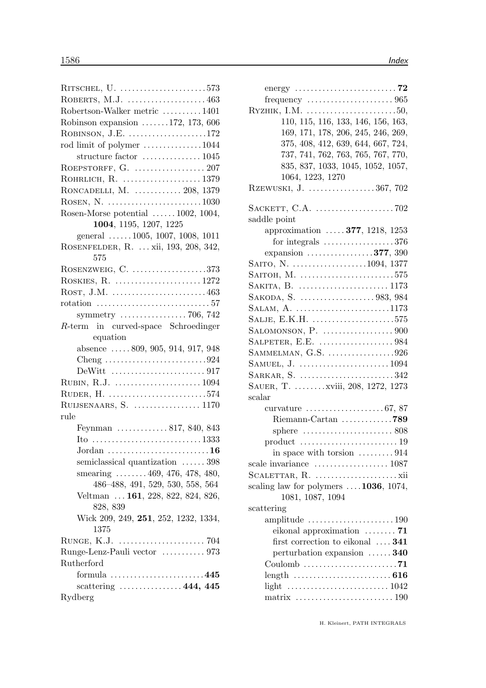| RITSCHEL, U. 573                                                           |
|----------------------------------------------------------------------------|
| ROBERTS, M.J.  463                                                         |
| Robertson-Walker metric 1401                                               |
| Robinson expansion $\ldots \ldots 172, 173, 606$                           |
| ROBINSON, J.E. 172                                                         |
| rod limit of polymer 1044                                                  |
| structure factor $\dots \dots \dots \dots \dots 1045$                      |
|                                                                            |
| ROHRLICH, R.  1379                                                         |
| RONCADELLI, M.  208, 1379                                                  |
|                                                                            |
| Rosen-Morse potential $\ldots \ldots 1002, 1004,$                          |
| 1004, 1195, 1207, 1225                                                     |
| general  1005, 1007, 1008, 1011                                            |
| ROSENFELDER, R.  xii, 193, 208, 342,                                       |
| 575                                                                        |
| ROSENZWEIG, C. 373                                                         |
| ROSKIES, R. 1272                                                           |
|                                                                            |
|                                                                            |
| symmetry $\ldots \ldots \ldots \ldots \ldots$ 706, 742                     |
| R-term in curved-space Schroedinger                                        |
| equation                                                                   |
| absence $\ldots$ 809, 905, 914, 917, 948                                   |
| Cheng $\ldots \ldots \ldots \ldots \ldots \ldots \ldots \ldots \ldots 924$ |
|                                                                            |
|                                                                            |
| RUDER, H. 574                                                              |
| RUIJSENAARS, S.  1170                                                      |
| rule                                                                       |
| Feynman  817, 840, 843                                                     |
|                                                                            |
|                                                                            |
| semiclassical quantization  398                                            |
| smearing $\ldots \ldots 469, 476, 478, 480,$                               |
| 486-488, 491, 529, 530, 558, 564                                           |
| Veltman  161, 228, 822, 824, 826,                                          |
| 828, 839                                                                   |
| Wick 209, 249, 251, 252, 1232, 1334,                                       |
| 1375                                                                       |
|                                                                            |
| Runge-Lenz-Pauli vector  973                                               |
| Rutherford                                                                 |
| formula $\ldots \ldots \ldots \ldots \ldots \ldots \ldots 445$             |
| scattering $\ldots \ldots \ldots \ldots 444, 445$                          |
| Rydberg                                                                    |
|                                                                            |

| energy $\ldots \ldots \ldots \ldots \ldots \ldots \ldots \ldots$ 72    |
|------------------------------------------------------------------------|
|                                                                        |
| RYZHIK, I.M. $\dots\dots\dots\dots\dots\dots\dots\dots50$ ,            |
| 110, 115, 116, 133, 146, 156, 163,                                     |
|                                                                        |
| 169, 171, 178, 206, 245, 246, 269,                                     |
| 375, 408, 412, 639, 644, 667, 724,                                     |
| 737, 741, 762, 763, 765, 767, 770,                                     |
| 835, 837, 1033, 1045, 1052, 1057,                                      |
| 1064, 1223, 1270                                                       |
| RZEWUSKI, J. 367, 702                                                  |
|                                                                        |
|                                                                        |
| saddle point                                                           |
| approximation  377, 1218, 1253                                         |
| for integrals $\dots \dots \dots \dots \dots \dots 376$                |
|                                                                        |
| expansion $\dots \dots \dots \dots \dots 377, 390$                     |
| SAITO, N. 1094, 1377                                                   |
| SAITOH, M. $\dots\dots\dots\dots\dots\dots\dots\dots575$               |
| SAKITA, B.  1173                                                       |
| SAKODA, S. 983, 984                                                    |
| SALAM, A. $\dots \dots \dots \dots \dots \dots \dots \dots \dots 1173$ |
| SALJE, E.K.H. $\ldots \ldots \ldots \ldots \ldots \ldots \ldots 575$   |
|                                                                        |
| SALPETER, E.E. 984                                                     |
|                                                                        |
|                                                                        |
|                                                                        |
| SARKAR, S. 342                                                         |
| SAUER, T. xviii, 208, 1272, 1273                                       |
| scalar                                                                 |
| curvature $\ldots \ldots \ldots \ldots \ldots \ldots 67, 87$           |
| Riemann-Cartan 789                                                     |
| sphere $\ldots \ldots \ldots \ldots \ldots \ldots \ldots 808$          |
|                                                                        |
|                                                                        |
| in space with torsion $\ldots \ldots \ldots 914$                       |
| scale invariance $\dots \dots \dots \dots \dots \dots 1087$            |
|                                                                        |
| scaling law for polymers $\dots$ 1036, 1074,                           |
| 1081, 1087, 1094                                                       |
| scattering                                                             |
| amplitude $\ldots \ldots \ldots \ldots \ldots \ldots \ldots 190$       |
| eikonal approximation $\dots \dots$ 71                                 |
| first correction to eikonal $\ldots$ 341                               |
| perturbation expansion  340                                            |
| Coulomb $\ldots \ldots \ldots \ldots \ldots \ldots \ldots$ . 71        |
|                                                                        |
| length $\ldots \ldots \ldots \ldots \ldots \ldots \ldots \ldots 616$   |
| light $\ldots \ldots \ldots \ldots \ldots \ldots \ldots \ldots 1042$   |
| matrix $\ldots \ldots \ldots \ldots \ldots \ldots \ldots \ldots 190$   |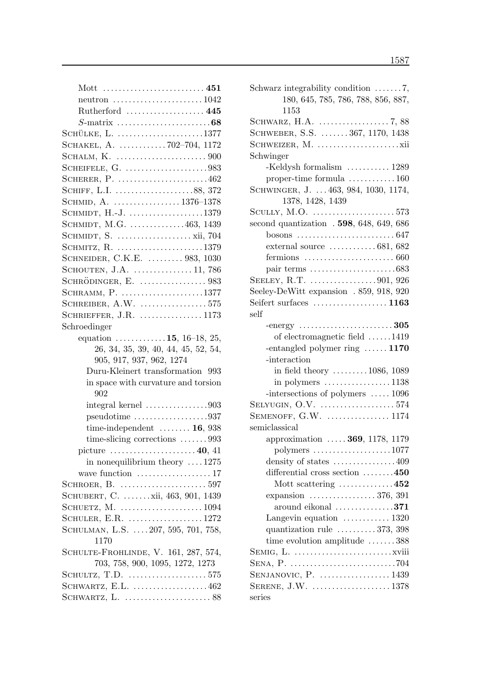| neutron $\ldots \ldots \ldots \ldots \ldots \ldots \ldots 1042$   |
|-------------------------------------------------------------------|
| Rutherford $\dots\dots\dots\dots\dots\dots$ 445                   |
|                                                                   |
| SCHÜLKE, L. 1377                                                  |
| SCHAKEL, A. 702-704, 1172                                         |
|                                                                   |
| SCHEIFELE, G. 983                                                 |
| SCHERER, P. 462                                                   |
| SCHIFF, L.I. 88, 372                                              |
| SCHMID, A. 1376-1378                                              |
| SCHMIDT, $H.-J.$ 1379                                             |
| SCHMIDT, M.G. 463, 1439                                           |
|                                                                   |
| SCHMITZ, R. 1379                                                  |
| SCHNEIDER, C.K.E.  983, 1030                                      |
| SCHOUTEN, J.A.  11, 786                                           |
| SCHRÖDINGER, E.  983                                              |
| SCHRAMM, P. 1377                                                  |
| SCHREIBER, A.W. $\dots\dots\dots\dots\dots575$                    |
| SCHRIEFFER, J.R.  1173                                            |
| Schroedinger                                                      |
| equation $\dots \dots \dots \dots 15$ , 16-18, 25,                |
| 26, 34, 35, 39, 40, 44, 45, 52, 54,                               |
| 905, 917, 937, 962, 1274                                          |
| Duru-Kleinert transformation 993                                  |
| in space with curvature and torsion                               |
| 902                                                               |
| integral kernel $\ldots \ldots \ldots \ldots \ldots 903$          |
| $pseudotime \ldots \ldots \ldots \ldots \ldots \ldots \ldots 937$ |
| time-independent $\ldots \ldots \ldots 16$ , 938                  |
| time-slicing corrections $\ldots \ldots \ldots 993$               |
| picture $\dots \dots \dots \dots \dots \dots 40$ , 41             |
| in nonequilibrium theory $\dots$ 1275                             |
| wave function $\dots\dots\dots\dots\dots\dots 17$                 |
| SCHROER, B. $\dots\dots\dots\dots\dots\dots\dots 597$             |
| SCHUBERT, C.  xii, 463, 901, 1439                                 |
| SCHUETZ, M. 1094                                                  |
| SCHULER, E.R. 1272                                                |
| SCHULMAN, L.S.  207, 595, 701, 758,                               |
| 1170                                                              |
| SCHULTE-FROHLINDE, V. 161, 287, 574,                              |
| 703, 758, 900, 1095, 1272, 1273                                   |
| SCHULTZ, T.D. $\dots\dots\dots\dots\dots\dots \dots$ 575          |
| SCHWARTZ, E.L. 462                                                |
|                                                                   |

| Schwarz integrability condition $\ldots \ldots 7$ ,                                                          |
|--------------------------------------------------------------------------------------------------------------|
| 180, 645, 785, 786, 788, 856, 887,                                                                           |
| 1153                                                                                                         |
|                                                                                                              |
| SCHWEBER, S.S.  367, 1170, 1438                                                                              |
|                                                                                                              |
| Schwinger                                                                                                    |
| -Keldysh formalism  1289                                                                                     |
| proper-time formula $\dots\dots\dots\dots 160$                                                               |
| SCHWINGER, J.  463, 984, 1030, 1174,                                                                         |
| 1378, 1428, 1439                                                                                             |
| SCULLY, M.O. 573                                                                                             |
| second quantization . 598, 648, 649, 686                                                                     |
|                                                                                                              |
| external source $\dots \dots \dots \dots 681, 682$                                                           |
| fermions $\ldots \ldots \ldots \ldots \ldots \ldots \ldots \ldots 660$                                       |
|                                                                                                              |
| SEELEY, R.T. 901, 926                                                                                        |
| Seeley-DeWitt expansion . 859, 918, 920                                                                      |
| Seifert surfaces $\dots\dots\dots\dots\dots\dots 1163$                                                       |
| self                                                                                                         |
| -energy $\dots\dots\dots\dots\dots\dots\dots\dots305$                                                        |
| of electromagnetic field 1419                                                                                |
|                                                                                                              |
| -entangled polymer ring $\dots \dots 1170$                                                                   |
| -interaction                                                                                                 |
|                                                                                                              |
| in field theory $\dots \dots \dots 1086$ , 1089<br>in polymers $\dots \dots \dots \dots \dots \dots 1138$    |
| -intersections of polymers $\dots$ 1096                                                                      |
| SELYUGIN, O.V. $\dots\dots\dots\dots\dots\dots 574$                                                          |
| SEMENOFF, $G.W.$ 1174                                                                                        |
| semiclassical                                                                                                |
| approximation  369, 1178, 1179                                                                               |
|                                                                                                              |
| polymers $\dots\dots\dots\dots\dots\dots 1077$<br>density of states $\dots \dots \dots \dots \dots 409$      |
| differential cross section 450                                                                               |
|                                                                                                              |
| Mott scattering $\ldots \ldots \ldots \ldots 452$<br>expansion $\ldots \ldots \ldots \ldots \ldots 376, 391$ |
| around eikonal $\dots\dots\dots\dots371$                                                                     |
|                                                                                                              |
| Langevin equation $\dots \dots \dots \dots 1320$                                                             |
| quantization rule $\dots \dots \dots 373, 398$<br>time evolution amplitude $\dots \dots 388$                 |
|                                                                                                              |
|                                                                                                              |
|                                                                                                              |
| SERENE, J.W. 1378                                                                                            |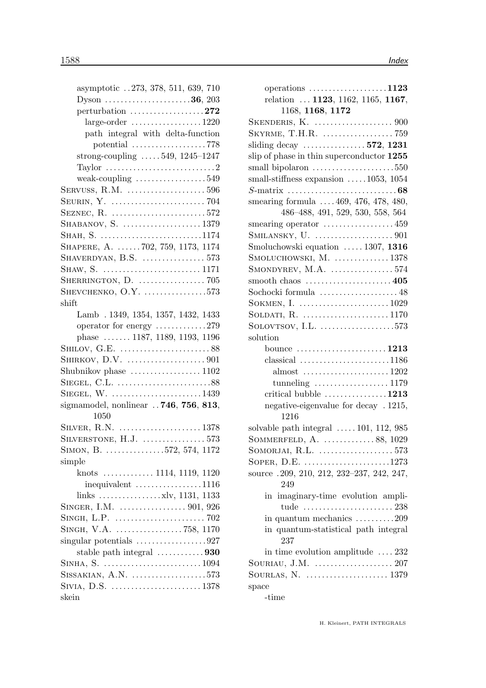| asymptotic 273, 378, 511, 639, 710                               |
|------------------------------------------------------------------|
| Dyson $\ldots \ldots \ldots \ldots \ldots \ldots \ldots 36, 203$ |
| perturbation $\ldots \ldots \ldots \ldots \ldots 272$            |
|                                                                  |
| path integral with delta-function                                |
| potential $\ldots \ldots \ldots \ldots \ldots \ldots$ . 778      |
| strong-coupling $\ldots \ldots 549$ , 1245-1247                  |
| Taylor $\dots\dots\dots\dots\dots\dots\dots\dots\dots2$          |
| weak-coupling $\dots\dots\dots\dots\dots\dots549$                |
| SERVUSS, R.M. $\dots\dots\dots\dots\dots\dots \dots$ 596         |
|                                                                  |
| SEZNEC, R. $\dots \dots \dots \dots \dots \dots \dots \dots 572$ |
| SHABANOV, S. 1379                                                |
| SHAH, S. 1174                                                    |
| SHAPERE, A. 702, 759, 1173, 1174                                 |
| SHAVERDYAN, B.S. $\dots\dots\dots\dots\dots$ 573                 |
|                                                                  |
|                                                                  |
| SHEVCHENKO, O.Y. $\dots\dots\dots\dots\dots573$                  |
| shift                                                            |
|                                                                  |
| Lamb . 1349, 1354, 1357, 1432, 1433                              |
| operator for energy 279                                          |
| phase  1187, 1189, 1193, 1196                                    |
|                                                                  |
|                                                                  |
|                                                                  |
|                                                                  |
| SIEGEL, W. $\dots\dots\dots\dots\dots\dots\dots1439$             |
| sigma model, nonlinear $.746, 756, 813,$                         |
| 1050                                                             |
| SILVER, R.N. 1378                                                |
| SILVERSTONE, H.J.  573                                           |
| SIMON, B. 572, 574, 1172                                         |
| simple                                                           |
|                                                                  |
| $inequivalent$ 1116                                              |
|                                                                  |
|                                                                  |
|                                                                  |
|                                                                  |
| singular potentials $\dots \dots \dots \dots \dots \dots 927$    |
| stable path integral 930                                         |
| SINHA, S. 1094                                                   |
| SISSAKIAN, $A.N.$ 573                                            |
| SIVIA, D.S. 1378                                                 |
| skein                                                            |
|                                                                  |

| operations $\ldots \ldots \ldots \ldots \ldots \ldots 1123$ |
|-------------------------------------------------------------|
| relation  1123, 1162, 1165, 1167,                           |
| 1168, 1168, 1172                                            |
|                                                             |
|                                                             |
| sliding decay $\ldots \ldots \ldots \ldots 572$ , 1231      |
| slip of phase in thin superconductor 1255                   |
|                                                             |
| small-stiffness expansion $\ldots$ 1053, 1054               |
|                                                             |
| smearing formula $\ldots$ . 469, 476, 478, 480,             |
| 486-488, 491, 529, 530, 558, 564                            |
|                                                             |
|                                                             |
| Smoluchowski equation  1307, 1316                           |
| $SMOLUCHOWSKI, M.$ 1378                                     |
| SMONDYREV, M.A. $\ldots \ldots \ldots \ldots \ldots 574$    |
|                                                             |
| Sochocki formula  48                                        |
| SOKMEN, I.  1029                                            |
|                                                             |
| SOLOVTSOV, I.L. $\ldots$ 573                                |
| solution                                                    |
| bounce $\dots\dots\dots\dots\dots\dots\dots 1213$           |
| $classical$ 1186                                            |
| almost $\ldots \ldots \ldots \ldots \ldots \ldots 1202$     |
| tunneling $\ldots \ldots \ldots \ldots \ldots 1179$         |
| critical bubble 1213                                        |
| negative-eigenvalue for decay . 1215,                       |
| 1216                                                        |
| solvable path integral $\ldots$ 101, 112, 985               |
| SOMMERFELD, A. 88, 1029                                     |
| SOMORJAI, R.L. $\dots\dots\dots\dots\dots\dots 573$         |
| SOPER, D.E. $\dots\dots\dots\dots\dots\dots\dots 1273$      |
| source .209, 210, 212, 232-237, 242, 247,                   |
| 249                                                         |
| imaginary-time evolution ampli-<br>in                       |
|                                                             |
| in quantum mechanics $\dots \dots \dots 209$                |
| in quantum-statistical path integral                        |
| 237                                                         |
| in time evolution amplitude $\ldots$ 232                    |
| SOURIAU, J.M. $\dots\dots\dots\dots\dots\dots 207$          |
|                                                             |
| space                                                       |
| -time                                                       |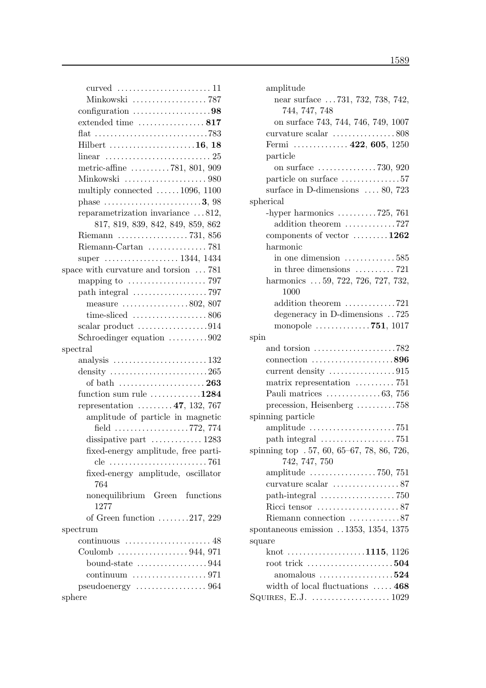| Minkowski  787                                                 |
|----------------------------------------------------------------|
| configuration $\ldots \ldots \ldots \ldots \ldots \ldots 98$   |
| extended time  817                                             |
|                                                                |
| Hilbert 16, 18                                                 |
|                                                                |
| metric-affine $\ldots \ldots \ldots 781, 801, 909$             |
|                                                                |
| multiply connected $\ldots \ldots 1096$ , 1100                 |
| phase $\dots \dots \dots \dots \dots \dots \dots \dots 3,98$   |
| reparametrization invariance 812,                              |
| 817, 819, 839, 842, 849, 859, 862                              |
| Riemann $\ldots \ldots \ldots \ldots \ldots \ldots$ 731, 856   |
| Riemann-Cartan 781                                             |
| super  1344, 1434                                              |
| space with curvature and torsion $\dots$ 781                   |
|                                                                |
| mapping to $\dots\dots\dots\dots\dots\dots$ 797                |
|                                                                |
| measure $\ldots \ldots \ldots \ldots \ldots 802, 807$          |
| time-sliced $\ldots \ldots \ldots \ldots \ldots \ldots 806$    |
| scalar product 914                                             |
| Schroedinger equation $\ldots \ldots \ldots 902$               |
| spectral                                                       |
| analysis $\dots \dots \dots \dots \dots \dots \dots \dots 132$ |
| density $\ldots \ldots \ldots \ldots \ldots \ldots \ldots 265$ |
|                                                                |
| function sum rule $\dots \dots \dots \dots 1284$               |
| representation $\ldots \ldots \ldots 47, 132, 767$             |
| amplitude of particle in magnetic                              |
|                                                                |
| dissipative part  1283                                         |
| fixed-energy amplitude, free parti-                            |
|                                                                |
| fixed-energy amplitude, oscillator                             |
| 764                                                            |
| nonequilibrium Green functions                                 |
| 1277                                                           |
| of Green function $\ldots \ldots 217, 229$                     |
| spectrum                                                       |
| continuous<br>. . 48                                           |
|                                                                |
| bound-state $\dots\dots\dots\dots\dots944$                     |
|                                                                |
|                                                                |
| sphere                                                         |

| amplitude                                                      |
|----------------------------------------------------------------|
| near surface 731, 732, 738, 742,                               |
| 744, 747, 748                                                  |
| on surface 743, 744, 746, 749, 1007                            |
| curvature scalar 808                                           |
| Fermi  422, 605, 1250                                          |
| particle                                                       |
|                                                                |
| particle on surface 57                                         |
| surface in D-dimensions $\ldots$ 80, 723                       |
| spherical                                                      |
| -hyper harmonics $\dots \dots \dots 725$ , 761                 |
| addition theorem 727                                           |
| components of vector $\dots \dots \dots 1262$                  |
| harmonic                                                       |
| in one dimension $\dots \dots \dots \dots 585$                 |
| in three dimensions $\ldots \ldots \ldots$ 721                 |
| harmonics  59, 722, 726, 727, 732,                             |
| 1000                                                           |
| addition theorem 721                                           |
| degeneracy in D-dimensions 725                                 |
| monopole $\ldots \ldots \ldots \ldots 751, 1017$               |
| spin                                                           |
| and torsion 782                                                |
| $connection$ 896                                               |
|                                                                |
| matrix representation  751                                     |
| Pauli matrices $\dots \dots \dots \dots 63$ , 756              |
| precession, Heisenberg 758                                     |
| spinning particle                                              |
|                                                                |
|                                                                |
| spinning top . 57, 60, 65–67, 78, 86, 726,                     |
| 742, 747, 750                                                  |
|                                                                |
|                                                                |
|                                                                |
|                                                                |
| Riemann connection 87                                          |
| spontaneous emission 1353, 1354, 1375                          |
| square                                                         |
| knot 1115, 1126                                                |
| root trick $\dots\dots\dots\dots\dots\dots\dots504$            |
| anomalous $\ldots \ldots \ldots \ldots \ldots 524$             |
| width of local fluctuations  468                               |
| SQUIRES, E.J. $\dots \dots \dots \dots \dots \dots \dots 1029$ |
|                                                                |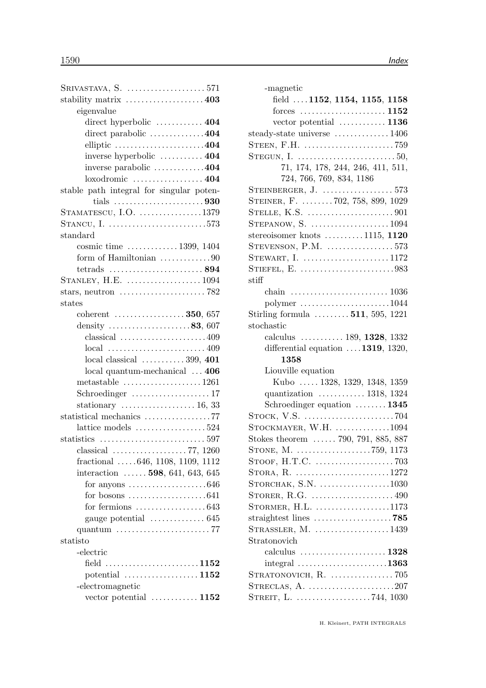| SRIVASTAVA, S. 571                                               |  |
|------------------------------------------------------------------|--|
| stability matrix  403                                            |  |
| eigenvalue                                                       |  |
| direct hyperbolic  404                                           |  |
| direct parabolic 404                                             |  |
| elliptic $\ldots \ldots \ldots \ldots \ldots \ldots \ldots 404$  |  |
| inverse hyperbolic  404                                          |  |
| inverse parabolic 404                                            |  |
|                                                                  |  |
| stable path integral for singular poten-                         |  |
| tials 930                                                        |  |
| $STAMATESCU, I.O.$ 1379                                          |  |
| STANCU, I. 573                                                   |  |
| standard                                                         |  |
| cosmic time 1399, 1404                                           |  |
| form of Hamiltonian 90                                           |  |
| tetrads $\ldots \ldots \ldots \ldots \ldots \ldots \ldots 894$   |  |
| STANLEY, H.E. 1094                                               |  |
| stars, neutron $\dots\dots\dots\dots\dots\dots\dots$ 782         |  |
| states                                                           |  |
| coherent $\ldots \ldots \ldots \ldots \ldots 350, 657$           |  |
| density $\ldots \ldots \ldots \ldots \ldots \ldots 83, 607$      |  |
| classical $\ldots \ldots \ldots \ldots \ldots \ldots \ldots 409$ |  |
|                                                                  |  |
| $local classical$ 399, 401                                       |  |
| local quantum-mechanical  406                                    |  |
| metastable $\ldots \ldots \ldots \ldots \ldots \ldots 1261$      |  |
|                                                                  |  |
| stationary $\dots \dots \dots \dots \dots \dots 16, 33$          |  |
| statistical mechanics 77                                         |  |
| lattice models $\ldots \ldots \ldots \ldots \ldots 524$          |  |
|                                                                  |  |
| classical $\ldots \ldots \ldots \ldots \ldots \ldots 77, 1260$   |  |
| fractional $\ldots$ .646, 1108, 1109, 1112                       |  |
| interaction $\ldots \ldots$ 598, 641, 643, 645                   |  |
| for anyons $\dots\dots\dots\dots\dots\dots646$                   |  |
| for bosons $\ldots \ldots \ldots \ldots \ldots \ldots 641$       |  |
| for fermions $\ldots \ldots \ldots \ldots \ldots 643$            |  |
| gauge potential  645                                             |  |
| quantum 77                                                       |  |
| statisto                                                         |  |
| -electric                                                        |  |
| field $\ldots$ 1152                                              |  |
| potential $\ldots \ldots \ldots \ldots \ldots 1152$              |  |
| -electromagnetic                                                 |  |
| vector potential $\ldots \ldots \ldots \ldots 1152$              |  |
|                                                                  |  |

| -magnetic                                                            |
|----------------------------------------------------------------------|
| field $.1152, 1154, 1155, 1158$                                      |
| forces $\dots \dots \dots \dots \dots \dots \dots 1152$              |
| vector potential $\dots \dots \dots \dots 1136$                      |
| steady-state universe  1406                                          |
|                                                                      |
| STEGUN, I. $\dots\dots\dots\dots\dots\dots\dots\dots50$              |
| 71, 174, 178, 244, 246, 411, 511,                                    |
| 724, 766, 769, 834, 1186                                             |
|                                                                      |
| STEINER, F. 702, 758, 899, 1029                                      |
| STELLE, K.S. $\dots\dots\dots\dots\dots\dots901$                     |
| STEPANOW, S. $\ldots$ 1094                                           |
| stereoisomer knots $\dots \dots \dots 1115$ , 1120                   |
| STEVENSON, $P.M.$ 573                                                |
| STEWART, I. $\dots\dots\dots\dots\dots\dots\dots 1172$               |
| STIEFEL, E. 983                                                      |
| stiff                                                                |
| chain $\ldots \ldots \ldots \ldots \ldots \ldots \ldots \ldots 1036$ |
| $\text{polymer}\dots\dots\dots\dots\dots\dots\dots1044$              |
| Stirling formula $\ldots \ldots \ldots 511, 595, 1221$               |
| stochastic                                                           |
| calculus $\ldots \ldots \ldots 189, 1328, 1332$                      |
| differential equation $\dots$ 1319, 1320,                            |
| 1358                                                                 |
| Liouville equation                                                   |
| Kubo  1328, 1329, 1348, 1359                                         |
| quantization $\ldots \ldots \ldots \ldots 1318, 1324$                |
| Schroedinger equation $\dots \dots \dots 1345$                       |
|                                                                      |
| STOCKMAYER, W.H. $\dots\dots\dots\dots1094$                          |
| Stokes theorem  790, 791, 885, 887                                   |
| STONE, M. 759, 1173                                                  |
|                                                                      |
| STORA, R. 1272                                                       |
| STORCHAK, S.N. $\dots\dots\dots\dots\dots1030$                       |
|                                                                      |
| STORMER, H.L. 1173                                                   |
| straightest lines $\ldots \ldots \ldots \ldots \ldots \ldots$ 785    |
| STRASSLER, $M.$ 1439                                                 |
| Stratonovich                                                         |
| calculus $\ldots \ldots \ldots \ldots \ldots \ldots 1328$            |
|                                                                      |
| STRATONOVICH, R.  705                                                |
|                                                                      |
|                                                                      |
|                                                                      |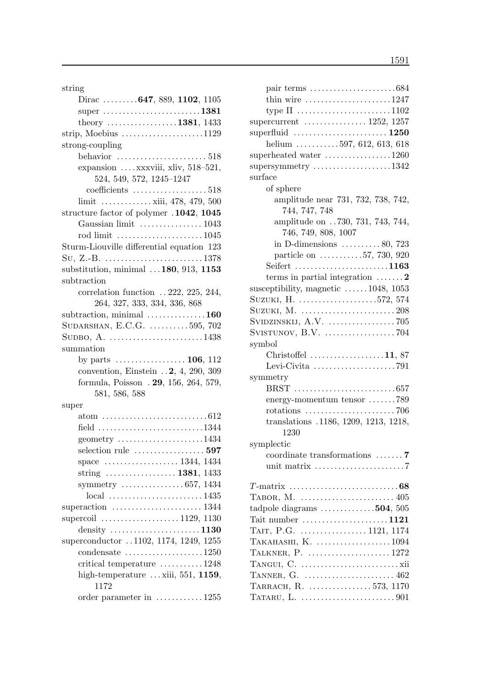string

| Dirac $647, 889, 1102, 1105$                                     |
|------------------------------------------------------------------|
| super $\dots \dots \dots \dots \dots \dots \dots \dots 1381$     |
| theory 1381, 1433                                                |
|                                                                  |
| strong-coupling                                                  |
| behavior $\dots\dots\dots\dots\dots\dots\dots 518$               |
| expansion $\ldots$ xxxviii, xliv, 518-521,                       |
| 524, 549, 572, 1245-1247                                         |
| $coefficients$ 518                                               |
| limit  xiii, 478, 479, 500                                       |
| structure factor of polymer .1042, 1045                          |
| Gaussian limit  1043                                             |
| rod limit 1045                                                   |
| Sturm-Liouville differential equation 123                        |
|                                                                  |
| substitution, minimal  180, 913, 1153                            |
| subtraction                                                      |
| correlation function $\ldots$ 222, 225, 244,                     |
| 264, 327, 333, 334, 336, 868                                     |
| subtraction, minimal $\dots\dots\dots\dots\dots 160$             |
| SUDARSHAN, E.C.G. 595, 702                                       |
| SUDBO, A. $\dots \dots \dots \dots \dots \dots \dots \dots 1438$ |
| summation                                                        |
|                                                                  |
| convention, Einstein 2, 4, 290, 309                              |
| formula, Poisson . 29, 156, 264, 579,                            |
| 581, 586, 588                                                    |
| super                                                            |
|                                                                  |
| field $\ldots$ 1344                                              |
| geometry $\dots\dots\dots\dots\dots\dots\dots1434$               |
| selection rule  597                                              |
| space  1344, 1434                                                |
| string  1381, 1433                                               |
| symmetry 657, 1434                                               |
| $local$ 1435                                                     |
|                                                                  |
| supercoil 1129, 1130                                             |
|                                                                  |
| superconductor 1102, 1174, 1249, 1255                            |
| $condensate$ 1250<br>critical temperature 1248                   |
| high-temperature  xiii, 551, 1159,                               |
| 1172                                                             |
| order parameter in  1255                                         |
|                                                                  |

| thin wire $\ldots \ldots \ldots \ldots \ldots \ldots 1247$         |
|--------------------------------------------------------------------|
|                                                                    |
| supercurrent $\ldots \ldots \ldots \ldots 1252, 1257$              |
| superfluid $1250$                                                  |
| helium 597, 612, 613, 618                                          |
| superheated water $\dots\dots\dots\dots\dots 1260$                 |
| supersymmetry $\dots\dots\dots\dots\dots\dots 1342$                |
| surface                                                            |
| of sphere                                                          |
| amplitude near 731, 732, 738, 742,                                 |
| 744, 747, 748                                                      |
| amplitude on 730, 731, 743, 744,                                   |
| 746, 749, 808, 1007                                                |
| in D-dimensions $\dots \dots \dots 80$ , 723                       |
| particle on $\ldots \ldots \ldots 57, 730, 920$                    |
| Seifert 1163                                                       |
| terms in partial integration $\dots \dots 2$                       |
| susceptibility, magnetic $\dots \dots 1048$ , 1053                 |
|                                                                    |
| SUZUKI, M. 208                                                     |
|                                                                    |
| SVISTUNOV, B.V. 704                                                |
| symbol                                                             |
| Christoffel $\ldots \ldots \ldots \ldots \ldots 11, 87$            |
| Levi-Civita $\ldots \ldots \ldots \ldots \ldots \ldots$ . 791      |
| symmetry                                                           |
|                                                                    |
| energy-momentum tensor 789                                         |
| rotations $\ldots \ldots \ldots \ldots \ldots \ldots \ldots$ . 706 |
| translations .1186, 1209, 1213, 1218,                              |
| 1230                                                               |
| symplectic                                                         |
|                                                                    |
| coordinate transformations $\ldots \ldots$ .                       |
| unit matrix $\dots\dots\dots\dots\dots\dots\dots 7$                |
|                                                                    |
|                                                                    |
| TABOR, M. $\dots\dots\dots\dots\dots\dots\dots\dots405$            |
| tadpole diagrams $\dots \dots \dots \dots 504$ , 505               |
| Tait number $\dots\dots\dots\dots\dots\dots\dots 1121$             |
| TAIT, P.G. 1121, 1174                                              |
| TAKAHASHI, K. $\dots\dots\dots\dots\dots\dots1094$                 |
| TALKNER, P.  1272                                                  |
|                                                                    |
| TARRACH, R.  573, 1170                                             |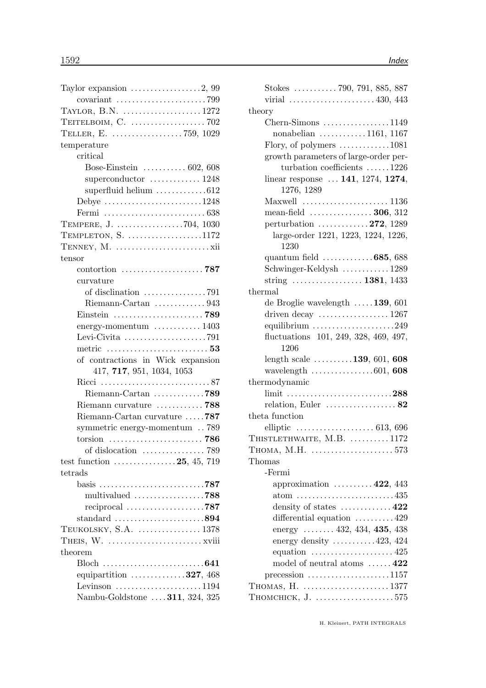| TAYLOR, B.N. 1272                                                |
|------------------------------------------------------------------|
|                                                                  |
|                                                                  |
| temperature                                                      |
| critical                                                         |
| Bose-Einstein $\ldots \ldots \ldots 602, 608$                    |
| superconductor $\dots\dots\dots\dots 1248$                       |
| superfluid helium 612                                            |
| Debye 1248                                                       |
|                                                                  |
| TEMPERE, J. 704, 1030                                            |
| TEMPLETON, $S.$ 1172                                             |
|                                                                  |
| tensor                                                           |
|                                                                  |
| curvature                                                        |
|                                                                  |
| Riemann-Cartan 943                                               |
|                                                                  |
| energy-momentum  1403                                            |
| Levi-Civita $\ldots \ldots \ldots \ldots \ldots \ldots$ . 791    |
|                                                                  |
| of contractions in Wick expansion                                |
| 417, 717, 951, 1034, 1053                                        |
|                                                                  |
| Riemann-Cartan 789                                               |
| Riemann curvature  788                                           |
| Riemann-Cartan curvature 787                                     |
| symmetric energy-momentum  789                                   |
| torsion $\ldots \ldots \ldots \ldots \ldots \ldots \ldots$ . 786 |
|                                                                  |
| test function $\ldots \ldots \ldots \ldots \ldots 25, 45, 719$   |
| tetrads                                                          |
| basis 787                                                        |
| multivalued 788                                                  |
| reciprocal 787                                                   |
| standard $\ldots \ldots \ldots \ldots \ldots \ldots \ldots 894$  |
| TEUKOLSKY, S.A.  1378                                            |
|                                                                  |
| theorem                                                          |
|                                                                  |
| equipartition $\ldots \ldots \ldots \ldots 327, 468$             |
| Levinson $\dots\dots\dots\dots\dots\dots1194$                    |
| Nambu-Goldstone  311, 324, 325                                   |
|                                                                  |

| 99                       | Stokes $\ldots \ldots \ldots$ 790, 791, 885, 887                     |
|--------------------------|----------------------------------------------------------------------|
| 99                       | virial 430, 443                                                      |
| 72                       | theory                                                               |
| $2\,$                    | $Chern-Simons$ 1149                                                  |
| 29                       | nonabelian $\ldots \ldots \ldots \ldots 1161, 1167$                  |
|                          | Flory, of polymers $\dots \dots \dots \dots 1081$                    |
|                          | growth parameters of large-order per-                                |
| $\overline{\mathrm{)}8}$ | turbation coefficients $\dots \dots 1226$                            |
| 18                       | linear response  141, 1274, 1274,                                    |
| $\overline{2}$           | 1276, 1289                                                           |
| 18                       | Maxwell $\ldots \ldots \ldots \ldots \ldots \ldots \ldots 1136$      |
| $\overline{\mathrm{38}}$ | mean-field $\ldots$ 306, 312                                         |
| $\overline{30}$          | perturbation $\ldots \ldots \ldots \ldots 272$ , 1289                |
| 72                       | large-order 1221, 1223, 1224, 1226,                                  |
| άi                       | 1230                                                                 |
|                          | quantum field $\ldots \ldots \ldots \ldots 685,688$                  |
| 37                       | Schwinger-Keldysh  1289                                              |
|                          | string  1381, 1433                                                   |
| $^{1}$                   | thermal                                                              |
| 13                       | de Broglie wavelength $\ldots$ 139, 601                              |
| 89                       | driven decay $\dots \dots \dots \dots \dots \dots 1267$              |
| $^{13}$                  | equilibrium $\ldots \ldots \ldots \ldots \ldots \ldots 249$          |
| )1                       | fluctuations 101, 249, 328, 469, 497,                                |
| $\overline{\bf 3}$       | 1206                                                                 |
| m                        | length scale $\dots \dots \dots 139, 601, 608$                       |
|                          | wavelength $\ldots \ldots \ldots \ldots \ldots 601, 608$             |
| 37                       | thermodynamic                                                        |
| 89                       | limit 288                                                            |
| $\overline{\bf 8}$       | relation, Euler $\dots\dots\dots\dots\dots 82$                       |
| 37                       | theta function                                                       |
| 39                       | elliptic $\ldots \ldots \ldots \ldots \ldots \ldots \ldots 613, 696$ |
| 86                       | THISTLETHWAITE, $M.B.$ 1172                                          |
| 39                       | THOMA, M.H. $\dots\dots\dots\dots\dots\dots\dots573$                 |
| 19                       | Thomas                                                               |
|                          | -Fermi                                                               |
| 37                       | approximation $\ldots \ldots \ldots 422, 443$                        |
| $\overline{\bf 8}$       |                                                                      |
| 37                       | density of states $\dots \dots \dots \dots 422$                      |
| $\overline{4}$           | differential equation 429                                            |
| 78                       | energy $\ldots \ldots$ 432, 434, 435, 438                            |
| iii                      | energy density $\dots \dots \dots 423, 424$                          |
|                          | equation $\ldots \ldots \ldots \ldots \ldots \ldots 425$             |
| $\overline{1}$           | model of neutral atoms $\dots \dots 422$                             |
| 38                       | $precession$ 1157                                                    |
| $\overline{4}$           |                                                                      |
| $^{25}$                  | THOMCHICK, $J.$ 575                                                  |
|                          |                                                                      |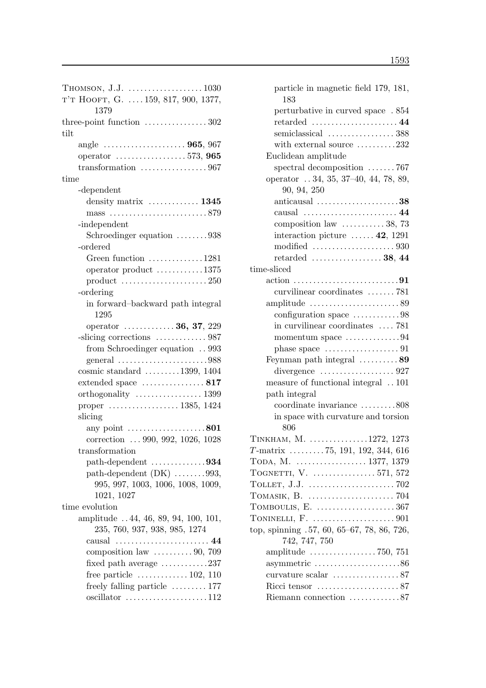| THOMSON, J.J. $\dots\dots\dots\dots\dots\dots1030$                   |
|----------------------------------------------------------------------|
| T'T HOOFT, G. $159, 817, 900, 1377,$                                 |
| 1379                                                                 |
| three-point function $\dots \dots \dots \dots \dots 302$             |
| tilt                                                                 |
| angle  965, 967                                                      |
| operator $\ldots \ldots \ldots \ldots \ldots 573, 965$               |
| transformation $\ldots \ldots \ldots \ldots \ldots \ldots 967$       |
|                                                                      |
| time                                                                 |
| -dependent                                                           |
| density matrix $\dots\dots\dots\dots 1345$                           |
|                                                                      |
| -independent                                                         |
| Schroedinger equation 938                                            |
| -ordered                                                             |
| Green function $\dots \dots \dots \dots 1281$                        |
| operator product $\dots \dots \dots \dots 1375$                      |
|                                                                      |
| -ordering                                                            |
| in forward-backward path integral                                    |
| 1295                                                                 |
|                                                                      |
| operator  36, 37, 229                                                |
| -slicing corrections  987                                            |
| from Schroedinger equation  993                                      |
| general $\ldots$ 988                                                 |
| cosmic standard $\ldots \ldots \ldots 1399, 1404$                    |
| extended space $\dots\dots\dots\dots\dots 817$                       |
|                                                                      |
| proper  1385, 1424                                                   |
| slicing                                                              |
| $\ldots 801$<br>any point $\dots$                                    |
| correction  990, 992, 1026, 1028                                     |
| transformation                                                       |
|                                                                      |
| path-dependent $(DK)$ 993,                                           |
| 995, 997, 1003, 1006, 1008, 1009,                                    |
| 1021, 1027                                                           |
| time evolution                                                       |
|                                                                      |
| amplitude 44, 46, 89, 94, 100, 101,<br>235, 760, 937, 938, 985, 1274 |
|                                                                      |
| causal<br>. 44                                                       |
| composition law $\ldots \ldots \ldots 90, 709$                       |
| fixed path average $\dots \dots \dots \dots 237$                     |
| free particle $\dots \dots \dots \dots 102, 110$                     |
| freely falling particle  177                                         |
| $oscillator$ 112                                                     |

| particle in magnetic field 179, 181,<br>183                      |
|------------------------------------------------------------------|
| perturbative in curved space . 854                               |
| $\rm{retarded}\,\,\ldots\ldots\ldots\ldots\ldots\ldots\,44$      |
| semiclassical  388                                               |
| with external source $\dots \dots \dots 232$                     |
| Euclidean amplitude                                              |
| spectral decomposition 767                                       |
| operator  34, 35, 37-40, 44, 78, 89,                             |
| 90, 94, 250                                                      |
| anticausal $\ldots \ldots \ldots \ldots \ldots \ldots 38$        |
|                                                                  |
| composition law  38, 73                                          |
| interaction picture $\dots \dots 42$ , 1291                      |
|                                                                  |
| retarded $\ldots \ldots \ldots \ldots \ldots 38, 44$             |
| time-sliced                                                      |
|                                                                  |
| curvilinear coordinates 781                                      |
|                                                                  |
| configuration space 98                                           |
| in curvilinear coordinates  781                                  |
| momentum space 94                                                |
| phase space $\dots\dots\dots\dots\dots\dots91$                   |
| Feynman path integral 89                                         |
|                                                                  |
| measure of functional integral  101                              |
| path integral                                                    |
| coordinate invariance 808                                        |
| in space with curvature and torsion                              |
| 806                                                              |
| TINKHAM, M. 1272, 1273                                           |
| $T$ -matrix 75, 191, 192, 344, 616                               |
|                                                                  |
| TOGNETTI, V. $\ldots$ 571, 572                                   |
|                                                                  |
|                                                                  |
| TOMBOULIS, E. $\dots\dots\dots\dots\dots\dots367$                |
|                                                                  |
| top, spinning .57, 60, 65-67, 78, 86, 726,                       |
| 742, 747, 750                                                    |
|                                                                  |
| asymmetric $\ldots \ldots \ldots \ldots \ldots \ldots \ldots 86$ |
|                                                                  |
|                                                                  |
| Riemann connection 87                                            |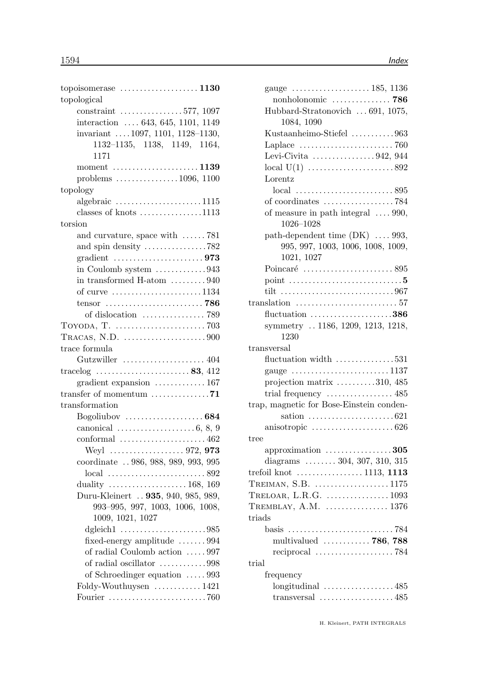| topoisomerase $\dots \dots \dots \dots \dots \dots 1130$             |
|----------------------------------------------------------------------|
| topological                                                          |
| constraint 577, 1097                                                 |
| interaction $\ldots$ 643, 645, 1101, 1149                            |
| invariant $1097, 1101, 1128 - 1130,$                                 |
| 1132-1135, 1138, 1149, 1164,                                         |
| 1171                                                                 |
| moment $\ldots$ 1139                                                 |
| problems $\ldots \ldots \ldots \ldots \ldots 1096, 1100$             |
| topology                                                             |
| algebraic $\ldots \ldots \ldots \ldots \ldots \ldots 1115$           |
| classes of knots $\dots \dots \dots \dots \dots 1113$                |
| torsion                                                              |
| and curvature, space with $\ldots \ldots$ 781                        |
| and spin density $\dots \dots \dots \dots \dots \dots 782$           |
| gradient $\ldots \ldots \ldots \ldots \ldots \ldots \ldots$ 973      |
| in Coulomb system $\dots\dots\dots\dots943$                          |
| in transformed H-atom $\dots \dots \dots 940$                        |
| of curve 1134                                                        |
| tensor $\ldots \ldots \ldots \ldots \ldots \ldots \ldots \ldots$ 786 |
|                                                                      |
|                                                                      |
| TRACAS, N.D. $\dots\dots\dots\dots\dots\dots900$                     |
| trace formula                                                        |
| Gutzwiller $\ldots \ldots \ldots \ldots \ldots \ldots 404$           |
| tracelog $\ldots \ldots \ldots \ldots \ldots \ldots \ldots 83, 412$  |
| gradient expansion $\ldots \ldots \ldots \ldots 167$                 |
| transfer of momentum $\dots \dots \dots \dots \dots 71$              |
| transformation                                                       |
| Bogoliubov $\dots\dots\dots\dots\dots\dots684$                       |
| canonical $\ldots \ldots \ldots \ldots \ldots \ldots 6, 8, 9$        |
|                                                                      |
|                                                                      |
| coordinate  986, 988, 989, 993, 995                                  |
|                                                                      |
|                                                                      |
| Duru-Kleinert  935, 940, 985, 989,                                   |
| 993-995, 997, 1003, 1006, 1008,                                      |
| 1009, 1021, 1027                                                     |
|                                                                      |
| fixed-energy amplitude 994                                           |
| of radial Coulomb action  997                                        |
| of radial oscillator 998                                             |
| of Schroedinger equation  993                                        |
| Foldy-Wouthuysen  1421                                               |
|                                                                      |

| gauge $\ldots \ldots \ldots \ldots \ldots \ldots 185, 1136$       |
|-------------------------------------------------------------------|
| nonholonomic  786                                                 |
| Hubbard-Stratonovich  691, 1075,<br>1084, 1090                    |
| Kustaanheimo-Stiefel 963                                          |
| Laplace $\dots \dots \dots \dots \dots \dots \dots \dots$ 760     |
| Levi-Civita $\ldots \ldots \ldots \ldots \ldots 942, 944$         |
| local $U(1)$ 892                                                  |
| Lorentz                                                           |
|                                                                   |
|                                                                   |
| of measure in path integral $\ldots$ 990,                         |
| 1026-1028                                                         |
| path-dependent time (DK)  993,                                    |
| 995, 997, 1003, 1006, 1008, 1009,<br>1021, 1027                   |
|                                                                   |
| point $\dots\dots\dots\dots\dots\dots\dots\dots\dots\dots5$       |
|                                                                   |
| translation $\ldots \ldots \ldots \ldots \ldots \ldots \ldots 57$ |
| fluctuation $\ldots \ldots \ldots \ldots \ldots \ldots 386$       |
| symmetry  1186, 1209, 1213, 1218,                                 |
| 1230                                                              |
| transversal                                                       |
| fluctuation width 531                                             |
| gauge 1137                                                        |
| projection matrix $\dots \dots \dots 310, 485$                    |
| trial frequency $\dots\dots\dots\dots\dots 485$                   |
| trap, magnetic for Bose-Einstein conden-                          |
|                                                                   |
| anisotropic $\ldots \ldots \ldots \ldots \ldots \ldots 626$       |
| tree                                                              |
| approximation $\dots\dots\dots\dots\dots305$                      |
| diagrams $\ldots \ldots \ldots 304, 307, 310, 315$                |
| trefoil knot $\dots \dots \dots \dots \dots \dots 1113$ , 1113    |
| TREIMAN, S.B. 1175                                                |
| TRELOAR, L.R.G.  1093                                             |
| TREMBLAY, A.M. $\dots\dots\dots\dots 1376$                        |
| triads                                                            |
|                                                                   |
| multivalued  786, 788                                             |
| reciprocal $\ldots \ldots \ldots \ldots \ldots \ldots$ . 784      |
| trial                                                             |
| frequency                                                         |
| longitudinal 485                                                  |
| transversal $\ldots \ldots \ldots \ldots \ldots \ldots 485$       |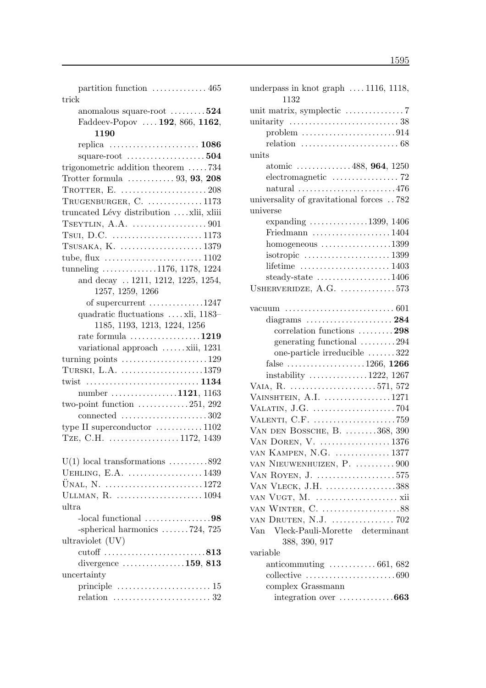partition function . . . . . . . . . . . . . . 465 trick

| anomalous square-root $\dots\dots\dots524$                              |
|-------------------------------------------------------------------------|
| Faddeev-Popov  192, 866, 1162,                                          |
| 1190                                                                    |
| replica  1086                                                           |
| square-root $\dots\dots\dots\dots\dots\dots 504$                        |
| trigonometric addition theorem 734                                      |
| Trotter formula $\ldots \ldots \ldots \ldots 93, 93, 208$               |
|                                                                         |
| TRUGENBURGER, C.  1173                                                  |
| truncated Lévy distribution  xlii, xliii                                |
|                                                                         |
| Tsul, D.C. $\dots \dots \dots \dots \dots \dots \dots \dots 1173$       |
|                                                                         |
| tube, flux $\dots \dots \dots \dots \dots \dots \dots \dots \dots 1102$ |
| tunneling $\ldots \ldots \ldots \ldots 1176, 1178, 1224$                |
| and decay  1211, 1212, 1225, 1254,                                      |
| 1257, 1259, 1266                                                        |
| of supercurrent 1247                                                    |
| quadratic fluctuations  xli, 1183-                                      |
| 1185, 1193, 1213, 1224, 1256                                            |
| rate formula $\ldots \ldots \ldots \ldots \ldots 1219$                  |
| variational approach xiii, 1231                                         |
| turning points $\dots \dots \dots \dots \dots \dots \dots 129$          |
| TURSKI, L.A. $\dots\dots\dots\dots\dots\dots\dots 1379$                 |
|                                                                         |
| number 1121, 1163                                                       |
| two-point function $\dots \dots \dots \dots 251$ , 292                  |
| connected $\ldots \ldots \ldots \ldots \ldots \ldots 302$               |
| type II superconductor $\dots \dots \dots \dots 1102$                   |
| TZE, C.H. 1172, 1439                                                    |
|                                                                         |
| $U(1)$ local transformations 892                                        |
| UEHLING, E.A. 1439                                                      |
|                                                                         |
| ULLMAN, R. 1094                                                         |
| ultra                                                                   |
| $-local functional$ 98                                                  |
| -spherical harmonics $\ldots \ldots 724$ , 725                          |
| ultraviolet (UV)                                                        |
| cutoff 813                                                              |
| divergence $\dots\dots\dots\dots\dots 159$ , 813                        |
| uncertainty                                                             |
| principle $\dots \dots \dots \dots \dots \dots \dots \dots \dots 15$    |
| relation $\ldots \ldots \ldots \ldots \ldots \ldots \ldots 32$          |
|                                                                         |

| underpass in knot graph $\ldots$ 1116, 1118,                                 |
|------------------------------------------------------------------------------|
| 1132                                                                         |
|                                                                              |
|                                                                              |
| problem $\ldots \ldots \ldots \ldots \ldots \ldots \ldots \ldots 914$        |
| relation $\ldots \ldots \ldots \ldots \ldots \ldots \ldots \ldots \ldots 68$ |
| units                                                                        |
| atomic $\ldots \ldots \ldots \ldots 488, 964, 1250$                          |
|                                                                              |
| $\text{natural} \dots \dots \dots \dots \dots \dots \dots \dots \dots 476$   |
| universality of gravitational forces 782                                     |
| universe                                                                     |
| expanding $\ldots \ldots \ldots \ldots \ldots 1399, 1406$                    |
| Friedmann $\ldots \ldots \ldots \ldots \ldots \ldots 1404$                   |
| $homogeneous$ 1399                                                           |
|                                                                              |
| lifetime $\ldots \ldots \ldots \ldots \ldots \ldots \ldots 1403$             |
| steady-state $\ldots \ldots \ldots \ldots \ldots 1406$                       |
| USHERVERIDZE, A.G. 573                                                       |
|                                                                              |
|                                                                              |
|                                                                              |
| correlation functions 298                                                    |
| generating functional 294                                                    |
| one-particle irreducible $\dots \dots 322$                                   |
| false 1266, 1266                                                             |
| instability $\ldots \ldots \ldots \ldots 1222$ , 1267                        |
| VAIA, R. 571, 572                                                            |
| VAINSHTEIN, A.I. 1271                                                        |
|                                                                              |
| VALENTI, C.F. 759                                                            |
| VAN DEN BOSSCHE, B. 368, 390                                                 |
| VAN DOREN, V.  1376                                                          |
| VAN KAMPEN, N.G.  1377                                                       |
| VAN NIEUWENHUIZEN, P.  900                                                   |
| VAN ROYEN, J. 575                                                            |
| VAN VLECK, J.H. 388                                                          |
|                                                                              |
|                                                                              |
| VAN DRUTEN, N.J.  702                                                        |
| Van Vleck-Pauli-Morette determinant                                          |
| 388, 390, 917                                                                |
| variable                                                                     |
| anticommuting $\ldots \ldots \ldots \ldots 661, 682$                         |
|                                                                              |
| complex Grassmann                                                            |
| integration over 663                                                         |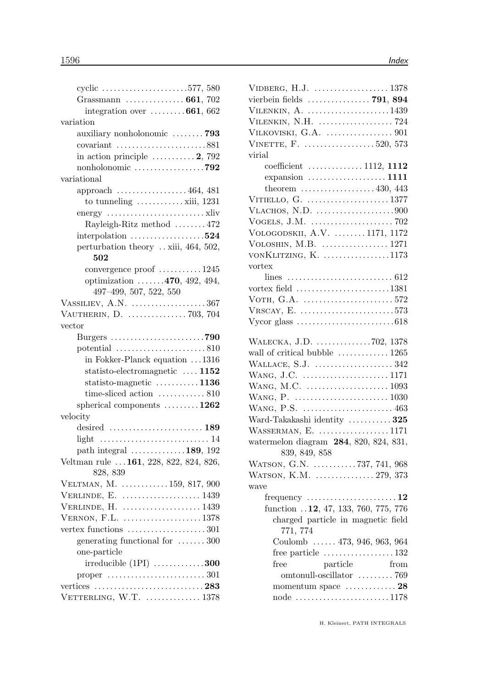| cyclic 577, 580                                                  |
|------------------------------------------------------------------|
| Grassmann $\ldots \ldots \ldots \ldots \ldots 661, 702$          |
| integration over $\dots \dots \dots 661, 662$                    |
| variation                                                        |
| auxiliary nonholonomic 793                                       |
| covariant $\ldots \ldots \ldots \ldots \ldots \ldots \ldots 881$ |
| in action principle $\dots \dots \dots 2$ , 792                  |
| nonholonomic $\ldots \ldots \ldots \ldots \ldots$ .792           |
| variational                                                      |
| approach  464, 481                                               |
| to tunneling $\dots \dots \dots \dots$ xiii, 1231                |
|                                                                  |
| Rayleigh-Ritz method  472                                        |
| interpolation $\ldots \ldots \ldots \ldots \ldots 524$           |
| perturbation theory  xiii, 464, 502,                             |
| 502                                                              |
| convergence proof  1245                                          |
| optimization $\ldots \ldots$ 470, 492, 494,                      |
| $497-499, 507, 522, 550$                                         |
| VASSILIEV, A.N. 367                                              |
| VAUTHERIN, D.  703, 704                                          |
| vector                                                           |
| Burgers 790                                                      |
| potential $\ldots \ldots \ldots \ldots \ldots \ldots \ldots 810$ |
| in Fokker-Planck equation 1316                                   |
| statisto-electromagnetic $\ldots$ 1152                           |
| statisto-magnetic $\dots \dots \dots \dots 1136$                 |
|                                                                  |
| time-sliced action  810                                          |
| spherical components $\ldots \ldots \ldots 1262$                 |
| velocity                                                         |
|                                                                  |
|                                                                  |
| path integral 189, 192                                           |
| Veltman rule  161, 228, 822, 824, 826,                           |
| 828, 839                                                         |
| VELTMAN, M. 159, 817, 900                                        |
| VERLINDE, E.  1439                                               |
| VERLINDE, H.  1439                                               |
| VERNON, F.L. 1378                                                |
|                                                                  |
| generating functional for  300                                   |
| one-particle                                                     |
| irreducible $(1PI)$ 300                                          |
|                                                                  |
|                                                                  |

| VIDBERG, H.J. $\dots\dots\dots\dots\dots\dots 1378$      |
|----------------------------------------------------------|
| vierbein fields  791, 894                                |
| VILENKIN, $A.$ 1439                                      |
|                                                          |
|                                                          |
| VINETTE, F. 520, 573                                     |
| virial                                                   |
| coefficient $\ldots \ldots \ldots \ldots 1112, 1112$     |
| expansion  1111                                          |
| theorem $\ldots \ldots \ldots \ldots \ldots 430, 443$    |
| VITIELLO, G. 1377                                        |
| VLACHOS, N.D. $\dots\dots\dots\dots\dots\dots900$        |
| VOGELS, J.M. $\dots\dots\dots\dots\dots\dots\dots$ 702   |
| VOLOGODSKII, A.V.  1171, 1172                            |
| VOLOSHIN, M.B.  1271                                     |
| VON $KLITZING, K.$ 1173                                  |
| vortex                                                   |
|                                                          |
| vortex field 1381                                        |
|                                                          |
|                                                          |
|                                                          |
|                                                          |
| WALECKA, J.D. 702, 1378                                  |
| wall of critical bubble  1265                            |
| WALLACE, S.J. $\dots\dots\dots\dots\dots 342$            |
|                                                          |
|                                                          |
|                                                          |
| WANG, P.S.  463                                          |
| Ward-Takakashi identity  325                             |
| WASSERMAN, E. 1171                                       |
| watermelon diagram 284, 820, 824, 831,                   |
| 839, 849, 858                                            |
| WATSON, G.N. 737, 741, 968                               |
| WATSON, K.M.  279, 373                                   |
| wave                                                     |
| frequency $\dots \dots \dots \dots \dots \dots \dots 12$ |
| function 12, 47, 133, 760, 775, 776                      |
| charged particle in magnetic field                       |
| 771, 774                                                 |
| Coulomb  473, 946, 963, 964                              |
| free particle $\dots\dots\dots\dots\dots\dots 132$       |
| free<br>particle<br>from                                 |
| omtonull-oscillator 769                                  |
|                                                          |
| node 1178                                                |
|                                                          |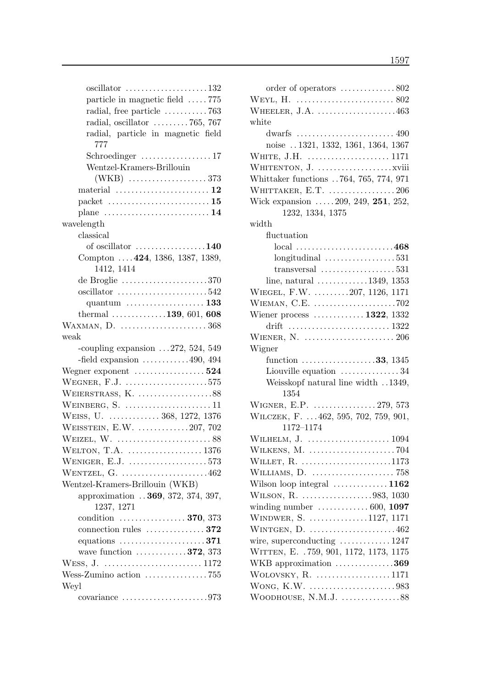| particle in magnetic field 775                                                                   |
|--------------------------------------------------------------------------------------------------|
| radial, free particle 763                                                                        |
| radial, oscillator $\ldots \ldots \ldots 765$ , 767                                              |
| radial, particle in magnetic field<br>777                                                        |
| Schroedinger $\dots\dots\dots\dots\dots 17$                                                      |
| Wentzel-Kramers-Brillouin                                                                        |
|                                                                                                  |
|                                                                                                  |
|                                                                                                  |
| plane $\dots \dots \dots \dots \dots \dots \dots \dots 14$                                       |
| wavelength                                                                                       |
| classical                                                                                        |
| of oscillator $\dots\dots\dots\dots\dots140$                                                     |
| Compton  424, 1386, 1387, 1389,                                                                  |
| 1412, 1414                                                                                       |
| de Broglie $\dots\dots\dots\dots\dots\dots370$                                                   |
|                                                                                                  |
| quantum $\dots\dots\dots\dots\dots\dots$ 133                                                     |
| thermal $\ldots \ldots \ldots \ldots 139, 601, 608$                                              |
|                                                                                                  |
| WAXMAN, D.  368                                                                                  |
| $_{\rm weak}$                                                                                    |
| -coupling expansion $\dots$ 272, 524, 549<br>-field expansion $\dots \dots \dots \dots 490, 494$ |
|                                                                                                  |
| WEGNER, $F.J.$ 575                                                                               |
|                                                                                                  |
| WEINBERG, S. $\dots\dots\dots\dots\dots\dots\dots 11$                                            |
| WEISS, U.  368, 1272, 1376                                                                       |
| WEISSTEIN, E.W. $\dots\dots\dots\dots207$ , 702                                                  |
|                                                                                                  |
|                                                                                                  |
| WENIGER, E.J. $\ldots$ 573                                                                       |
| WENTZEL, $G.$ 462                                                                                |
| Wentzel-Kramers-Brillouin (WKB)                                                                  |
| approximation  369, 372, 374, 397,<br>1237, 1271                                                 |
| condition $\ldots \ldots \ldots \ldots \ldots 370, 373$                                          |
| connection rules $\dots \dots \dots \dots 372$                                                   |
| equations $\dots \dots \dots \dots \dots \dots 371$                                              |
| wave function $\ldots \ldots \ldots \ldots 372, 373$                                             |
|                                                                                                  |
| Wess-Zumino action 755                                                                           |
| Weyl                                                                                             |
| covariance $\dots \dots \dots \dots \dots \dots \dots 973$                                       |
|                                                                                                  |

| order of operators 802                                        |  |
|---------------------------------------------------------------|--|
|                                                               |  |
| WHEELER, J.A. $\dots\dots\dots\dots\dots\dots463$             |  |
| white                                                         |  |
|                                                               |  |
| noise  1321, 1332, 1361, 1364, 1367                           |  |
|                                                               |  |
|                                                               |  |
| Whittaker functions 764, 765, 774, 971                        |  |
| WHITTAKER, E.T. 206                                           |  |
| Wick expansion  209, 249, 251, 252,                           |  |
| 1232, 1334, 1375                                              |  |
| width                                                         |  |
| fluctuation                                                   |  |
| $local$ 468                                                   |  |
| $longitudinal$ 531                                            |  |
| transversal $\ldots \ldots \ldots \ldots \ldots 531$          |  |
| line, natural $\dots \dots \dots \dots 1349$ , 1353           |  |
| WIEGEL, F.W. 207, 1126, 1171                                  |  |
| WIEMAN, C.E. 702                                              |  |
| Wiener process $\dots \dots \dots \dots 1322$ , 1332          |  |
|                                                               |  |
|                                                               |  |
| Wigner                                                        |  |
| function $\ldots \ldots \ldots \ldots \ldots \ldots 33, 1345$ |  |
| Liouville equation 34                                         |  |
|                                                               |  |
| Weisskopf natural line width 1349,<br>1354                    |  |
| WIGNER, E.P.  279, 573                                        |  |
|                                                               |  |
| WILCZEK, F.  462, 595, 702, 759, 901,<br>1172-1174            |  |
|                                                               |  |
|                                                               |  |
|                                                               |  |
| WILLET, $R.$ 1173                                             |  |
|                                                               |  |
| Wilson loop integral  1162                                    |  |
| WILSON, R. 983, 1030                                          |  |
| winding number $\ldots \ldots \ldots \ldots 600, 1097$        |  |
| WINDWER, S. 1127, 1171                                        |  |
| WINTGEN, $D.$ 462                                             |  |
| wire, superconducting $\ldots \ldots \ldots \ldots 1247$      |  |
| WITTEN, E. . 759, 901, 1172, 1173, 1175                       |  |
| WKB approximation 369                                         |  |
| WOLOVSKY, R. 1171                                             |  |
| WONG, K.W. 983                                                |  |
| WOODHOUSE, N.M.J. 88                                          |  |